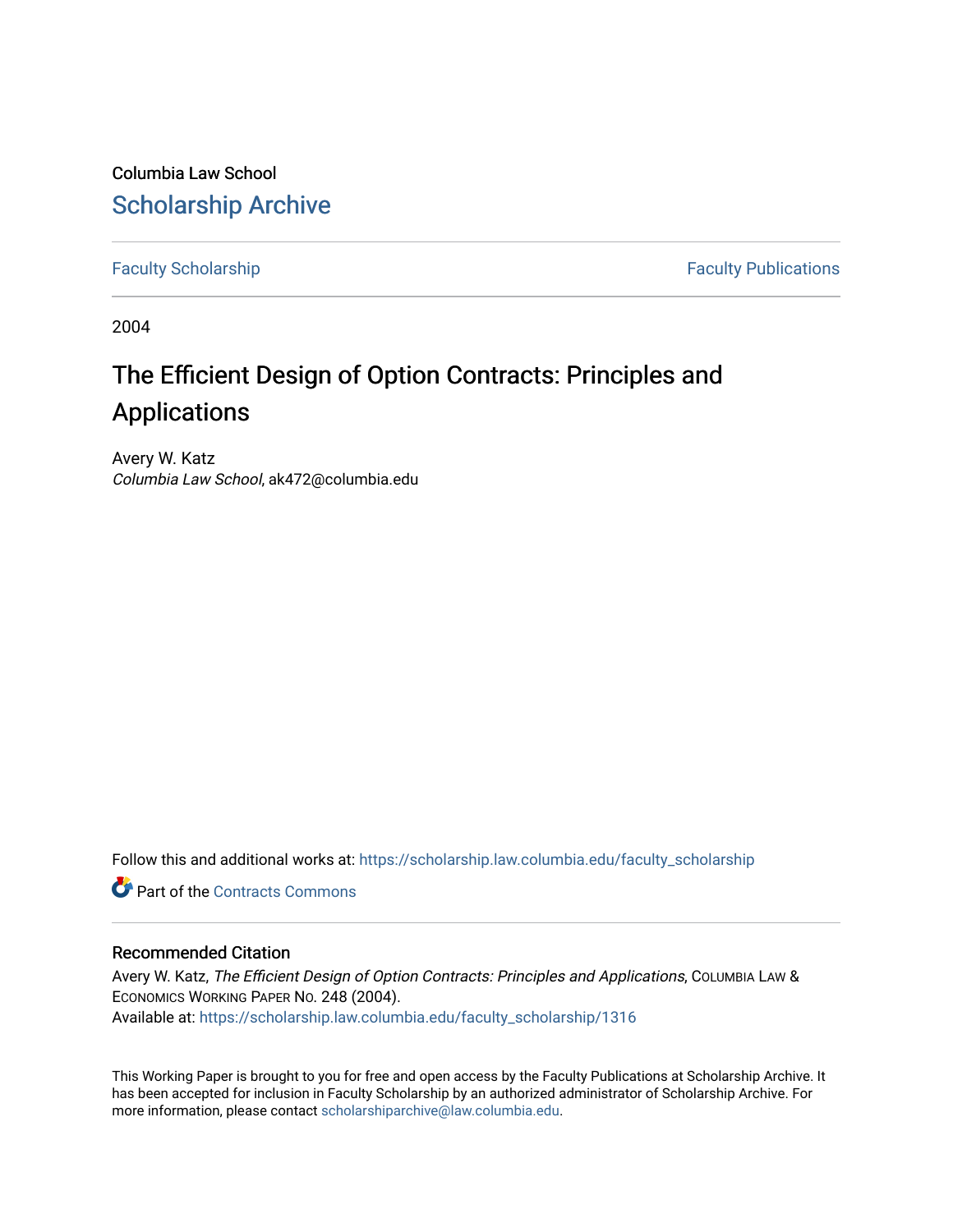Columbia Law School [Scholarship Archive](https://scholarship.law.columbia.edu/) 

[Faculty Scholarship](https://scholarship.law.columbia.edu/faculty_scholarship) **Faculty Scholarship Faculty Publications** 

2004

# The Efficient Design of Option Contracts: Principles and Applications

Avery W. Katz Columbia Law School, ak472@columbia.edu

Follow this and additional works at: [https://scholarship.law.columbia.edu/faculty\\_scholarship](https://scholarship.law.columbia.edu/faculty_scholarship?utm_source=scholarship.law.columbia.edu%2Ffaculty_scholarship%2F1316&utm_medium=PDF&utm_campaign=PDFCoverPages)

**C** Part of the [Contracts Commons](http://network.bepress.com/hgg/discipline/591?utm_source=scholarship.law.columbia.edu%2Ffaculty_scholarship%2F1316&utm_medium=PDF&utm_campaign=PDFCoverPages)

## Recommended Citation

Avery W. Katz, The Efficient Design of Option Contracts: Principles and Applications, COLUMBIA LAW & ECONOMICS WORKING PAPER NO. 248 (2004). Available at: [https://scholarship.law.columbia.edu/faculty\\_scholarship/1316](https://scholarship.law.columbia.edu/faculty_scholarship/1316?utm_source=scholarship.law.columbia.edu%2Ffaculty_scholarship%2F1316&utm_medium=PDF&utm_campaign=PDFCoverPages)

This Working Paper is brought to you for free and open access by the Faculty Publications at Scholarship Archive. It has been accepted for inclusion in Faculty Scholarship by an authorized administrator of Scholarship Archive. For more information, please contact [scholarshiparchive@law.columbia.edu.](mailto:scholarshiparchive@law.columbia.edu)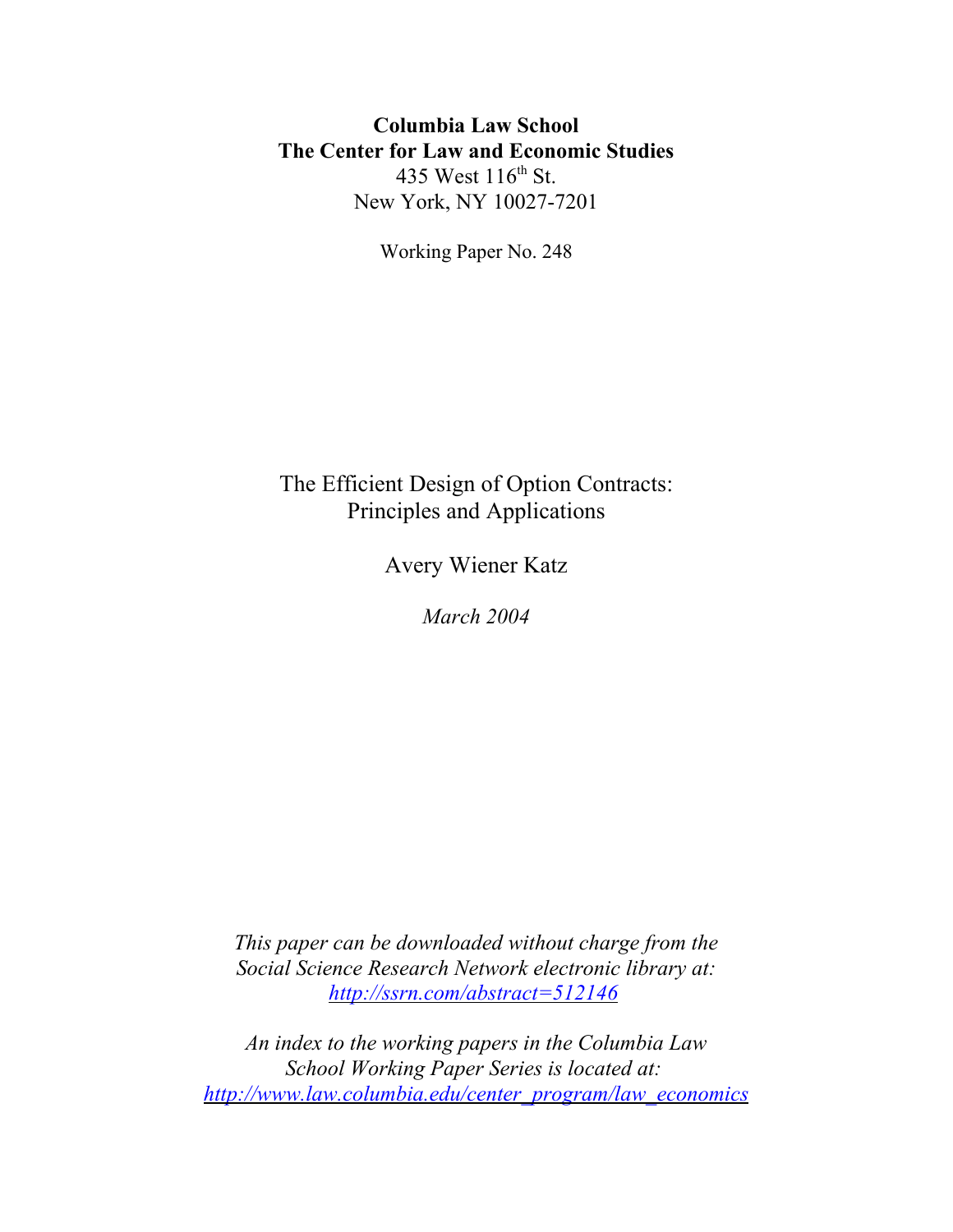# **Columbia Law School The Center for Law and Economic Studies** 435 West 116<sup>th</sup> St. New York, NY 10027-7201

Working Paper No. 248

# The Efficient Design of Option Contracts: Principles and Applications

Avery Wiener Katz

*March 2004*

*This paper can be downloaded without charge from the Social Science Research Network electronic library at: http://ssrn.com/abstract=512146*

*An index to the working papers in the Columbia Law School Working Paper Series is located at: http://www.law.columbia.edu/center\_program/law\_economics*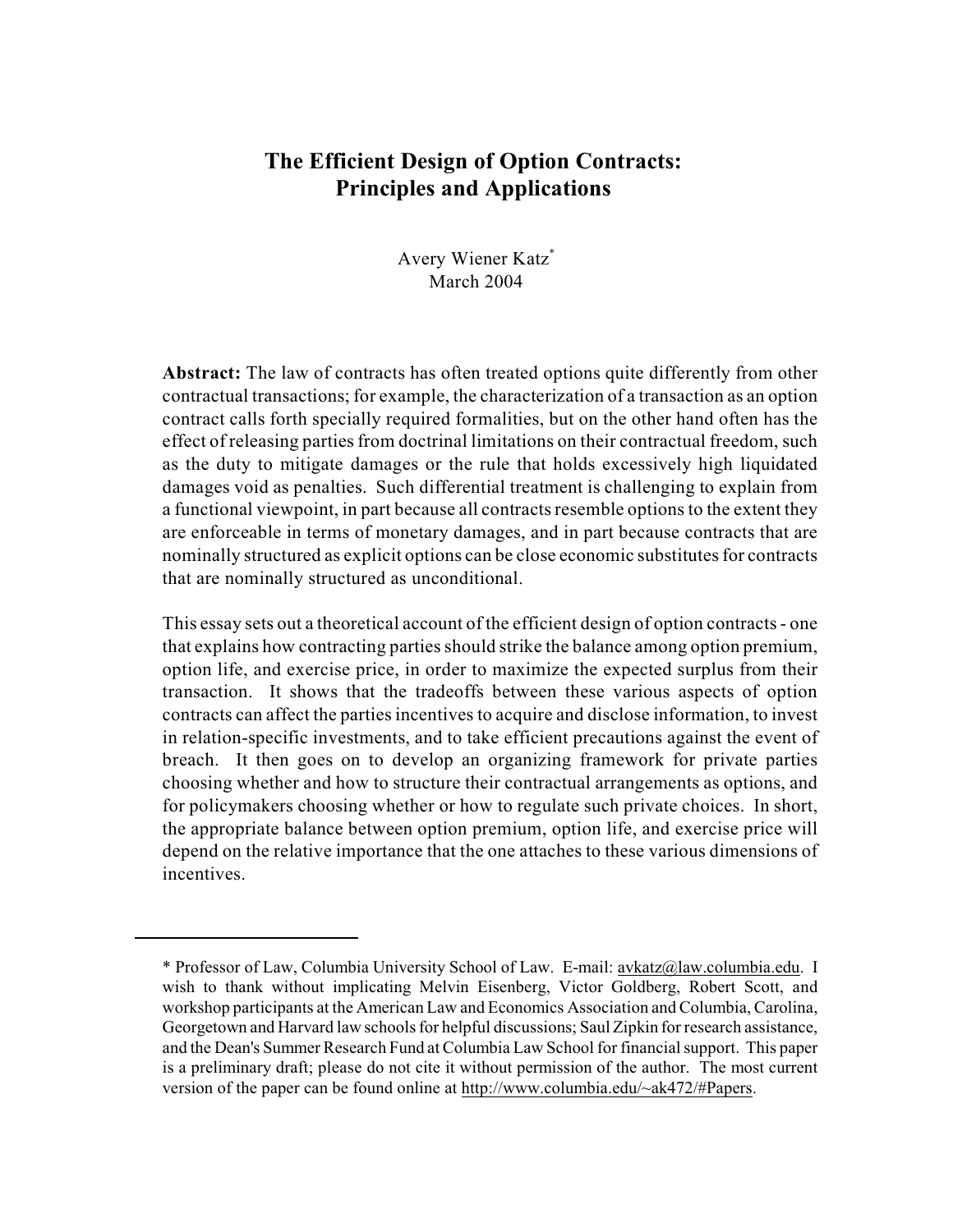# **The Efficient Design of Option Contracts: Principles and Applications**

Avery Wiener Katz\* March 2004

**Abstract:** The law of contracts has often treated options quite differently from other contractual transactions; for example, the characterization of a transaction as an option contract calls forth specially required formalities, but on the other hand often has the effect of releasing partiesfrom doctrinal limitations on their contractual freedom, such as the duty to mitigate damages or the rule that holds excessively high liquidated damages void as penalties. Such differential treatment is challenging to explain from a functional viewpoint, in part because all contracts resemble options to the extent they are enforceable in terms of monetary damages, and in part because contracts that are nominally structured as explicit options can be close economic substitutes for contracts that are nominally structured as unconditional.

This essay sets out a theoretical account of the efficient design of option contracts - one that explains how contracting parties should strike the balance among option premium, option life, and exercise price, in order to maximize the expected surplus from their transaction. It shows that the tradeoffs between these various aspects of option contracts can affect the parties incentives to acquire and disclose information, to invest in relation-specific investments, and to take efficient precautions against the event of breach. It then goes on to develop an organizing framework for private parties choosing whether and how to structure their contractual arrangements as options, and for policymakers choosing whether or how to regulate such private choices. In short, the appropriate balance between option premium, option life, and exercise price will depend on the relative importance that the one attaches to these various dimensions of incentives.

<sup>\*</sup> Professor of Law, Columbia University School of Law. E-mail: [avkatz@law.columbia.edu](mailto:avkatz@law.columbia.edu.). I wish to thank without implicating Melvin Eisenberg, Victor Goldberg, Robert Scott, and workshop participants at the American Law and Economics Association and Columbia, Carolina, Georgetown and Harvard law schools for helpful discussions; Saul Zipkin for research assistance, and the Dean's Summer Research Fund at Columbia Law School for financial support. This paper is a preliminary draft; please do not cite it without permission of the author. The most current version of the paper can be found online at [http://www.columbia.edu/~ak472/#Papers](mailto:avkatz@law.columbia.edu.).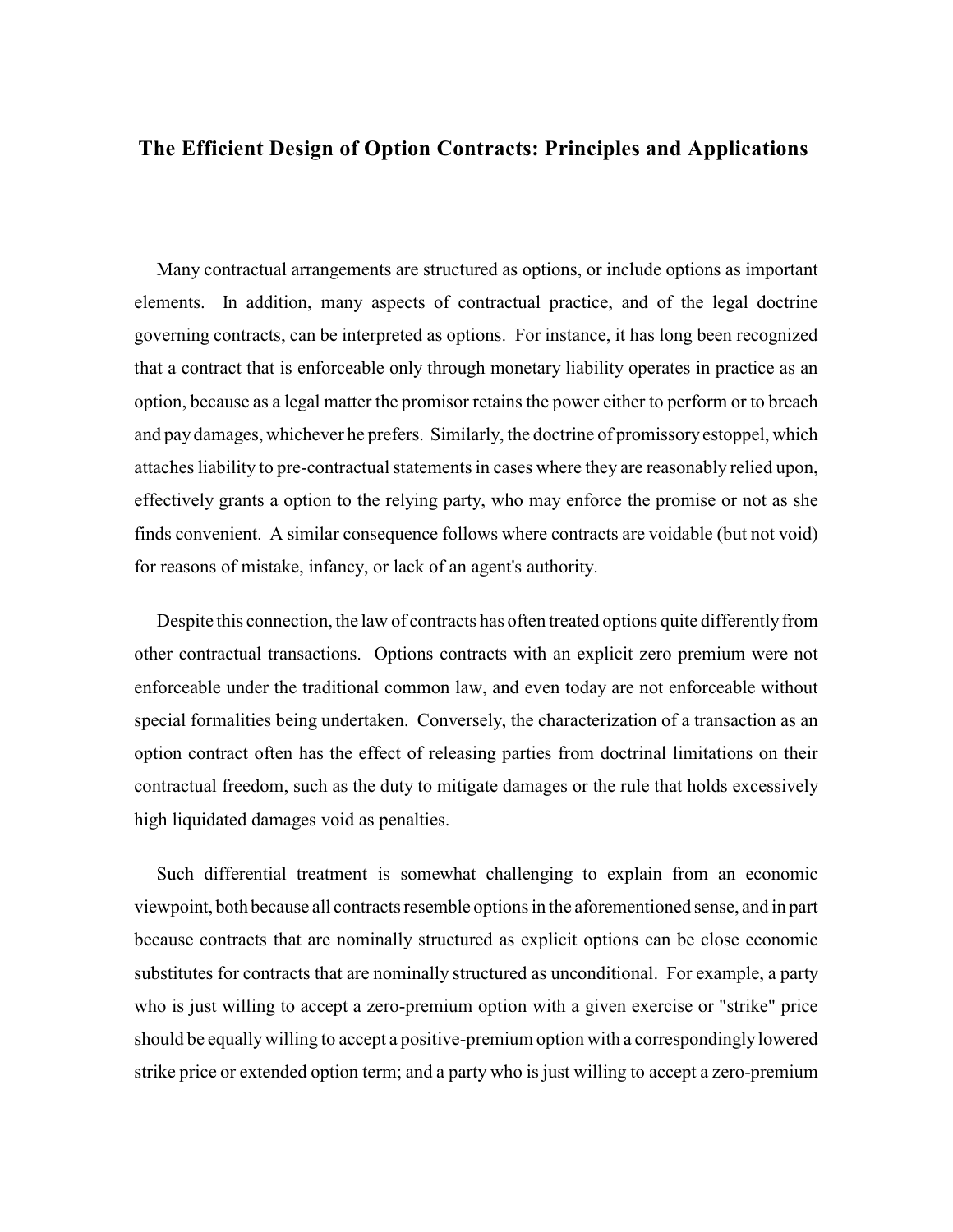## **The Efficient Design of Option Contracts: Principles and Applications**

Many contractual arrangements are structured as options, or include options as important elements. In addition, many aspects of contractual practice, and of the legal doctrine governing contracts, can be interpreted as options. For instance, it has long been recognized that a contract that is enforceable only through monetary liability operates in practice as an option, because as a legal matter the promisor retains the power either to perform or to breach and pay damages, whichever he prefers. Similarly, the doctrine of promissory estoppel, which attaches liability to pre-contractual statements in cases where they are reasonably relied upon, effectively grants a option to the relying party, who may enforce the promise or not as she finds convenient. A similar consequence follows where contracts are voidable (but not void) for reasons of mistake, infancy, or lack of an agent's authority.

Despite this connection, the law of contracts has often treated options quite differently from other contractual transactions. Options contracts with an explicit zero premium were not enforceable under the traditional common law, and even today are not enforceable without special formalities being undertaken. Conversely, the characterization of a transaction as an option contract often has the effect of releasing parties from doctrinal limitations on their contractual freedom, such as the duty to mitigate damages or the rule that holds excessively high liquidated damages void as penalties.

Such differential treatment is somewhat challenging to explain from an economic viewpoint, both because all contracts resemble options in the aforementioned sense, and in part because contracts that are nominally structured as explicit options can be close economic substitutes for contracts that are nominally structured as unconditional. For example, a party who is just willing to accept a zero-premium option with a given exercise or "strike" price should be equallywilling to accept a positive-premium option with a correspondingly lowered strike price or extended option term; and a party who is just willing to accept a zero-premium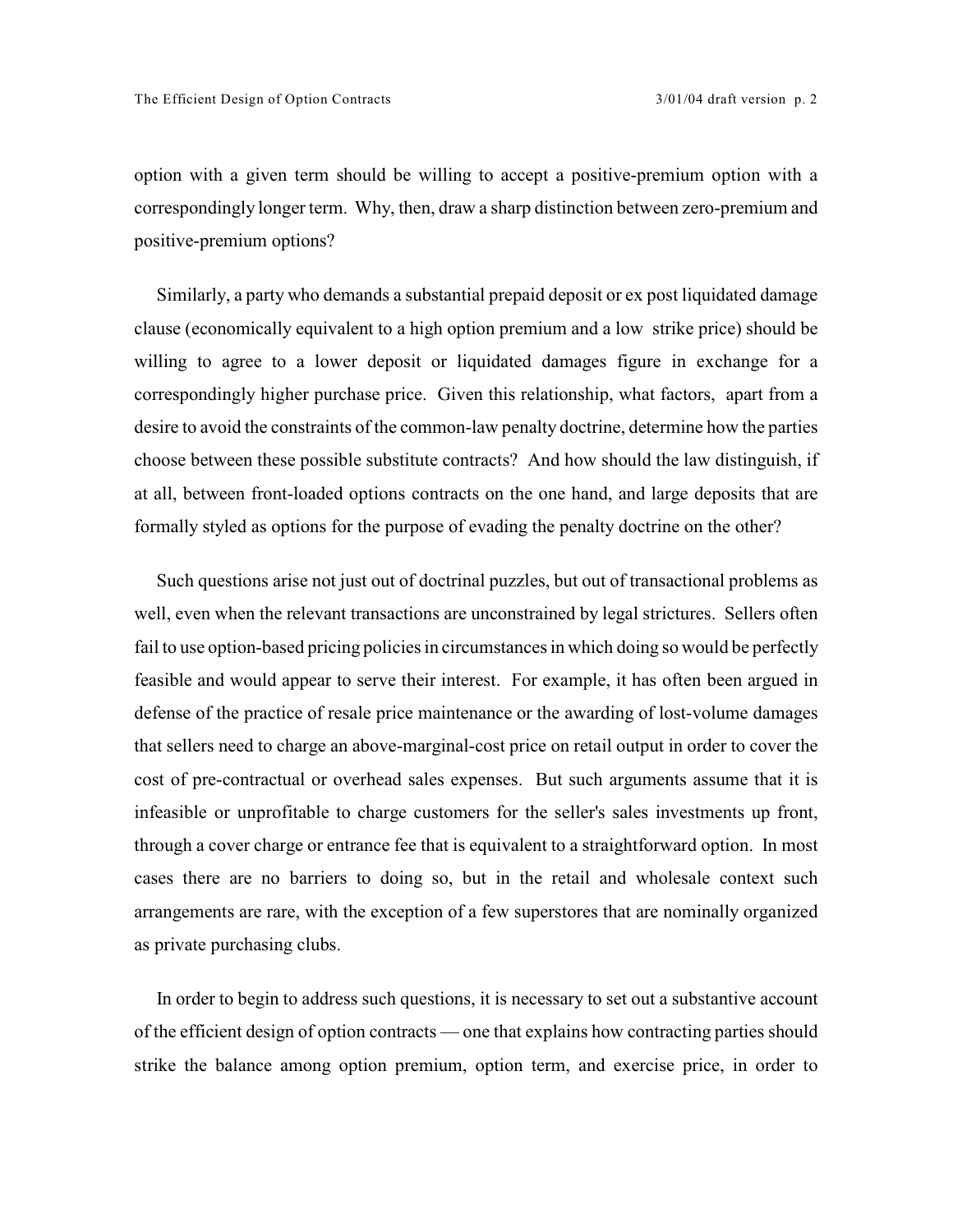option with a given term should be willing to accept a positive-premium option with a correspondingly longer term. Why, then, draw a sharp distinction between zero-premium and positive-premium options?

Similarly, a party who demands a substantial prepaid deposit or ex post liquidated damage clause (economically equivalent to a high option premium and a low strike price) should be willing to agree to a lower deposit or liquidated damages figure in exchange for a correspondingly higher purchase price. Given this relationship, what factors, apart from a desire to avoid the constraints of the common-law penalty doctrine, determine how the parties choose between these possible substitute contracts? And how should the law distinguish, if at all, between front-loaded options contracts on the one hand, and large deposits that are formally styled as options for the purpose of evading the penalty doctrine on the other?

Such questions arise not just out of doctrinal puzzles, but out of transactional problems as well, even when the relevant transactions are unconstrained by legal strictures. Sellers often fail to use option-based pricing policies in circumstances in which doing so would be perfectly feasible and would appear to serve their interest. For example, it has often been argued in defense of the practice of resale price maintenance or the awarding of lost-volume damages that sellers need to charge an above-marginal-cost price on retail output in order to cover the cost of pre-contractual or overhead sales expenses. But such arguments assume that it is infeasible or unprofitable to charge customers for the seller's sales investments up front, through a cover charge or entrance fee that is equivalent to a straightforward option. In most cases there are no barriers to doing so, but in the retail and wholesale context such arrangements are rare, with the exception of a few superstores that are nominally organized as private purchasing clubs.

In order to begin to address such questions, it is necessary to set out a substantive account of the efficient design of option contracts — one that explains how contracting parties should strike the balance among option premium, option term, and exercise price, in order to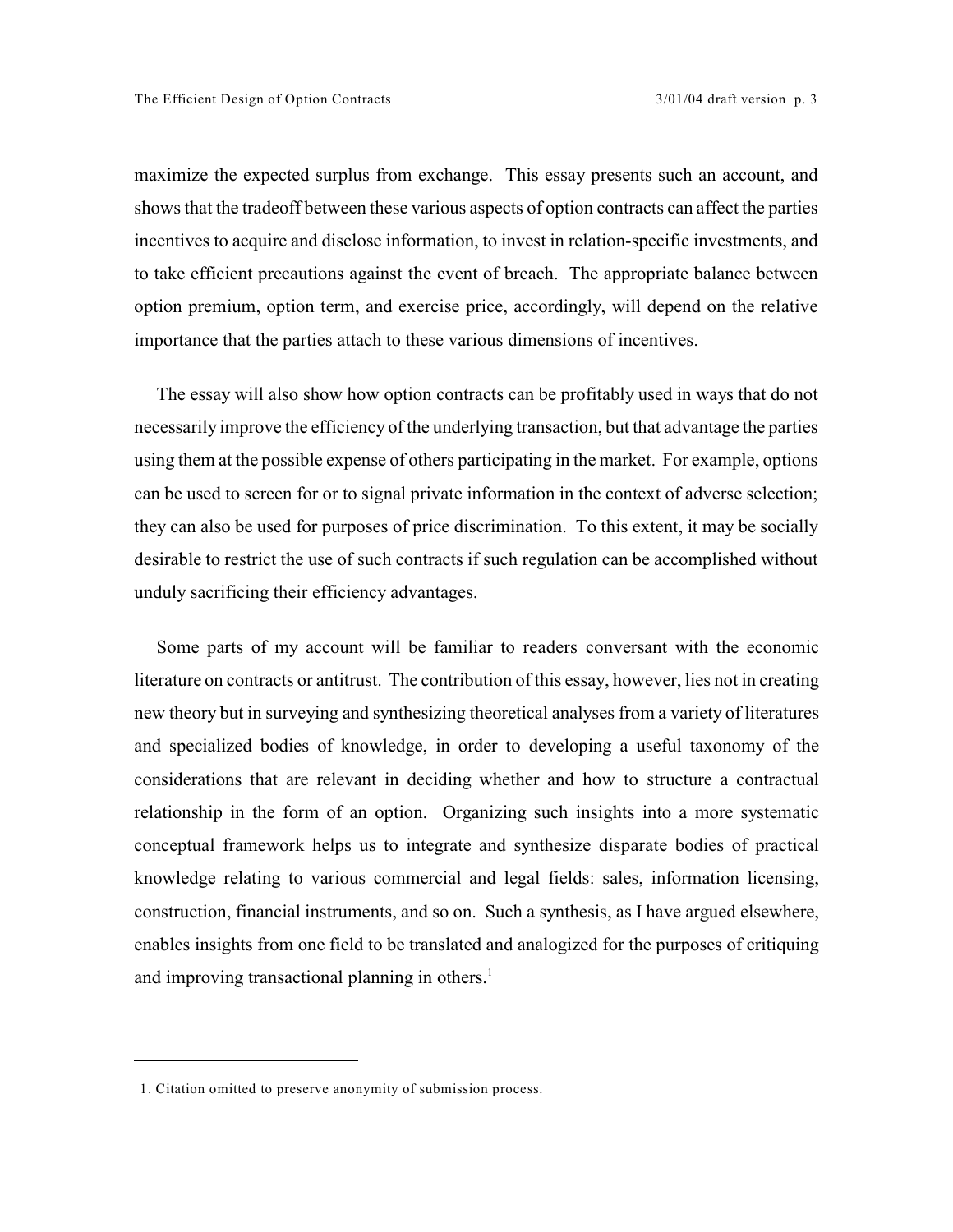maximize the expected surplus from exchange. This essay presents such an account, and shows that the tradeoff between these various aspects of option contracts can affect the parties incentives to acquire and disclose information, to invest in relation-specific investments, and to take efficient precautions against the event of breach. The appropriate balance between option premium, option term, and exercise price, accordingly, will depend on the relative importance that the parties attach to these various dimensions of incentives.

The essay will also show how option contracts can be profitably used in ways that do not necessarily improve the efficiency of the underlying transaction, but that advantage the parties using them at the possible expense of others participating in the market. For example, options can be used to screen for or to signal private information in the context of adverse selection; they can also be used for purposes of price discrimination. To this extent, it may be socially desirable to restrict the use of such contracts if such regulation can be accomplished without unduly sacrificing their efficiency advantages.

Some parts of my account will be familiar to readers conversant with the economic literature on contracts or antitrust. The contribution of this essay, however, lies not in creating new theory but in surveying and synthesizing theoretical analyses from a variety of literatures and specialized bodies of knowledge, in order to developing a useful taxonomy of the considerations that are relevant in deciding whether and how to structure a contractual relationship in the form of an option. Organizing such insights into a more systematic conceptual framework helps us to integrate and synthesize disparate bodies of practical knowledge relating to various commercial and legal fields: sales, information licensing, construction, financial instruments, and so on. Such a synthesis, as I have argued elsewhere, enables insights from one field to be translated and analogized for the purposes of critiquing and improving transactional planning in others.<sup>1</sup>

<sup>1.</sup> Citation omitted to preserve anonymity of submission process.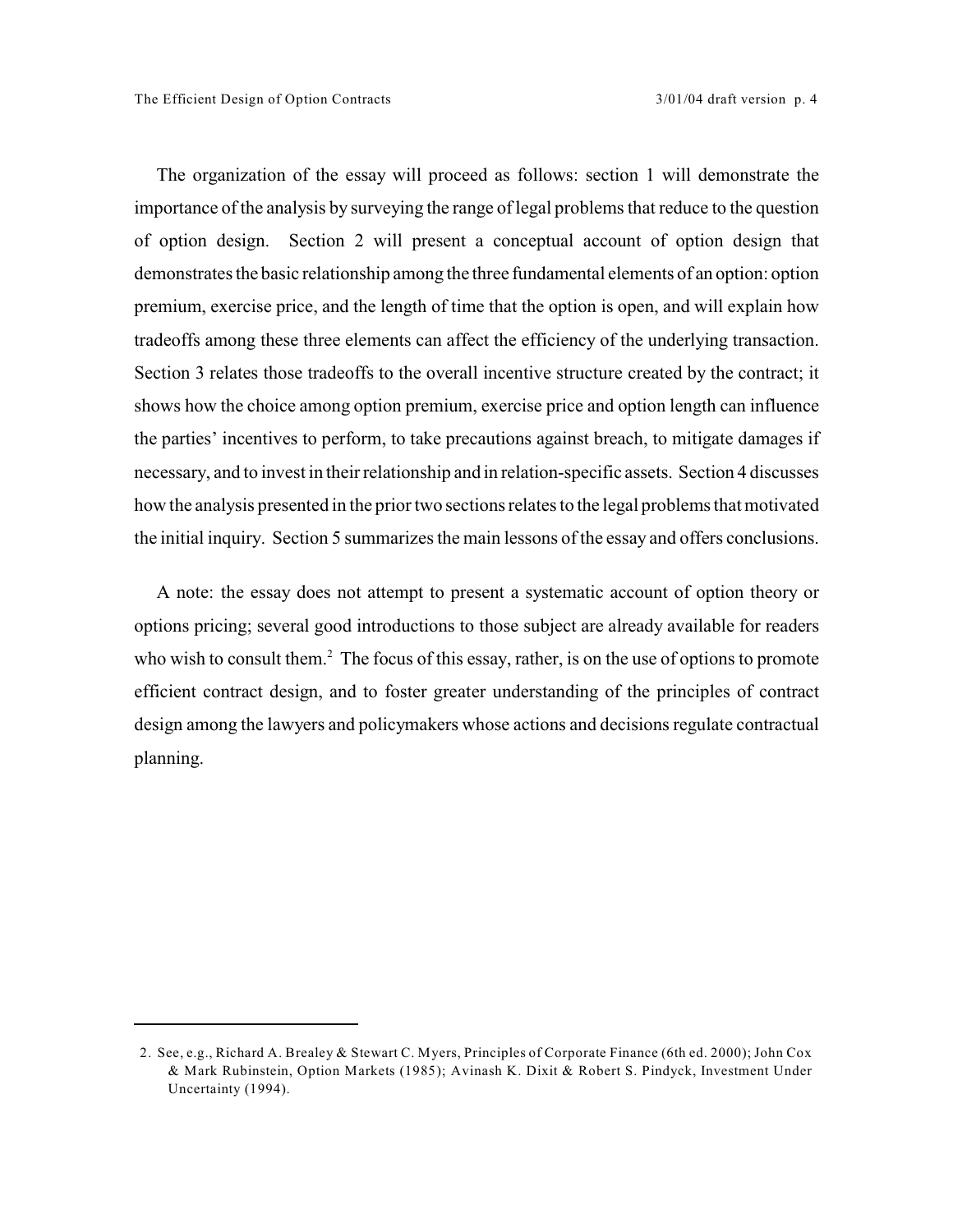The organization of the essay will proceed as follows: section 1 will demonstrate the importance of the analysis by surveying the range of legal problems that reduce to the question of option design. Section 2 will present a conceptual account of option design that demonstrates the basic relationship among the three fundamental elements of an option: option premium, exercise price, and the length of time that the option is open, and will explain how tradeoffs among these three elements can affect the efficiency of the underlying transaction. Section 3 relates those tradeoffs to the overall incentive structure created by the contract; it shows how the choice among option premium, exercise price and option length can influence the parties' incentives to perform, to take precautions against breach, to mitigate damages if necessary, and to invest in their relationship and in relation-specific assets. Section 4 discusses how the analysis presented in the prior two sections relates to the legal problems that motivated the initial inquiry. Section 5 summarizes the main lessons of the essay and offers conclusions.

A note: the essay does not attempt to present a systematic account of option theory or options pricing; several good introductions to those subject are already available for readers who wish to consult them. $^2$  The focus of this essay, rather, is on the use of options to promote efficient contract design, and to foster greater understanding of the principles of contract design among the lawyers and policymakers whose actions and decisions regulate contractual planning.

<sup>2.</sup> See, e.g., Richard A. Brealey & Stewart C. Myers, Principles of Corporate Finance (6th ed. 2000); John Cox & Mark Rubinstein, Option Markets (1985); Avinash K. Dixit & Robert S. Pindyck, Investment Under Uncertainty (1994).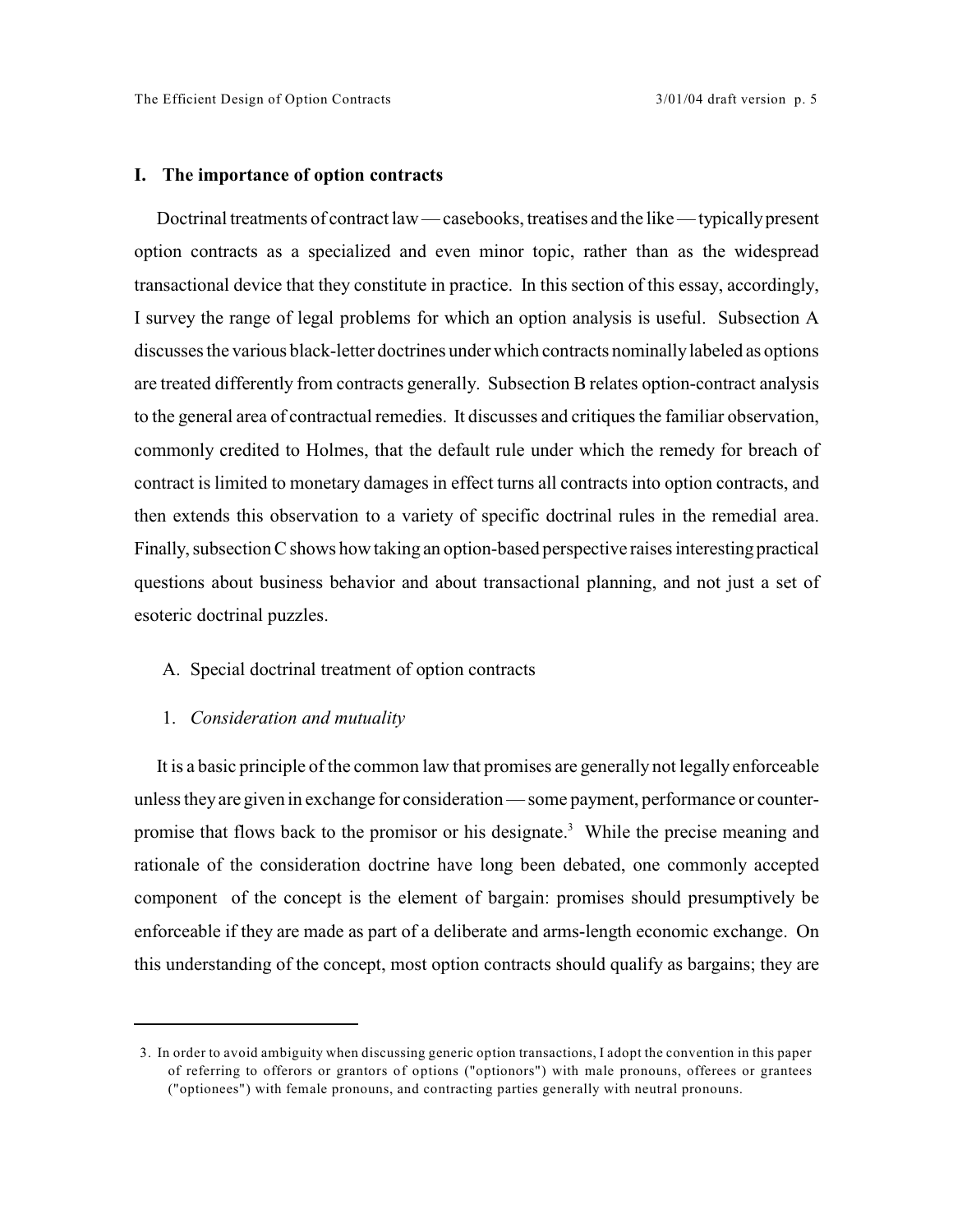## **I. The importance of option contracts**

Doctrinal treatments of contract law — casebooks, treatises and the like — typically present option contracts as a specialized and even minor topic, rather than as the widespread transactional device that they constitute in practice. In this section of this essay, accordingly, I survey the range of legal problems for which an option analysis is useful. Subsection A discusses the various black-letter doctrines under which contracts nominally labeled as options are treated differently from contracts generally. Subsection B relates option-contract analysis to the general area of contractual remedies. It discusses and critiques the familiar observation, commonly credited to Holmes, that the default rule under which the remedy for breach of contract is limited to monetary damages in effect turns all contracts into option contracts, and then extends this observation to a variety of specific doctrinal rules in the remedial area. Finally, subsection C shows how taking an option-based perspective raises interesting practical questions about business behavior and about transactional planning, and not just a set of esoteric doctrinal puzzles.

## A. Special doctrinal treatment of option contracts

## 1. *Consideration and mutuality*

It is a basic principle of the common law that promises are generally not legally enforceable unless theyare given in exchange for consideration — some payment, performance or counterpromise that flows back to the promisor or his designate.<sup>3</sup> While the precise meaning and rationale of the consideration doctrine have long been debated, one commonly accepted component of the concept is the element of bargain: promises should presumptively be enforceable if they are made as part of a deliberate and arms-length economic exchange. On this understanding of the concept, most option contracts should qualify as bargains; they are

<sup>3.</sup> In order to avoid ambiguity when discussing generic option transactions, I adopt the convention in this paper of referring to offerors or grantors of options ("optionors") with male pronouns, offerees or grantees ("optionees") with female pronouns, and contracting parties generally with neutral pronouns.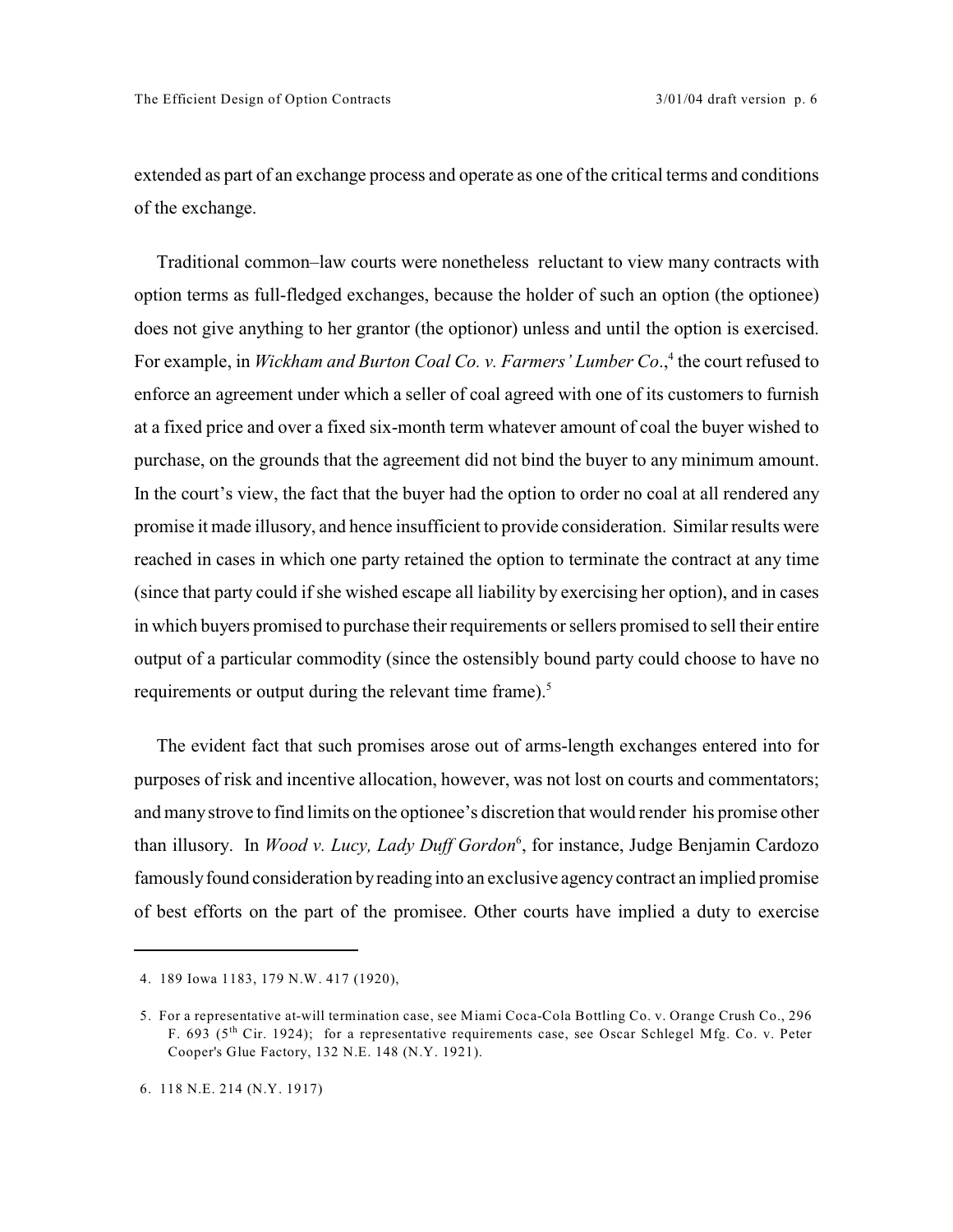extended as part of an exchange process and operate as one of the critical terms and conditions of the exchange.

Traditional common–law courts were nonetheless reluctant to view many contracts with option terms as full-fledged exchanges, because the holder of such an option (the optionee) does not give anything to her grantor (the optionor) unless and until the option is exercised. For example, in *Wickham and Burton Coal Co. v. Farmers' Lumber Co.*,<sup>4</sup> the court refused to enforce an agreement under which a seller of coal agreed with one of its customers to furnish at a fixed price and over a fixed six-month term whatever amount of coal the buyer wished to purchase, on the grounds that the agreement did not bind the buyer to any minimum amount. In the court's view, the fact that the buyer had the option to order no coal at all rendered any promise it made illusory, and hence insufficient to provide consideration. Similar results were reached in cases in which one party retained the option to terminate the contract at any time (since that party could if she wished escape all liability by exercising her option), and in cases in which buyers promised to purchase their requirements or sellers promised to sell their entire output of a particular commodity (since the ostensibly bound party could choose to have no requirements or output during the relevant time frame).<sup>5</sup>

The evident fact that such promises arose out of arms-length exchanges entered into for purposes of risk and incentive allocation, however, was not lost on courts and commentators; and many strove to find limits on the optionee's discretion that would render his promise other than illusory. In *Wood v. Lucy, Lady Duff Gordon*<sup>6</sup>, for instance, Judge Benjamin Cardozo famously found consideration by reading into an exclusive agency contract an implied promise of best efforts on the part of the promisee. Other courts have implied a duty to exercise

<sup>4. 189</sup> Iowa 1183, 179 N.W. 417 (1920),

<sup>5.</sup> For a representative at-will termination case, see Miami Coca-Cola Bottling Co. v. Orange Crush Co., 296 F. 693 ( $5<sup>th</sup>$  Cir. 1924); for a representative requirements case, see Oscar Schlegel Mfg. Co. v. Peter Cooper's Glue Factory, 132 N.E. 148 (N.Y. 1921).

<sup>6. 118</sup> N.E. 214 (N.Y. 1917)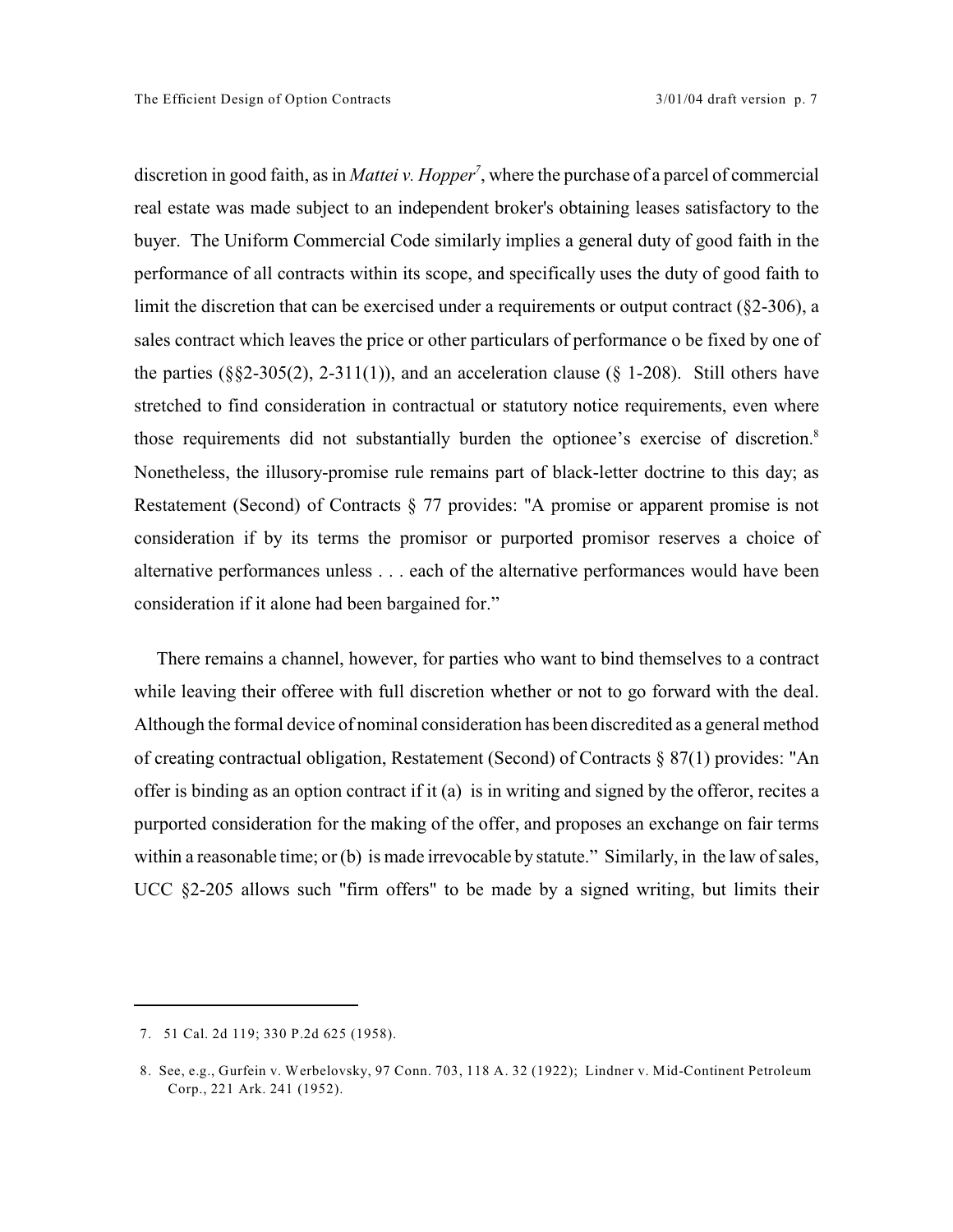discretion in good faith, as in *Mattei v. Hopper*<sup>7</sup>, where the purchase of a parcel of commercial real estate was made subject to an independent broker's obtaining leases satisfactory to the buyer. The Uniform Commercial Code similarly implies a general duty of good faith in the performance of all contracts within its scope, and specifically uses the duty of good faith to limit the discretion that can be exercised under a requirements or output contract (§2-306), a sales contract which leaves the price or other particulars of performance o be fixed by one of the parties  $(\frac{8}{2}-305(2), 2-311(1))$ , and an acceleration clause  $(\frac{8}{1}-208)$ . Still others have stretched to find consideration in contractual or statutory notice requirements, even where those requirements did not substantially burden the optionee's exercise of discretion.<sup>8</sup> Nonetheless, the illusory-promise rule remains part of black-letter doctrine to this day; as Restatement (Second) of Contracts § 77 provides: "A promise or apparent promise is not consideration if by its terms the promisor or purported promisor reserves a choice of alternative performances unless . . . each of the alternative performances would have been consideration if it alone had been bargained for."

There remains a channel, however, for parties who want to bind themselves to a contract while leaving their offeree with full discretion whether or not to go forward with the deal. Although the formal device of nominal consideration has been discredited as a general method of creating contractual obligation, Restatement (Second) of Contracts § 87(1) provides: "An offer is binding as an option contract if it (a) is in writing and signed by the offeror, recites a purported consideration for the making of the offer, and proposes an exchange on fair terms within a reasonable time; or (b) is made irrevocable by statute." Similarly, in the law of sales, UCC §2-205 allows such "firm offers" to be made by a signed writing, but limits their

<sup>7. 51</sup> Cal. 2d 119; 330 P.2d 625 (1958).

<sup>8.</sup> See, e.g., Gurfein v. Werbelovsky, 97 Conn. 703, 118 A. 32 (1922); Lindner v. Mid-Continent Petroleum Corp., 221 Ark. 241 (1952).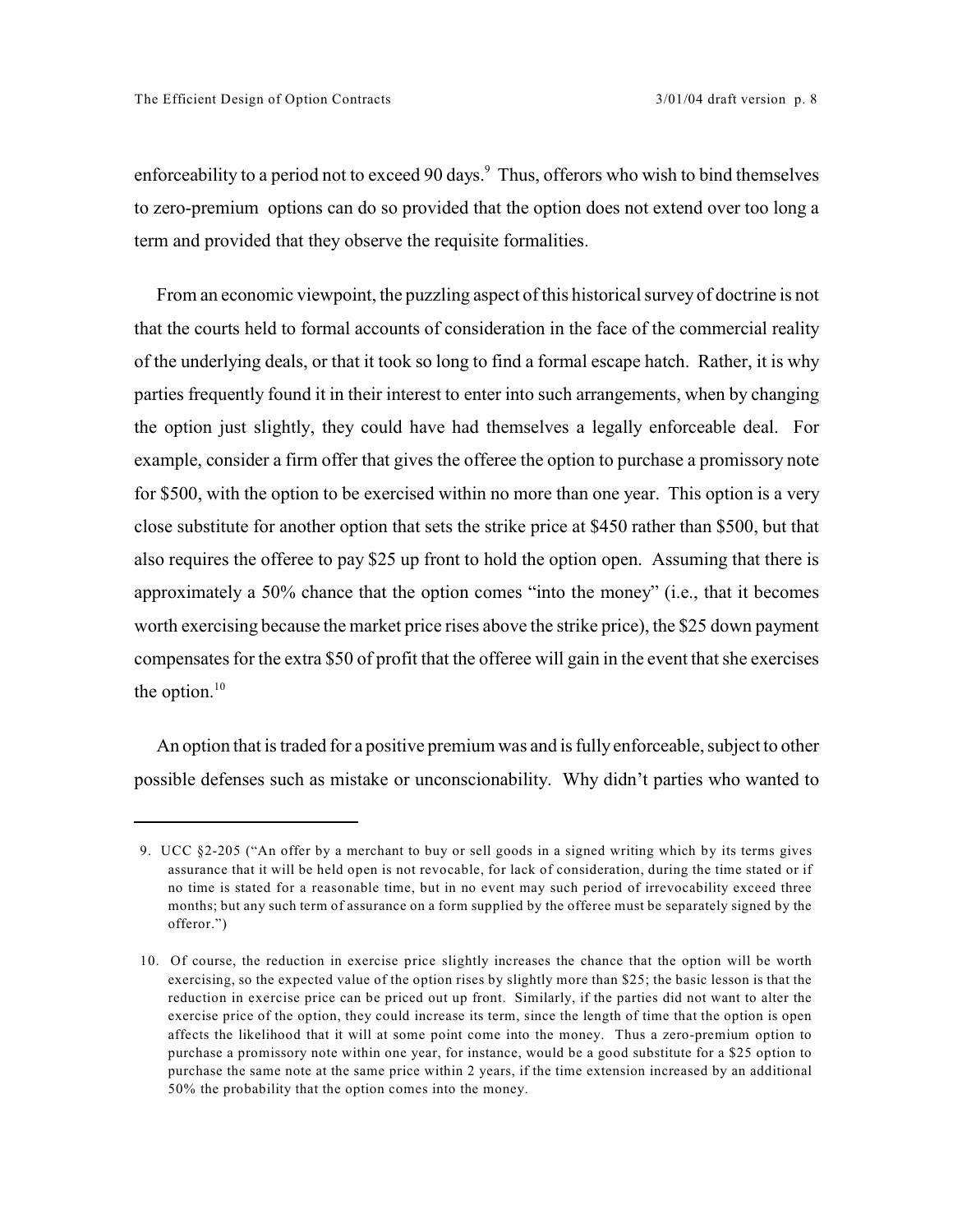enforceability to a period not to exceed 90 days.<sup>9</sup> Thus, offerors who wish to bind themselves to zero-premium options can do so provided that the option does not extend over too long a term and provided that they observe the requisite formalities.

From an economic viewpoint, the puzzling aspect of this historical survey of doctrine is not that the courts held to formal accounts of consideration in the face of the commercial reality of the underlying deals, or that it took so long to find a formal escape hatch. Rather, it is why parties frequently found it in their interest to enter into such arrangements, when by changing the option just slightly, they could have had themselves a legally enforceable deal. For example, consider a firm offer that gives the offeree the option to purchase a promissory note for \$500, with the option to be exercised within no more than one year. This option is a very close substitute for another option that sets the strike price at \$450 rather than \$500, but that also requires the offeree to pay \$25 up front to hold the option open. Assuming that there is approximately a 50% chance that the option comes "into the money" (i.e., that it becomes worth exercising because the market price rises above the strike price), the \$25 down payment compensates for the extra \$50 of profit that the offeree will gain in the event that she exercises the option. $10$ 

An option that is traded for a positive premium was and is fully enforceable, subject to other possible defenses such as mistake or unconscionability. Why didn't parties who wanted to

<sup>9.</sup> UCC §2-205 ("An offer by a merchant to buy or sell goods in a signed writing which by its terms gives assurance that it will be held open is not revocable, for lack of consideration, during the time stated or if no time is stated for a reasonable time, but in no event may such period of irrevocability exceed three months; but any such term of assurance on a form supplied by the offeree must be separately signed by the offeror.")

<sup>10.</sup> Of course, the reduction in exercise price slightly increases the chance that the option will be worth exercising, so the expected value of the option rises by slightly more than \$25; the basic lesson is that the reduction in exercise price can be priced out up front. Similarly, if the parties did not want to alter the exercise price of the option, they could increase its term, since the length of time that the option is open affects the likelihood that it will at some point come into the money. Thus a zero-premium option to purchase a promissory note within one year, for instance, would be a good substitute for a \$25 option to purchase the same note at the same price within 2 years, if the time extension increased by an additional 50% the probability that the option comes into the money.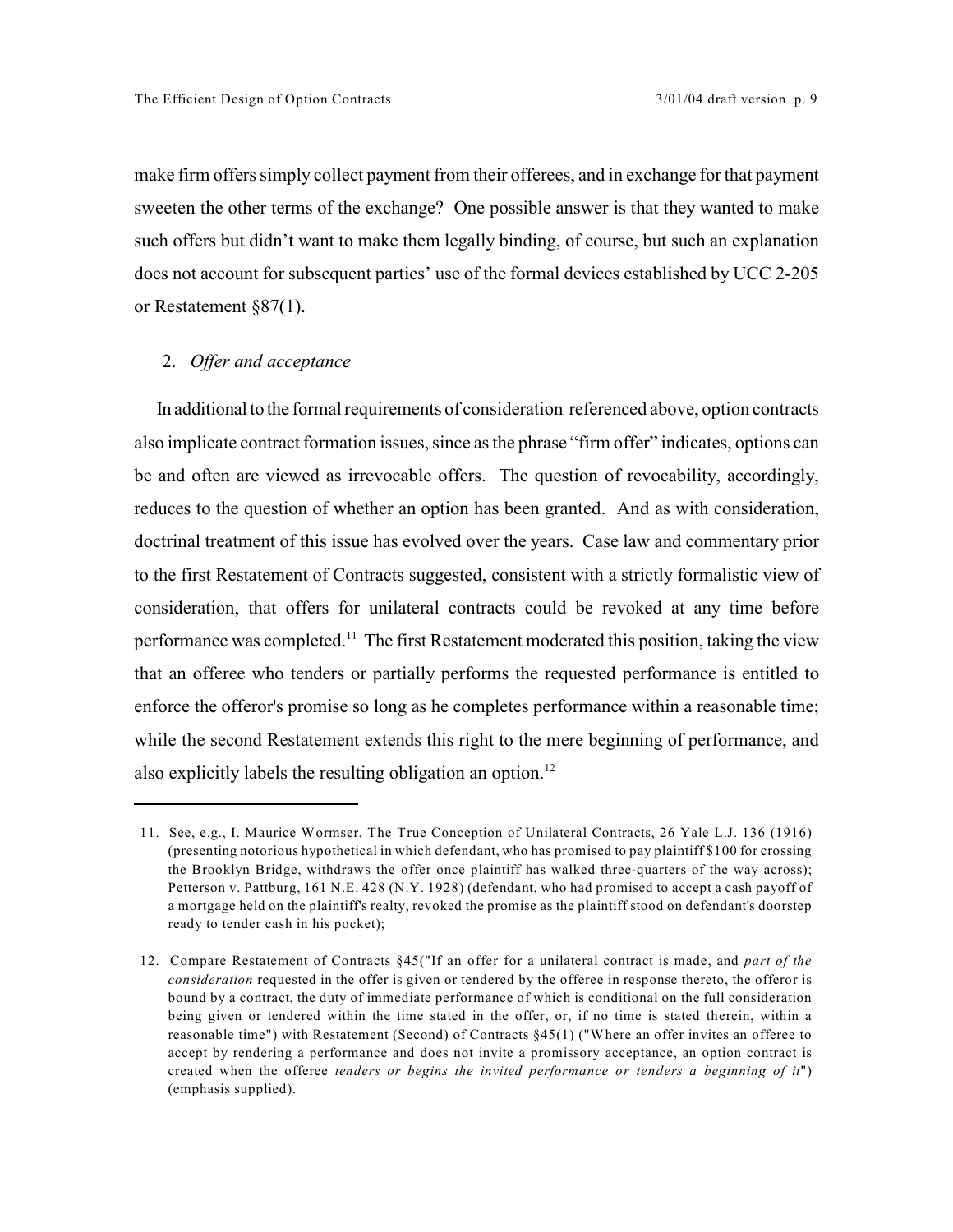make firm offers simply collect payment from their offerees, and in exchange for that payment sweeten the other terms of the exchange? One possible answer is that they wanted to make such offers but didn't want to make them legally binding, of course, but such an explanation does not account for subsequent parties' use of the formal devices established by UCC 2-205 or Restatement §87(1).

## 2. *Offer and acceptance*

In additional to the formal requirements of consideration referenced above, option contracts also implicate contract formation issues, since as the phrase "firm offer" indicates, options can be and often are viewed as irrevocable offers. The question of revocability, accordingly, reduces to the question of whether an option has been granted. And as with consideration, doctrinal treatment of this issue has evolved over the years. Case law and commentary prior to the first Restatement of Contracts suggested, consistent with a strictly formalistic view of consideration, that offers for unilateral contracts could be revoked at any time before performance was completed.<sup>11</sup> The first Restatement moderated this position, taking the view that an offeree who tenders or partially performs the requested performance is entitled to enforce the offeror's promise so long as he completes performance within a reasonable time; while the second Restatement extends this right to the mere beginning of performance, and also explicitly labels the resulting obligation an option.<sup>12</sup>

<sup>11.</sup> See, e.g., I. Maurice Wormser, The True Conception of Unilateral Contracts, 26 Yale L.J. 136 (1916) (presenting notorious hypothetical in which defendant, who has promised to pay plaintiff \$100 for crossing the Brooklyn Bridge, withdraws the offer once plaintiff has walked three-quarters of the way across); Petterson v. Pattburg, 161 N.E. 428 (N.Y. 1928) (defendant, who had promised to accept a cash payoff of a mortgage held on the plaintiff's realty, revoked the promise as the plaintiff stood on defendant's doorstep ready to tender cash in his pocket);

<sup>12.</sup> Compare Restatement of Contracts §45("If an offer for a unilateral contract is made, and *part of the consideration* requested in the offer is given or tendered by the offeree in response thereto, the offeror is bound by a contract, the duty of immediate performance of which is conditional on the full consideration being given or tendered within the time stated in the offer, or, if no time is stated therein, within a reasonable time") with Restatement (Second) of Contracts §45(1) ("Where an offer invites an offeree to accept by rendering a performance and does not invite a promissory acceptance, an option contract is created when the offeree *tenders or begins the invited performance or tenders a beginning of it*") (emphasis supplied).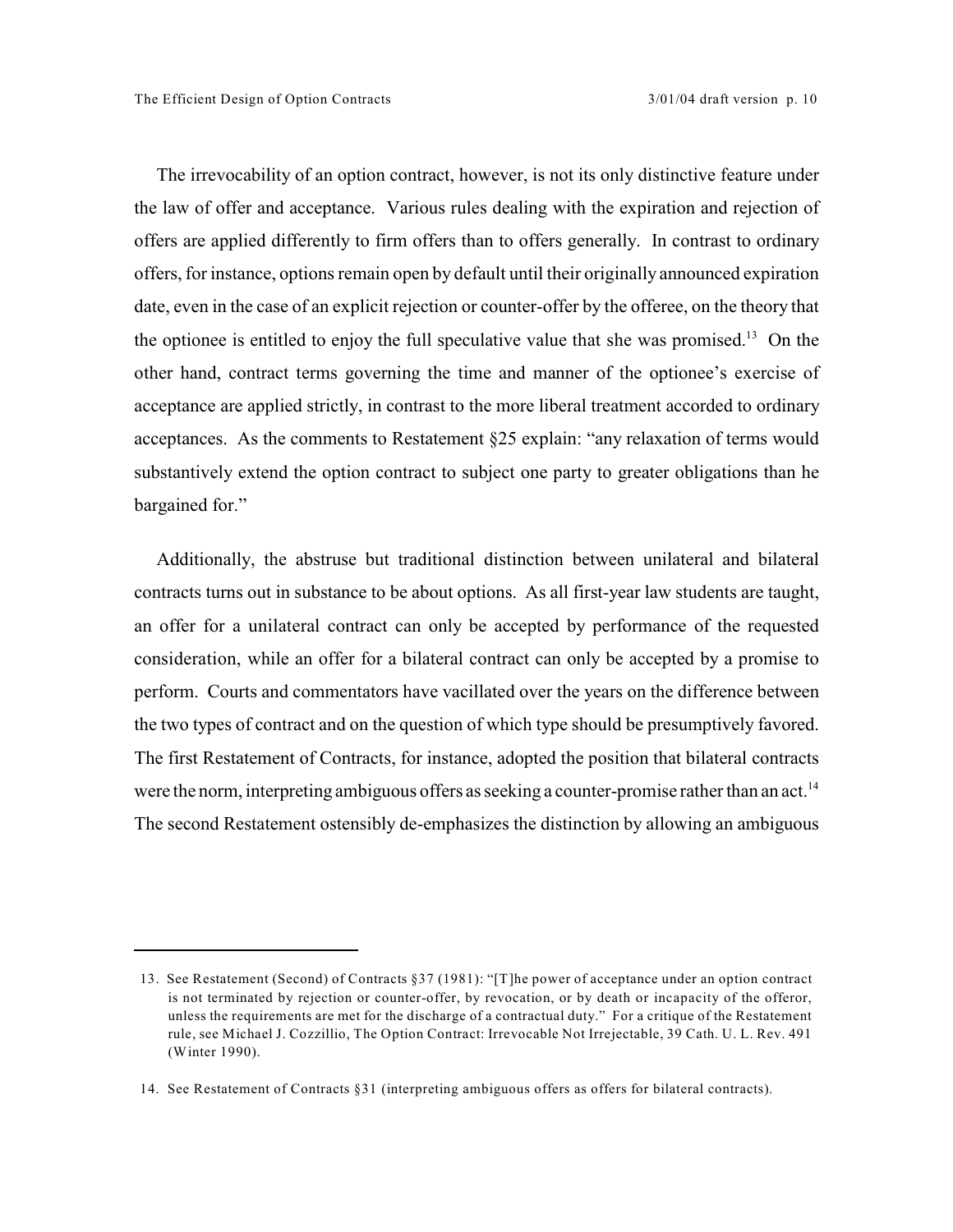The irrevocability of an option contract, however, is not its only distinctive feature under the law of offer and acceptance. Various rules dealing with the expiration and rejection of offers are applied differently to firm offers than to offers generally. In contrast to ordinary offers, for instance, options remain open by default until their originally announced expiration date, even in the case of an explicit rejection or counter-offer by the offeree, on the theory that the optionee is entitled to enjoy the full speculative value that she was promised.<sup>13</sup> On the other hand, contract terms governing the time and manner of the optionee's exercise of acceptance are applied strictly, in contrast to the more liberal treatment accorded to ordinary acceptances. As the comments to Restatement §25 explain: "any relaxation of terms would substantively extend the option contract to subject one party to greater obligations than he bargained for."

Additionally, the abstruse but traditional distinction between unilateral and bilateral contracts turns out in substance to be about options. As all first-year law students are taught, an offer for a unilateral contract can only be accepted by performance of the requested consideration, while an offer for a bilateral contract can only be accepted by a promise to perform. Courts and commentators have vacillated over the years on the difference between the two types of contract and on the question of which type should be presumptively favored. The first Restatement of Contracts, for instance, adopted the position that bilateral contracts were the norm, interpreting ambiguous offers as seeking a counter-promise rather than an act.<sup>14</sup> The second Restatement ostensibly de-emphasizes the distinction by allowing an ambiguous

<sup>13.</sup> See Restatement (Second) of Contracts §37 (1981): "[T]he power of acceptance under an option contract is not terminated by rejection or counter-offer, by revocation, or by death or incapacity of the offeror, unless the requirements are met for the discharge of a contractual duty." For a critique of the Restatement rule, see Michael J. Cozzillio, The Option Contract: Irrevocable Not Irrejectable, 39 Cath. U. L. Rev. 491 (Winter 1990).

<sup>14.</sup> See Restatement of Contracts §31 (interpreting ambiguous offers as offers for bilateral contracts).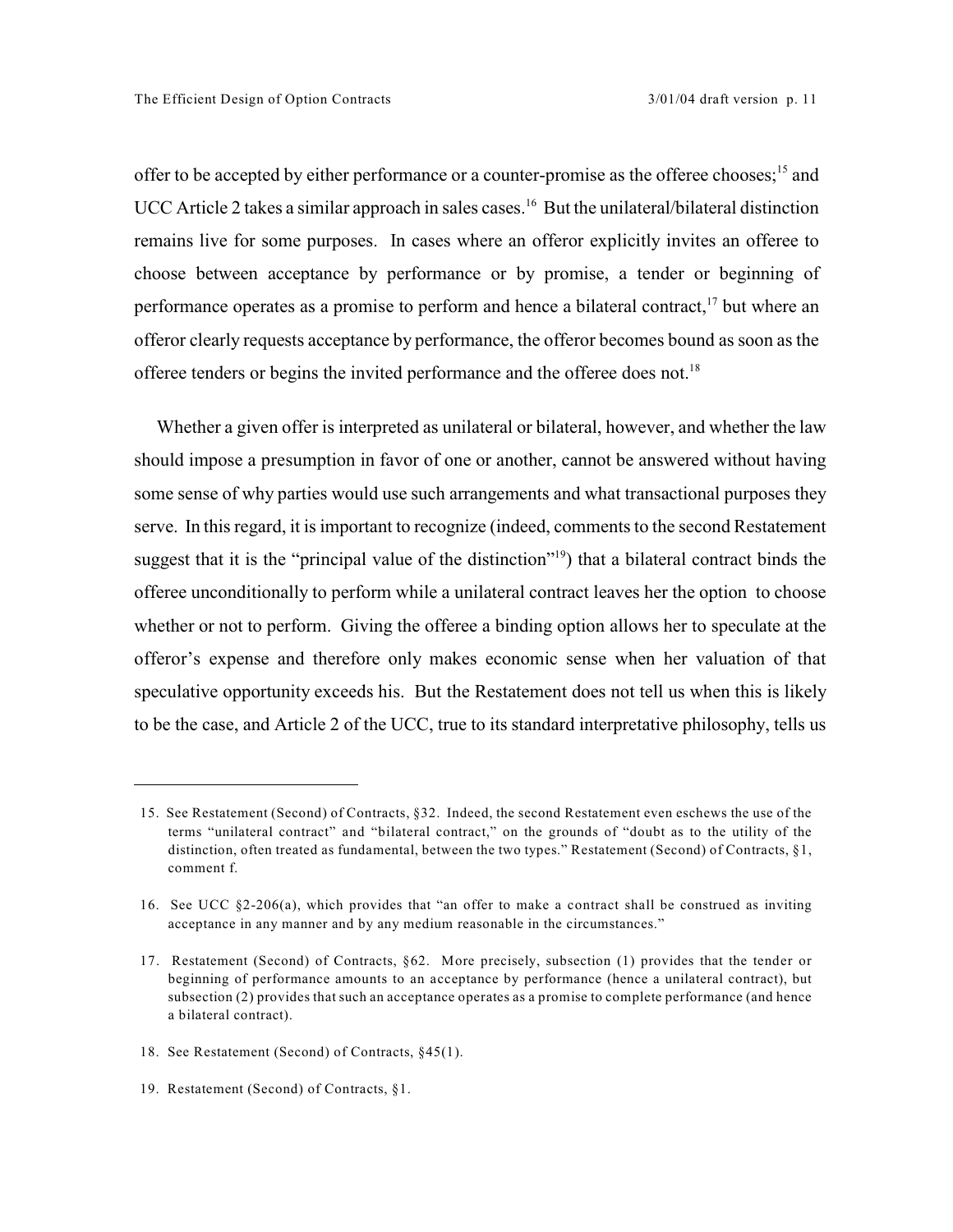offer to be accepted by either performance or a counter-promise as the offeree chooses;  $15$  and UCC Article 2 takes a similar approach in sales cases.<sup>16</sup> But the unilateral/bilateral distinction remains live for some purposes. In cases where an offeror explicitly invites an offeree to choose between acceptance by performance or by promise, a tender or beginning of performance operates as a promise to perform and hence a bilateral contract,  $\frac{17}{17}$  but where an offeror clearly requests acceptance by performance, the offeror becomes bound as soon as the offeree tenders or begins the invited performance and the offeree does not.<sup>18</sup>

Whether a given offer is interpreted as unilateral or bilateral, however, and whether the law should impose a presumption in favor of one or another, cannot be answered without having some sense of why parties would use such arrangements and what transactional purposes they serve. In this regard, it is important to recognize (indeed, comments to the second Restatement suggest that it is the "principal value of the distinction"  $\binom{19}{19}$  that a bilateral contract binds the offeree unconditionally to perform while a unilateral contract leaves her the option to choose whether or not to perform. Giving the offeree a binding option allows her to speculate at the offeror's expense and therefore only makes economic sense when her valuation of that speculative opportunity exceeds his. But the Restatement does not tell us when this is likely to be the case, and Article 2 of the UCC, true to its standard interpretative philosophy, tells us

18. See Restatement (Second) of Contracts, §45(1).

<sup>15.</sup> See Restatement (Second) of Contracts, §32. Indeed, the second Restatement even eschews the use of the terms "unilateral contract" and "bilateral contract," on the grounds of "doubt as to the utility of the distinction, often treated as fundamental, between the two types." Restatement (Second) of Contracts, §1, comment f.

<sup>16.</sup> See UCC §2-206(a), which provides that "an offer to make a contract shall be construed as inviting acceptance in any manner and by any medium reasonable in the circumstances."

<sup>17.</sup> Restatement (Second) of Contracts, §62. More precisely, subsection (1) provides that the tender or beginning of performance amounts to an acceptance by performance (hence a unilateral contract), but subsection (2) provides that such an acceptance operates as a promise to complete performance (and hence a bilateral contract).

<sup>19.</sup> Restatement (Second) of Contracts, §1.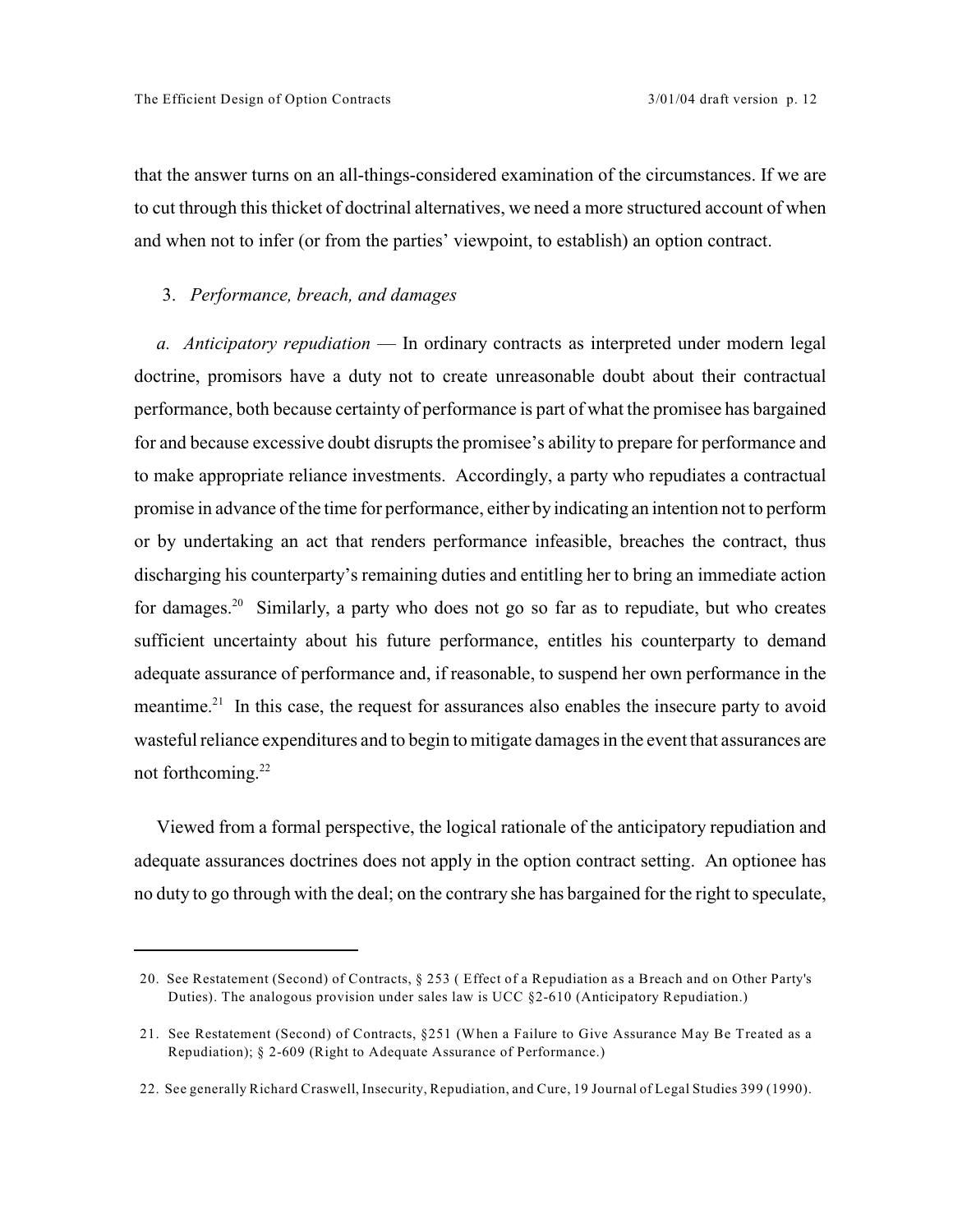that the answer turns on an all-things-considered examination of the circumstances. If we are to cut through this thicket of doctrinal alternatives, we need a more structured account of when and when not to infer (or from the parties' viewpoint, to establish) an option contract.

## 3. *Performance, breach, and damages*

*a. Anticipatory repudiation* — In ordinary contracts as interpreted under modern legal doctrine, promisors have a duty not to create unreasonable doubt about their contractual performance, both because certainty of performance is part of what the promisee has bargained for and because excessive doubt disrupts the promisee's ability to prepare for performance and to make appropriate reliance investments. Accordingly, a party who repudiates a contractual promise in advance of the time for performance, either by indicating an intention not to perform or by undertaking an act that renders performance infeasible, breaches the contract, thus discharging his counterparty's remaining duties and entitling her to bring an immediate action for damages.<sup>20</sup> Similarly, a party who does not go so far as to repudiate, but who creates sufficient uncertainty about his future performance, entitles his counterparty to demand adequate assurance of performance and, if reasonable, to suspend her own performance in the meantime.<sup>21</sup> In this case, the request for assurances also enables the insecure party to avoid wasteful reliance expenditures and to begin to mitigate damages in the event that assurances are not forthcoming.<sup>22</sup>

Viewed from a formal perspective, the logical rationale of the anticipatory repudiation and adequate assurances doctrines does not apply in the option contract setting. An optionee has no duty to go through with the deal; on the contrary she has bargained for the right to speculate,

<sup>20.</sup> See Restatement (Second) of Contracts, § 253 ( Effect of a Repudiation as a Breach and on Other Party's Duties). The analogous provision under sales law is UCC §2-610 (Anticipatory Repudiation.)

<sup>21.</sup> See Restatement (Second) of Contracts, §251 (When a Failure to Give Assurance May Be Treated as a Repudiation); § 2-609 (Right to Adequate Assurance of Performance.)

<sup>22.</sup> See generally Richard Craswell, Insecurity, Repudiation, and Cure, 19 Journal of Legal Studies 399 (1990).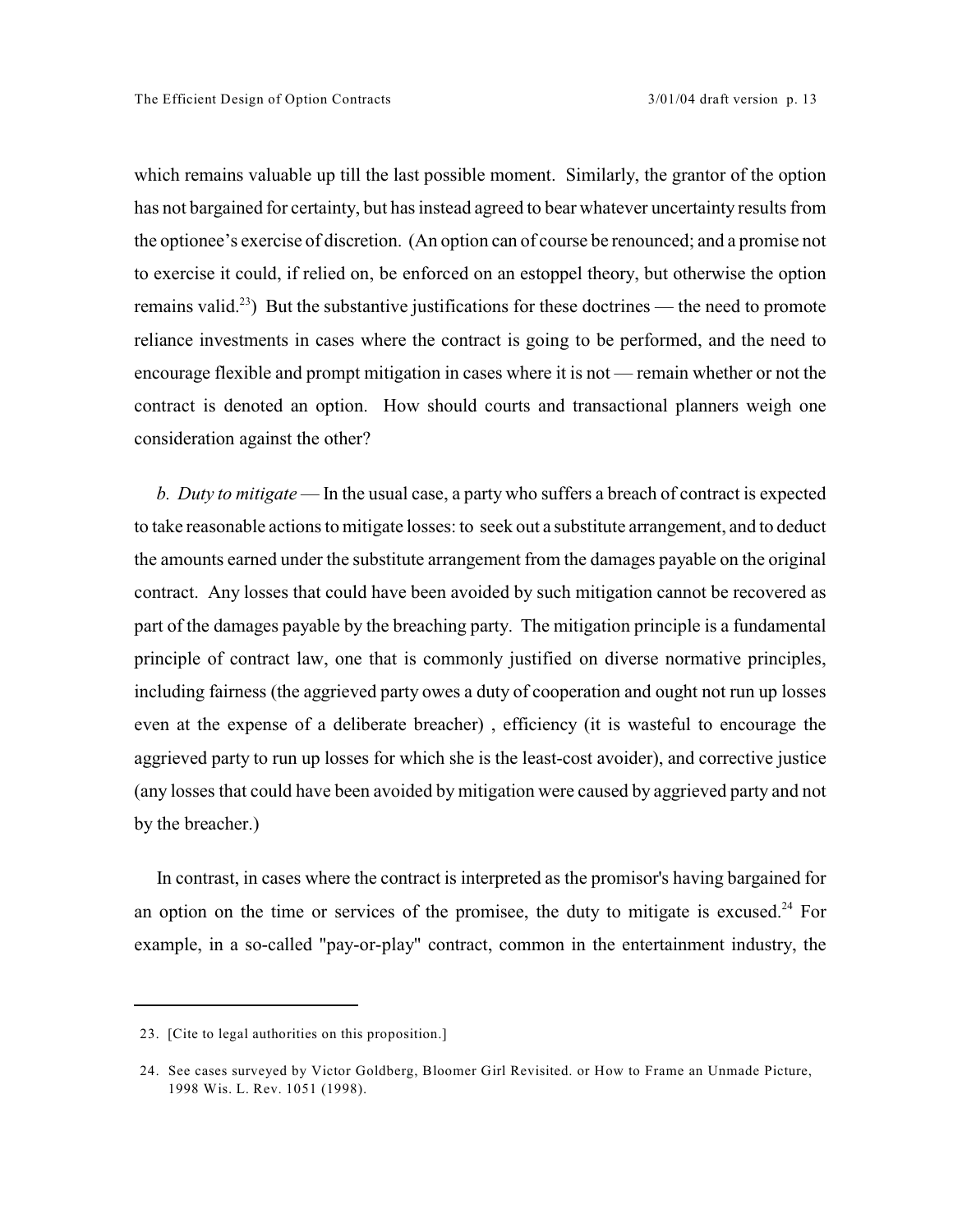which remains valuable up till the last possible moment. Similarly, the grantor of the option has not bargained for certainty, but has instead agreed to bear whatever uncertainty results from the optionee's exercise of discretion. (An option can of course be renounced; and a promise not to exercise it could, if relied on, be enforced on an estoppel theory, but otherwise the option remains valid.<sup>23</sup>) But the substantive justifications for these doctrines — the need to promote reliance investments in cases where the contract is going to be performed, and the need to encourage flexible and prompt mitigation in cases where it is not — remain whether or not the contract is denoted an option. How should courts and transactional planners weigh one consideration against the other?

*b. Duty to mitigate* — In the usual case, a party who suffers a breach of contract is expected to take reasonable actions to mitigate losses: to seek out a substitute arrangement, and to deduct the amounts earned under the substitute arrangement from the damages payable on the original contract. Any losses that could have been avoided by such mitigation cannot be recovered as part of the damages payable by the breaching party. The mitigation principle is a fundamental principle of contract law, one that is commonly justified on diverse normative principles, including fairness (the aggrieved party owes a duty of cooperation and ought not run up losses even at the expense of a deliberate breacher) , efficiency (it is wasteful to encourage the aggrieved party to run up losses for which she is the least-cost avoider), and corrective justice (any losses that could have been avoided by mitigation were caused by aggrieved party and not by the breacher.)

In contrast, in cases where the contract is interpreted as the promisor's having bargained for an option on the time or services of the promisee, the duty to mitigate is excused.<sup>24</sup> For example, in a so-called "pay-or-play" contract, common in the entertainment industry, the

<sup>23. [</sup>Cite to legal authorities on this proposition.]

<sup>24.</sup> See cases surveyed by Victor Goldberg, Bloomer Girl Revisited. or How to Frame an Unmade Picture, 1998 Wis. L. Rev. 1051 (1998).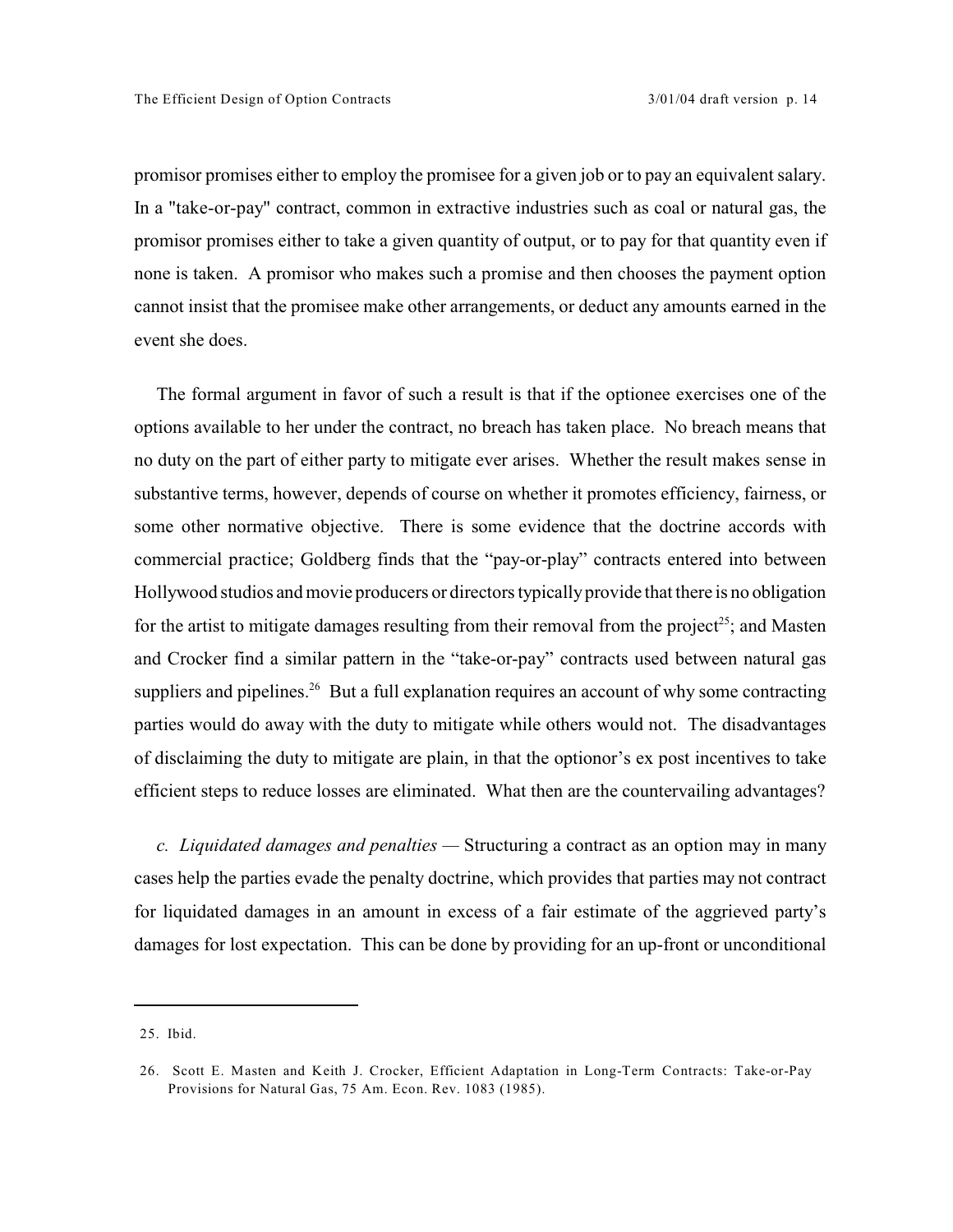promisor promises either to employ the promisee for a given job or to pay an equivalent salary. In a "take-or-pay" contract, common in extractive industries such as coal or natural gas, the promisor promises either to take a given quantity of output, or to pay for that quantity even if none is taken. A promisor who makes such a promise and then chooses the payment option cannot insist that the promisee make other arrangements, or deduct any amounts earned in the event she does.

The formal argument in favor of such a result is that if the optionee exercises one of the options available to her under the contract, no breach has taken place. No breach means that no duty on the part of either party to mitigate ever arises. Whether the result makes sense in substantive terms, however, depends of course on whether it promotes efficiency, fairness, or some other normative objective. There is some evidence that the doctrine accords with commercial practice; Goldberg finds that the "pay-or-play" contracts entered into between Hollywood studios and movie producers or directors typically provide that there is no obligation for the artist to mitigate damages resulting from their removal from the project<sup>25</sup>; and Masten and Crocker find a similar pattern in the "take-or-pay" contracts used between natural gas suppliers and pipelines.<sup>26</sup> But a full explanation requires an account of why some contracting parties would do away with the duty to mitigate while others would not. The disadvantages of disclaiming the duty to mitigate are plain, in that the optionor's ex post incentives to take efficient steps to reduce losses are eliminated. What then are the countervailing advantages?

*c. Liquidated damages and penalties —* Structuring a contract as an option may in many cases help the parties evade the penalty doctrine, which provides that parties may not contract for liquidated damages in an amount in excess of a fair estimate of the aggrieved party's damages for lost expectation. This can be done by providing for an up-front or unconditional

<sup>25.</sup> Ibid.

<sup>26.</sup> Scott E. Masten and Keith J. Crocker, Efficient Adaptation in Long-Term Contracts: Take-or-Pay Provisions for Natural Gas, 75 Am. Econ. Rev. 1083 (1985).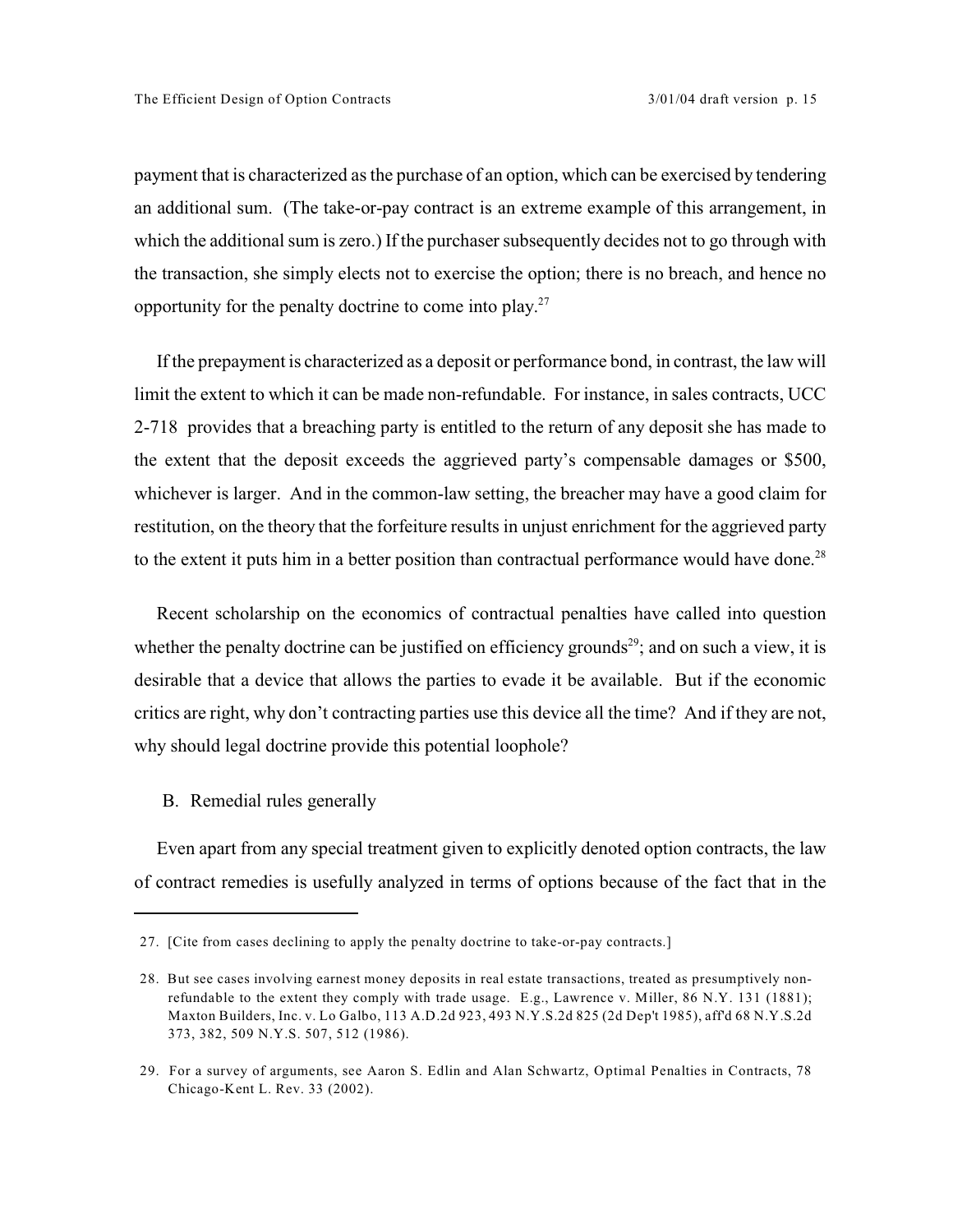payment that is characterized as the purchase of an option, which can be exercised by tendering an additional sum. (The take-or-pay contract is an extreme example of this arrangement, in which the additional sum is zero.) If the purchaser subsequently decides not to go through with the transaction, she simply elects not to exercise the option; there is no breach, and hence no opportunity for the penalty doctrine to come into play.<sup>27</sup>

If the prepayment is characterized as a deposit or performance bond, in contrast, the law will limit the extent to which it can be made non-refundable. For instance, in sales contracts, UCC 2-718 provides that a breaching party is entitled to the return of any deposit she has made to the extent that the deposit exceeds the aggrieved party's compensable damages or \$500, whichever is larger. And in the common-law setting, the breacher may have a good claim for restitution, on the theory that the forfeiture results in unjust enrichment for the aggrieved party to the extent it puts him in a better position than contractual performance would have done.<sup>28</sup>

Recent scholarship on the economics of contractual penalties have called into question whether the penalty doctrine can be justified on efficiency grounds<sup>29</sup>; and on such a view, it is desirable that a device that allows the parties to evade it be available. But if the economic critics are right, why don't contracting parties use this device all the time? And if they are not, why should legal doctrine provide this potential loophole?

B. Remedial rules generally

Even apart from any special treatment given to explicitly denoted option contracts, the law of contract remedies is usefully analyzed in terms of options because of the fact that in the

<sup>27. [</sup>Cite from cases declining to apply the penalty doctrine to take-or-pay contracts.]

<sup>28.</sup> But see cases involving earnest money deposits in real estate transactions, treated as presumptively nonrefundable to the extent they comply with trade usage. E.g., Lawrence v. Miller, 86 N.Y. 131 (1881); Maxton Builders, Inc. v. Lo Galbo, 113 A.D.2d 923, 493 N.Y.S.2d 825 (2d Dep't 1985), aff'd 68 N.Y.S.2d 373, 382, 509 N.Y.S. 507, 512 (1986).

<sup>29.</sup> For a survey of arguments, see Aaron S. Edlin and Alan Schwartz, Optimal Penalties in Contracts, 78 Chicago-Kent L. Rev. 33 (2002).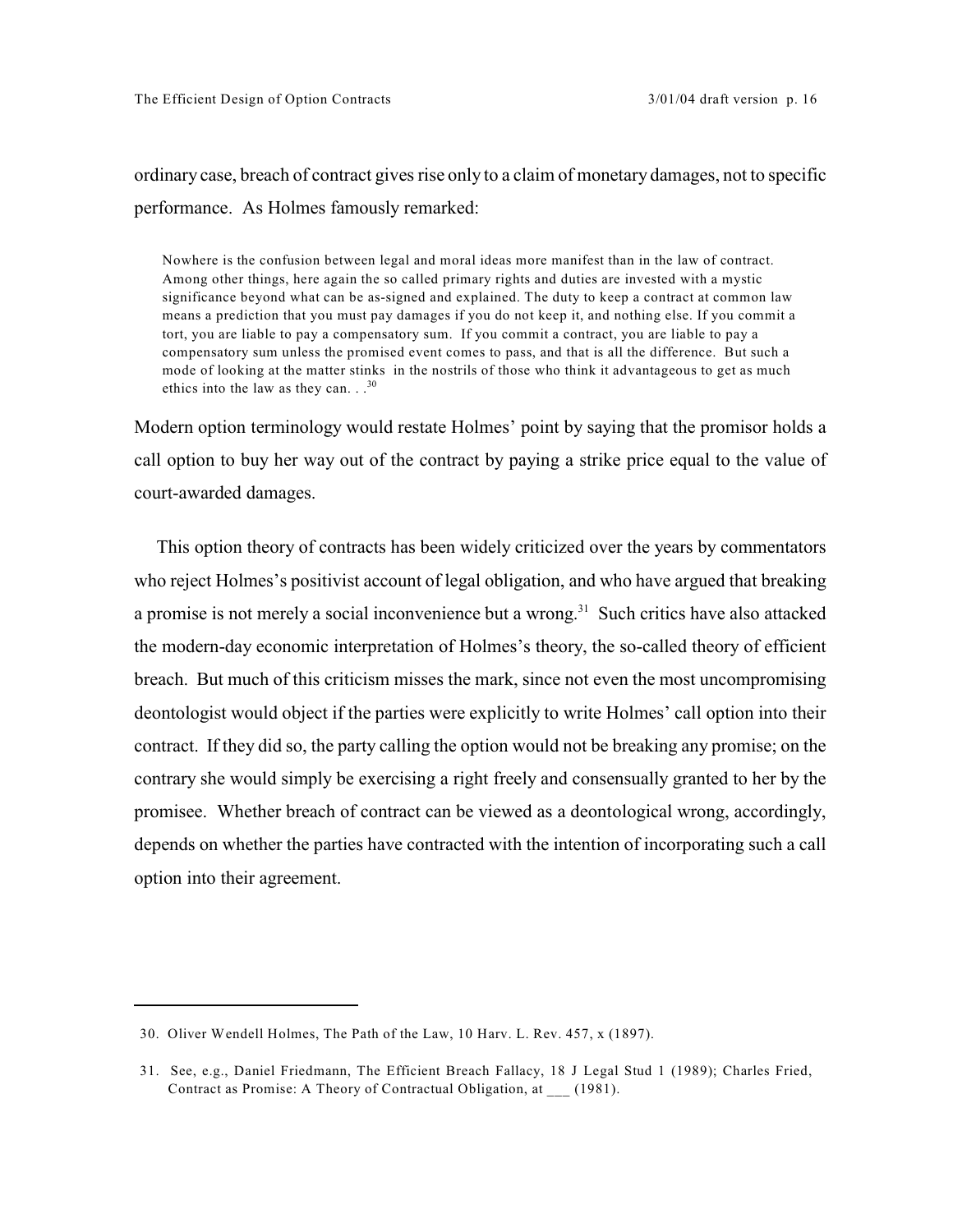# ordinary case, breach of contract gives rise only to a claim of monetary damages, not to specific performance. As Holmes famously remarked:

Nowhere is the confusion between legal and moral ideas more manifest than in the law of contract. Among other things, here again the so called primary rights and duties are invested with a mystic significance beyond what can be as-signed and explained. The duty to keep a contract at common law means a prediction that you must pay damages if you do not keep it, and nothing else. If you commit a tort, you are liable to pay a compensatory sum. If you commit a contract, you are liable to pay a compensatory sum unless the promised event comes to pass, and that is all the difference. But such a mode of looking at the matter stinks in the nostrils of those who think it advantageous to get as much ethics into the law as they can.  $\cdot$ .<sup>30</sup>

Modern option terminology would restate Holmes' point by saying that the promisor holds a call option to buy her way out of the contract by paying a strike price equal to the value of court-awarded damages.

This option theory of contracts has been widely criticized over the years by commentators who reject Holmes's positivist account of legal obligation, and who have argued that breaking a promise is not merely a social inconvenience but a wrong.<sup>31</sup> Such critics have also attacked the modern-day economic interpretation of Holmes's theory, the so-called theory of efficient breach. But much of this criticism misses the mark, since not even the most uncompromising deontologist would object if the parties were explicitly to write Holmes' call option into their contract. If they did so, the party calling the option would not be breaking any promise; on the contrary she would simply be exercising a right freely and consensually granted to her by the promisee. Whether breach of contract can be viewed as a deontological wrong, accordingly, depends on whether the parties have contracted with the intention of incorporating such a call option into their agreement.

<sup>30.</sup> Oliver Wendell Holmes, The Path of the Law, 10 Harv. L. Rev. 457, x (1897).

<sup>31.</sup> See, e.g., Daniel Friedmann, The Efficient Breach Fallacy, 18 J Legal Stud 1 (1989); Charles Fried, Contract as Promise: A Theory of Contractual Obligation, at (1981).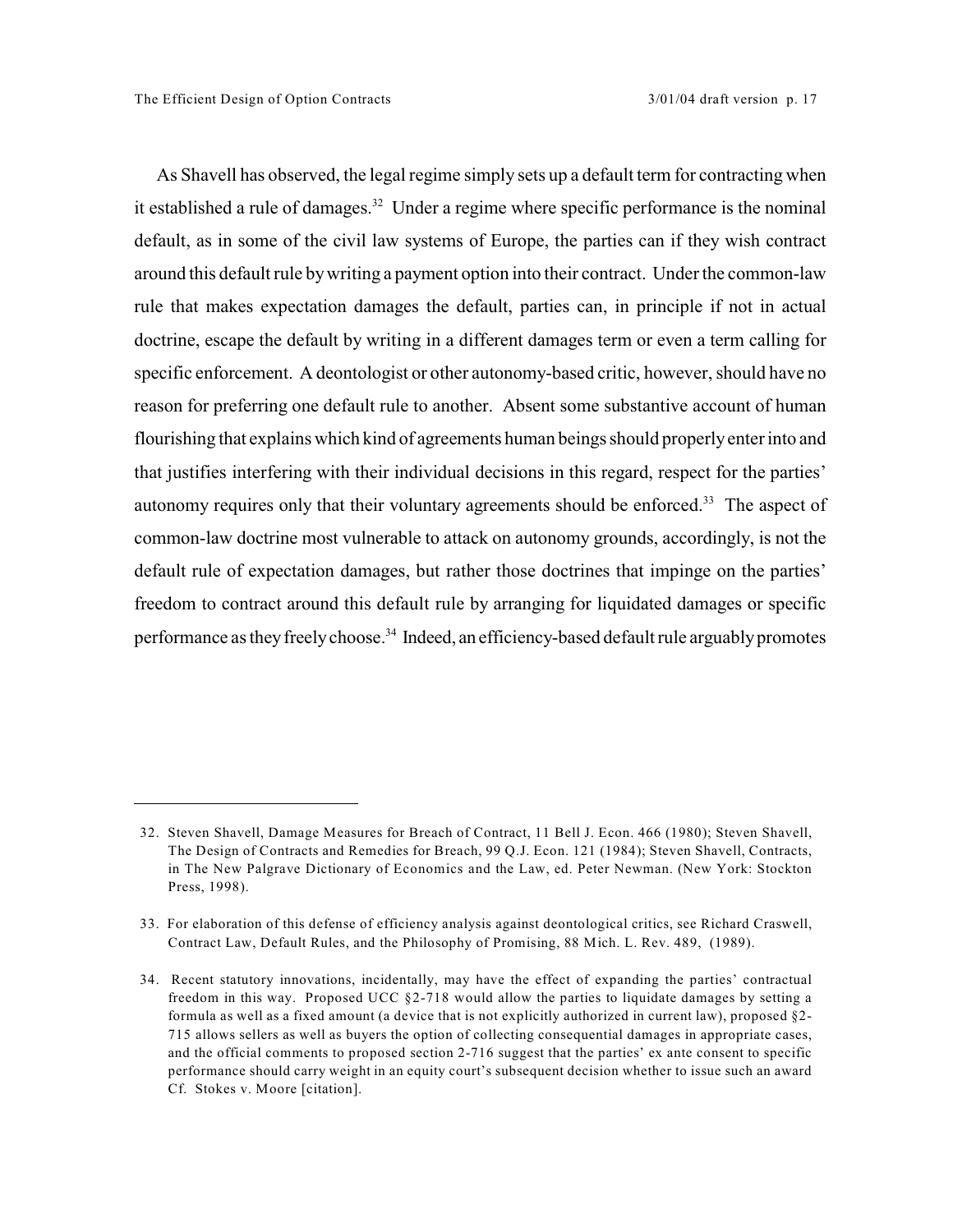As Shavell has observed, the legal regime simply sets up a default term for contracting when it established a rule of damages.<sup>32</sup> Under a regime where specific performance is the nominal default, as in some of the civil law systems of Europe, the parties can if they wish contract around this default rule by writing a payment option into their contract. Under the common-law rule that makes expectation damages the default, parties can, in principle if not in actual doctrine, escape the default by writing in a different damages term or even a term calling for specific enforcement. A deontologist or other autonomy-based critic, however, should have no reason for preferring one default rule to another. Absent some substantive account of human flourishing that explains which kind of agreements human beings should properly enter into and that justifies interfering with their individual decisions in this regard, respect for the parties' autonomy requires only that their voluntary agreements should be enforced.<sup>33</sup> The aspect of common-law doctrine most vulnerable to attack on autonomy grounds, accordingly, is not the default rule of expectation damages, but rather those doctrines that impinge on the parties' freedom to contract around this default rule by arranging for liquidated damages or specific performance as they freely choose.<sup>34</sup> Indeed, an efficiency-based default rule arguably promotes

<sup>32.</sup> Steven Shavell, Damage Measures for Breach of Contract, 11 Bell J. Econ. 466 (1980); Steven Shavell, The Design of Contracts and Remedies for Breach, 99 Q.J. Econ. 121 (1984); Steven Shavell, Contracts, in The New Palgrave Dictionary of Economics and the Law, ed. Peter Newman. (New York: Stockton Press, 1998).

<sup>33.</sup> For elaboration of this defense of efficiency analysis against deontological critics, see Richard Craswell, Contract Law, Default Rules, and the Philosophy of Promising, 88 Mich. L. Rev. 489, (1989).

<sup>34.</sup> Recent statutory innovations, incidentally, may have the effect of expanding the parties' contractual freedom in this way. Proposed UCC §2-718 would allow the parties to liquidate damages by setting a formula as well as a fixed amount (a device that is not explicitly authorized in current law), proposed §2- 715 allows sellers as well as buyers the option of collecting consequential damages in appropriate cases, and the official comments to proposed section 2-716 suggest that the parties' ex ante consent to specific performance should carry weight in an equity court's subsequent decision whether to issue such an award Cf. Stokes v. Moore [citation].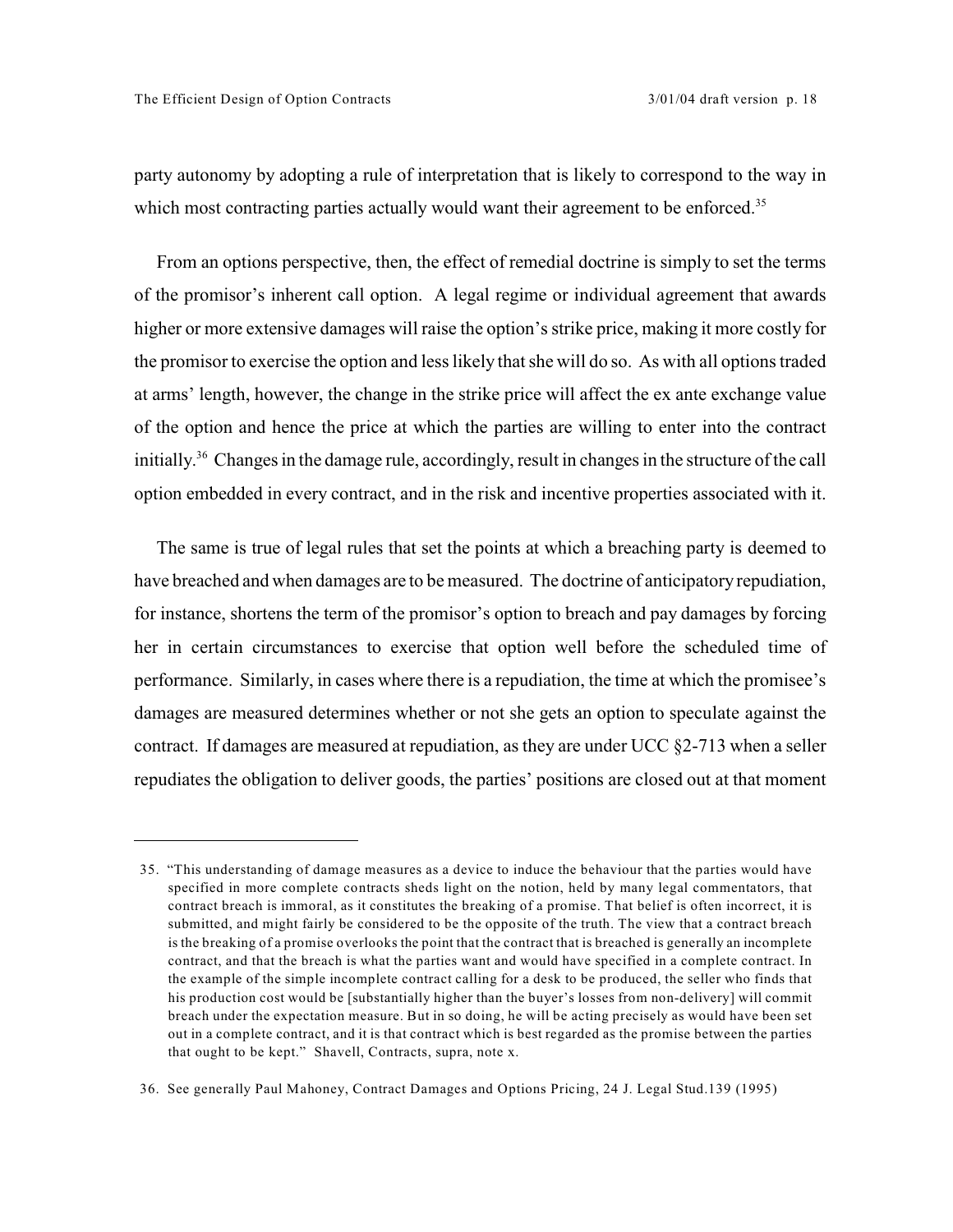party autonomy by adopting a rule of interpretation that is likely to correspond to the way in which most contracting parties actually would want their agreement to be enforced.<sup>35</sup>

From an options perspective, then, the effect of remedial doctrine is simply to set the terms of the promisor's inherent call option. A legal regime or individual agreement that awards higher or more extensive damages will raise the option's strike price, making it more costly for the promisor to exercise the option and less likely that she will do so. As with all options traded at arms' length, however, the change in the strike price will affect the ex ante exchange value of the option and hence the price at which the parties are willing to enter into the contract initially.<sup>36</sup> Changes in the damage rule, accordingly, result in changes in the structure of the call option embedded in every contract, and in the risk and incentive properties associated with it.

The same is true of legal rules that set the points at which a breaching party is deemed to have breached and when damages are to be measured. The doctrine of anticipatory repudiation, for instance, shortens the term of the promisor's option to breach and pay damages by forcing her in certain circumstances to exercise that option well before the scheduled time of performance. Similarly, in cases where there is a repudiation, the time at which the promisee's damages are measured determines whether or not she gets an option to speculate against the contract. If damages are measured at repudiation, as they are under UCC  $\S2-713$  when a seller repudiates the obligation to deliver goods, the parties' positions are closed out at that moment

<sup>35. &</sup>quot;This understanding of damage measures as a device to induce the behaviour that the parties would have specified in more complete contracts sheds light on the notion, held by many legal commentators, that contract breach is immoral, as it constitutes the breaking of a promise. That belief is often incorrect, it is submitted, and might fairly be considered to be the opposite of the truth. The view that a contract breach is the breaking of a promise overlooks the point that the contract that is breached is generally an incomplete contract, and that the breach is what the parties want and would have specified in a complete contract. In the example of the simple incomplete contract calling for a desk to be produced, the seller who finds that his production cost would be [substantially higher than the buyer's losses from non-delivery] will commit breach under the expectation measure. But in so doing, he will be acting precisely as would have been set out in a complete contract, and it is that contract which is best regarded as the promise between the parties that ought to be kept." Shavell, Contracts, supra, note x.

<sup>36.</sup> See generally Paul Mahoney, Contract Damages and Options Pricing, 24 J. Legal Stud.139 (1995)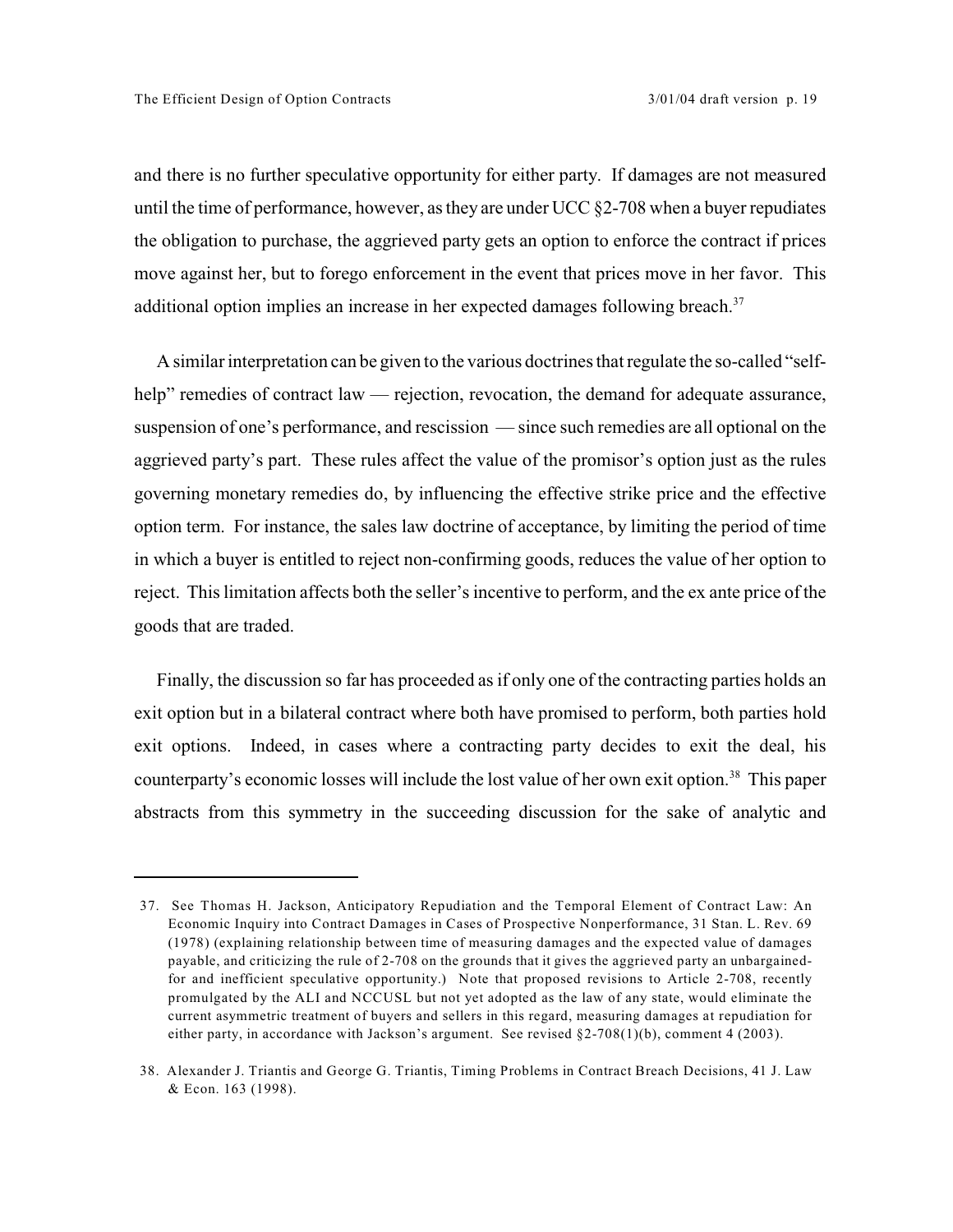and there is no further speculative opportunity for either party. If damages are not measured until the time of performance, however, as they are under UCC §2-708 when a buyer repudiates the obligation to purchase, the aggrieved party gets an option to enforce the contract if prices move against her, but to forego enforcement in the event that prices move in her favor. This additional option implies an increase in her expected damages following breach.<sup>37</sup>

A similar interpretation can be given to the various doctrines that regulate the so-called "selfhelp" remedies of contract law — rejection, revocation, the demand for adequate assurance, suspension of one's performance, and rescission — since such remedies are all optional on the aggrieved party's part. These rules affect the value of the promisor's option just as the rules governing monetary remedies do, by influencing the effective strike price and the effective option term. For instance, the sales law doctrine of acceptance, by limiting the period of time in which a buyer is entitled to reject non-confirming goods, reduces the value of her option to reject. This limitation affects both the seller's incentive to perform, and the ex ante price of the goods that are traded.

Finally, the discussion so far has proceeded as if only one of the contracting parties holds an exit option but in a bilateral contract where both have promised to perform, both parties hold exit options. Indeed, in cases where a contracting party decides to exit the deal, his counterparty's economic losses will include the lost value of her own exit option.<sup>38</sup> This paper abstracts from this symmetry in the succeeding discussion for the sake of analytic and

<sup>37.</sup> See Thomas H. Jackson, Anticipatory Repudiation and the Temporal Element of Contract Law: An Economic Inquiry into Contract Damages in Cases of Prospective Nonperformance, 31 Stan. L. Rev. 69 (1978) (explaining relationship between time of measuring damages and the expected value of damages payable, and criticizing the rule of 2-708 on the grounds that it gives the aggrieved party an unbargainedfor and inefficient speculative opportunity.) Note that proposed revisions to Article 2-708, recently promulgated by the ALI and NCCUSL but not yet adopted as the law of any state, would eliminate the current asymmetric treatment of buyers and sellers in this regard, measuring damages at repudiation for either party, in accordance with Jackson's argument. See revised §2-708(1)(b), comment 4 (2003).

<sup>38.</sup> Alexander J. Triantis and George G. Triantis, Timing Problems in Contract Breach Decisions, 41 J. Law & Econ. 163 (1998).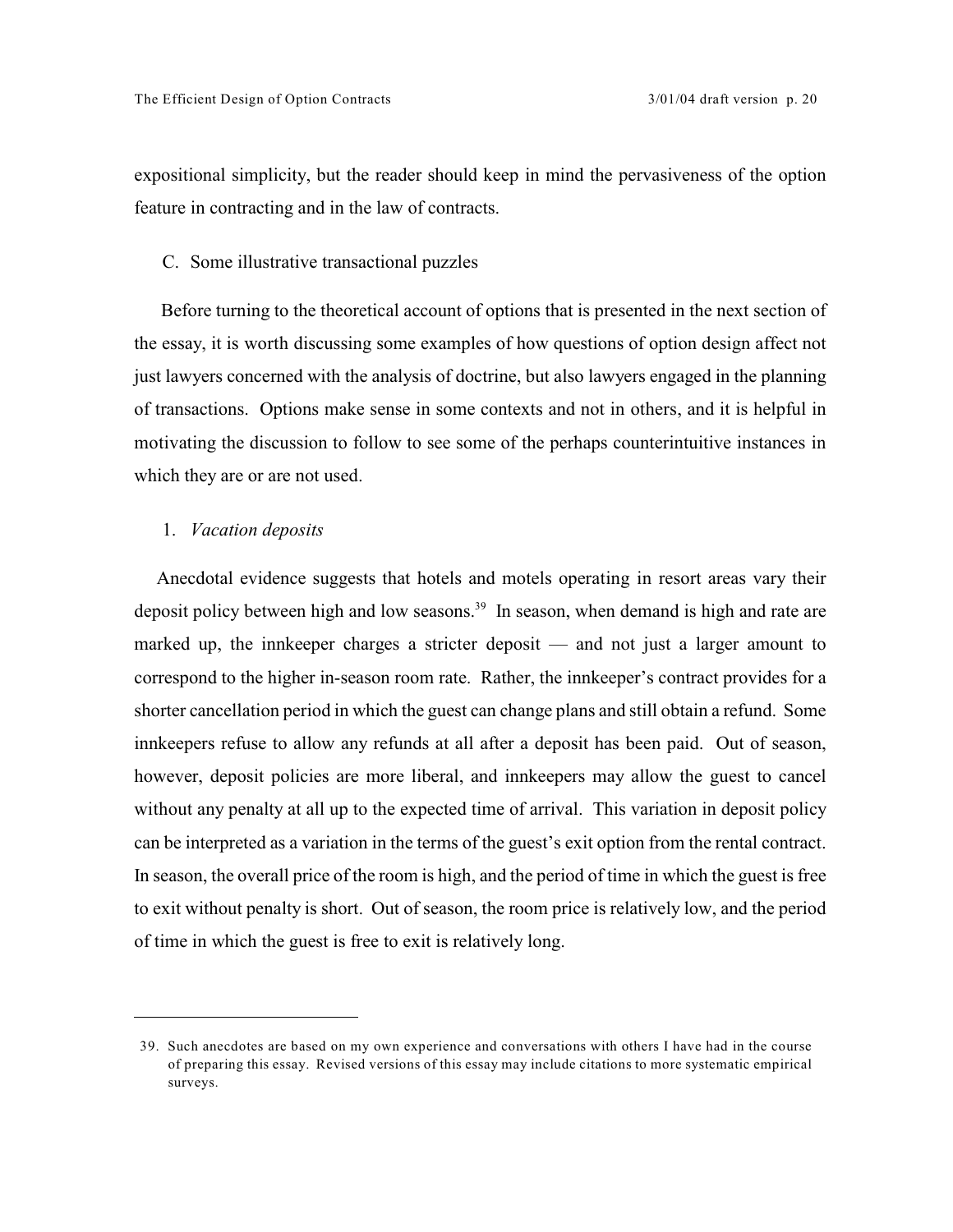expositional simplicity, but the reader should keep in mind the pervasiveness of the option feature in contracting and in the law of contracts.

#### C. Some illustrative transactional puzzles

 Before turning to the theoretical account of options that is presented in the next section of the essay, it is worth discussing some examples of how questions of option design affect not just lawyers concerned with the analysis of doctrine, but also lawyers engaged in the planning of transactions. Options make sense in some contexts and not in others, and it is helpful in motivating the discussion to follow to see some of the perhaps counterintuitive instances in which they are or are not used.

## 1. *Vacation deposits*

Anecdotal evidence suggests that hotels and motels operating in resort areas vary their deposit policy between high and low seasons.<sup>39</sup> In season, when demand is high and rate are marked up, the innkeeper charges a stricter deposit — and not just a larger amount to correspond to the higher in-season room rate. Rather, the innkeeper's contract provides for a shorter cancellation period in which the guest can change plans and still obtain a refund. Some innkeepers refuse to allow any refunds at all after a deposit has been paid. Out of season, however, deposit policies are more liberal, and innkeepers may allow the guest to cancel without any penalty at all up to the expected time of arrival. This variation in deposit policy can be interpreted as a variation in the terms of the guest's exit option from the rental contract. In season, the overall price of the room is high, and the period of time in which the guest is free to exit without penalty is short. Out of season, the room price is relatively low, and the period of time in which the guest is free to exit is relatively long.

<sup>39.</sup> Such anecdotes are based on my own experience and conversations with others I have had in the course of preparing this essay. Revised versions of this essay may include citations to more systematic empirical surveys.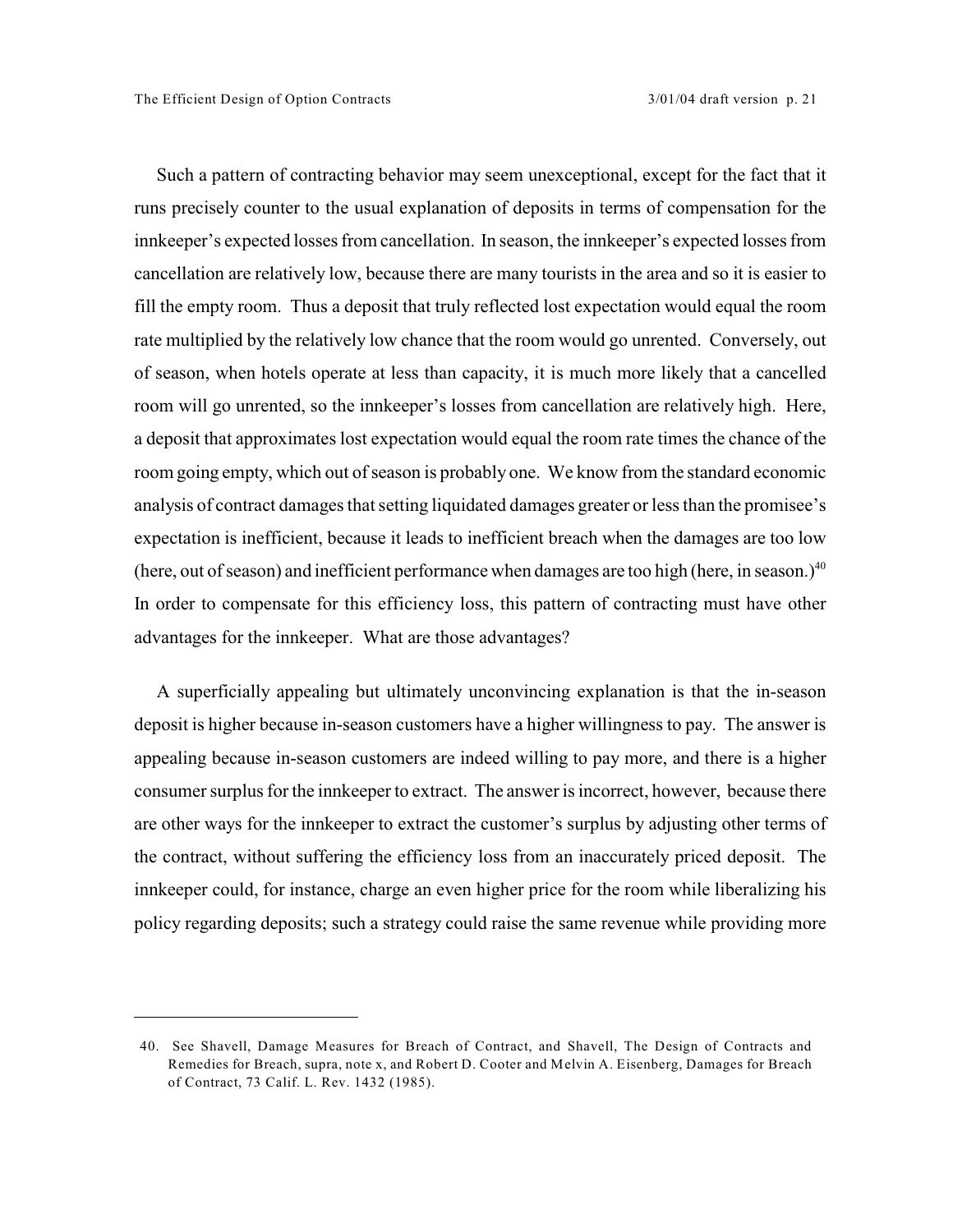Such a pattern of contracting behavior may seem unexceptional, except for the fact that it runs precisely counter to the usual explanation of deposits in terms of compensation for the innkeeper's expected losses from cancellation. In season, the innkeeper's expected losses from cancellation are relatively low, because there are many tourists in the area and so it is easier to fill the empty room. Thus a deposit that truly reflected lost expectation would equal the room rate multiplied by the relatively low chance that the room would go unrented. Conversely, out of season, when hotels operate at less than capacity, it is much more likely that a cancelled room will go unrented, so the innkeeper's losses from cancellation are relatively high. Here, a deposit that approximates lost expectation would equal the room rate times the chance of the room going empty, which out of season is probably one. We know from the standard economic analysis of contract damages that setting liquidated damages greater or less than the promisee's expectation is inefficient, because it leads to inefficient breach when the damages are too low (here, out of season) and inefficient performance when damages are too high (here, in season.)<sup>40</sup> In order to compensate for this efficiency loss, this pattern of contracting must have other advantages for the innkeeper. What are those advantages?

A superficially appealing but ultimately unconvincing explanation is that the in-season deposit is higher because in-season customers have a higher willingness to pay. The answer is appealing because in-season customers are indeed willing to pay more, and there is a higher consumer surplus for the innkeeper to extract. The answer is incorrect, however, because there are other ways for the innkeeper to extract the customer's surplus by adjusting other terms of the contract, without suffering the efficiency loss from an inaccurately priced deposit. The innkeeper could, for instance, charge an even higher price for the room while liberalizing his policy regarding deposits; such a strategy could raise the same revenue while providing more

<sup>40.</sup> See Shavell, Damage Measures for Breach of Contract, and Shavell, The Design of Contracts and Remedies for Breach, supra, note x, and Robert D. Cooter and Melvin A. Eisenberg, Damages for Breach of Contract, 73 Calif. L. Rev. 1432 (1985).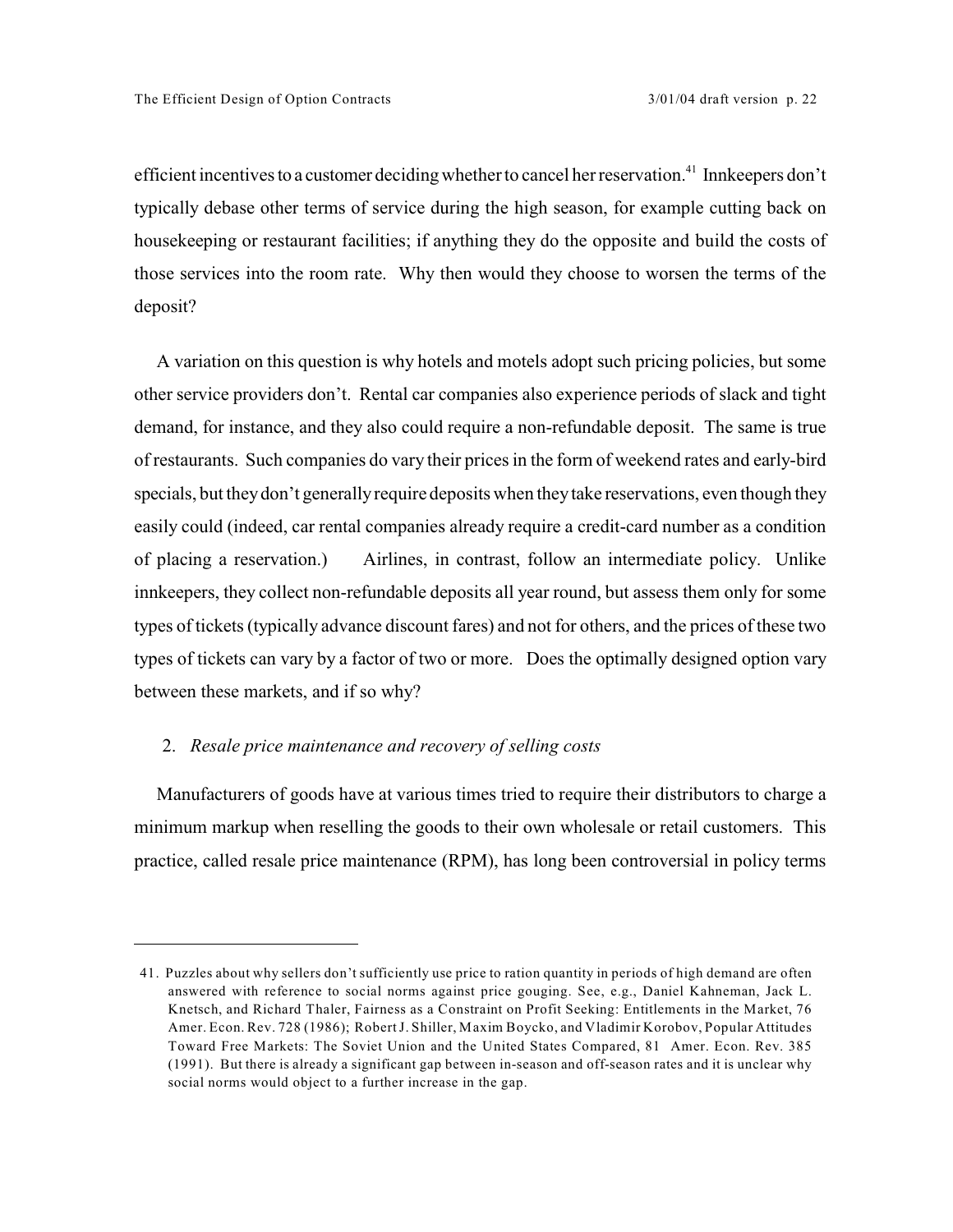efficient incentives to a customer deciding whether to cancel her reservation.<sup>41</sup> Innkeepers don't typically debase other terms of service during the high season, for example cutting back on housekeeping or restaurant facilities; if anything they do the opposite and build the costs of those services into the room rate. Why then would they choose to worsen the terms of the deposit?

A variation on this question is why hotels and motels adopt such pricing policies, but some other service providers don't. Rental car companies also experience periods of slack and tight demand, for instance, and they also could require a non-refundable deposit. The same is true of restaurants. Such companies do vary their prices in the form of weekend rates and early-bird specials, but they don't generally require deposits when they take reservations, even though they easily could (indeed, car rental companies already require a credit-card number as a condition of placing a reservation.) Airlines, in contrast, follow an intermediate policy. Unlike innkeepers, they collect non-refundable deposits all year round, but assess them only for some types of tickets (typically advance discount fares) and not for others, and the prices of these two types of tickets can vary by a factor of two or more. Does the optimally designed option vary between these markets, and if so why?

## 2. *Resale price maintenance and recovery of selling costs*

Manufacturers of goods have at various times tried to require their distributors to charge a minimum markup when reselling the goods to their own wholesale or retail customers. This practice, called resale price maintenance (RPM), has long been controversial in policy terms

<sup>41.</sup> Puzzles about why sellers don't sufficiently use price to ration quantity in periods of high demand are often answered with reference to social norms against price gouging. See, e.g., Daniel Kahneman, Jack L. Knetsch, and Richard Thaler, Fairness as a Constraint on Profit Seeking: Entitlements in the Market, 76 Amer. Econ. Rev. 728 (1986); Robert J. Shiller, Maxim Boycko, and Vladimir Korobov, Popular Attitudes Toward Free Markets: The Soviet Union and the United States Compared, 81 Amer. Econ. Rev. 385 (1991). But there is already a significant gap between in-season and off-season rates and it is unclear why social norms would object to a further increase in the gap.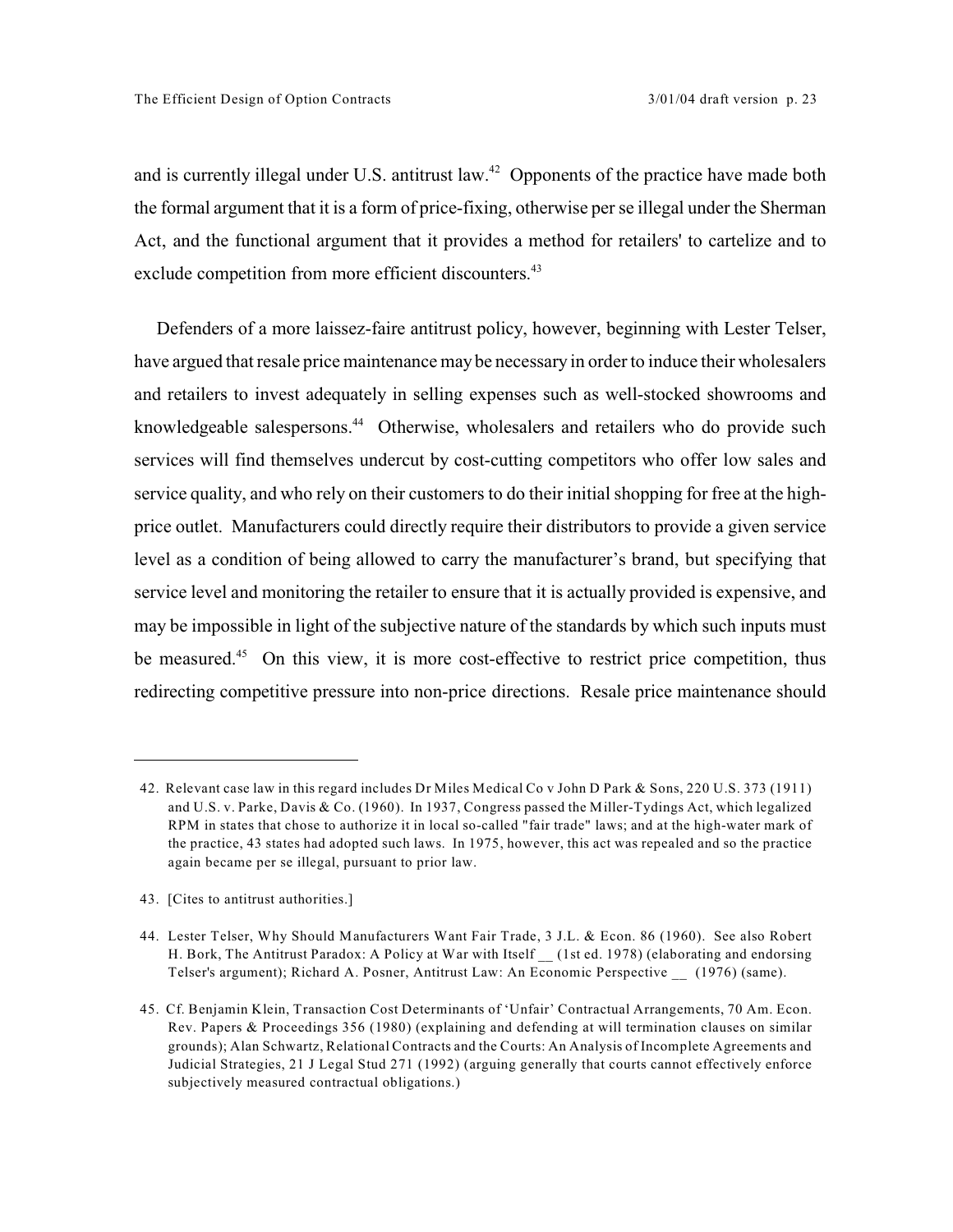and is currently illegal under U.S. antitrust law.<sup> $42$ </sup> Opponents of the practice have made both the formal argument that it is a form of price-fixing, otherwise per se illegal under the Sherman Act, and the functional argument that it provides a method for retailers' to cartelize and to exclude competition from more efficient discounters.<sup>43</sup>

Defenders of a more laissez-faire antitrust policy, however, beginning with Lester Telser, have argued that resale price maintenance may be necessary in orderto induce their wholesalers and retailers to invest adequately in selling expenses such as well-stocked showrooms and knowledgeable salespersons.<sup>44</sup> Otherwise, wholesalers and retailers who do provide such services will find themselves undercut by cost-cutting competitors who offer low sales and service quality, and who rely on their customers to do their initial shopping for free at the highprice outlet. Manufacturers could directly require their distributors to provide a given service level as a condition of being allowed to carry the manufacturer's brand, but specifying that service level and monitoring the retailer to ensure that it is actually provided is expensive, and may be impossible in light of the subjective nature of the standards by which such inputs must be measured.<sup>45</sup> On this view, it is more cost-effective to restrict price competition, thus redirecting competitive pressure into non-price directions. Resale price maintenance should

<sup>42.</sup> Relevant case law in this regard includes Dr Miles Medical Co v John D Park & Sons, 220 U.S. 373 (1911) and U.S. v. Parke, Davis & Co. (1960). In 1937, Congress passed the Miller-Tydings Act, which legalized RPM in states that chose to authorize it in local so-called "fair trade" laws; and at the high-water mark of the practice, 43 states had adopted such laws. In 1975, however, this act was repealed and so the practice again became per se illegal, pursuant to prior law.

<sup>43. [</sup>Cites to antitrust authorities.]

<sup>44.</sup> Lester Telser, Why Should Manufacturers Want Fair Trade, 3 J.L. & Econ. 86 (1960). See also Robert H. Bork, The Antitrust Paradox: A Policy at War with Itself (1st ed. 1978) (elaborating and endorsing Telser's argument); Richard A. Posner, Antitrust Law: An Economic Perspective \_\_ (1976) (same).

<sup>45.</sup> Cf. Benjamin Klein, Transaction Cost Determinants of 'Unfair' Contractual Arrangements, 70 Am. Econ. Rev. Papers & Proceedings 356 (1980) (explaining and defending at will termination clauses on similar grounds); Alan Schwartz, Relational Contracts and the Courts: An Analysis of Incomplete Agreements and Judicial Strategies, 21 J Legal Stud 271 (1992) (arguing generally that courts cannot effectively enforce subjectively measured contractual obligations.)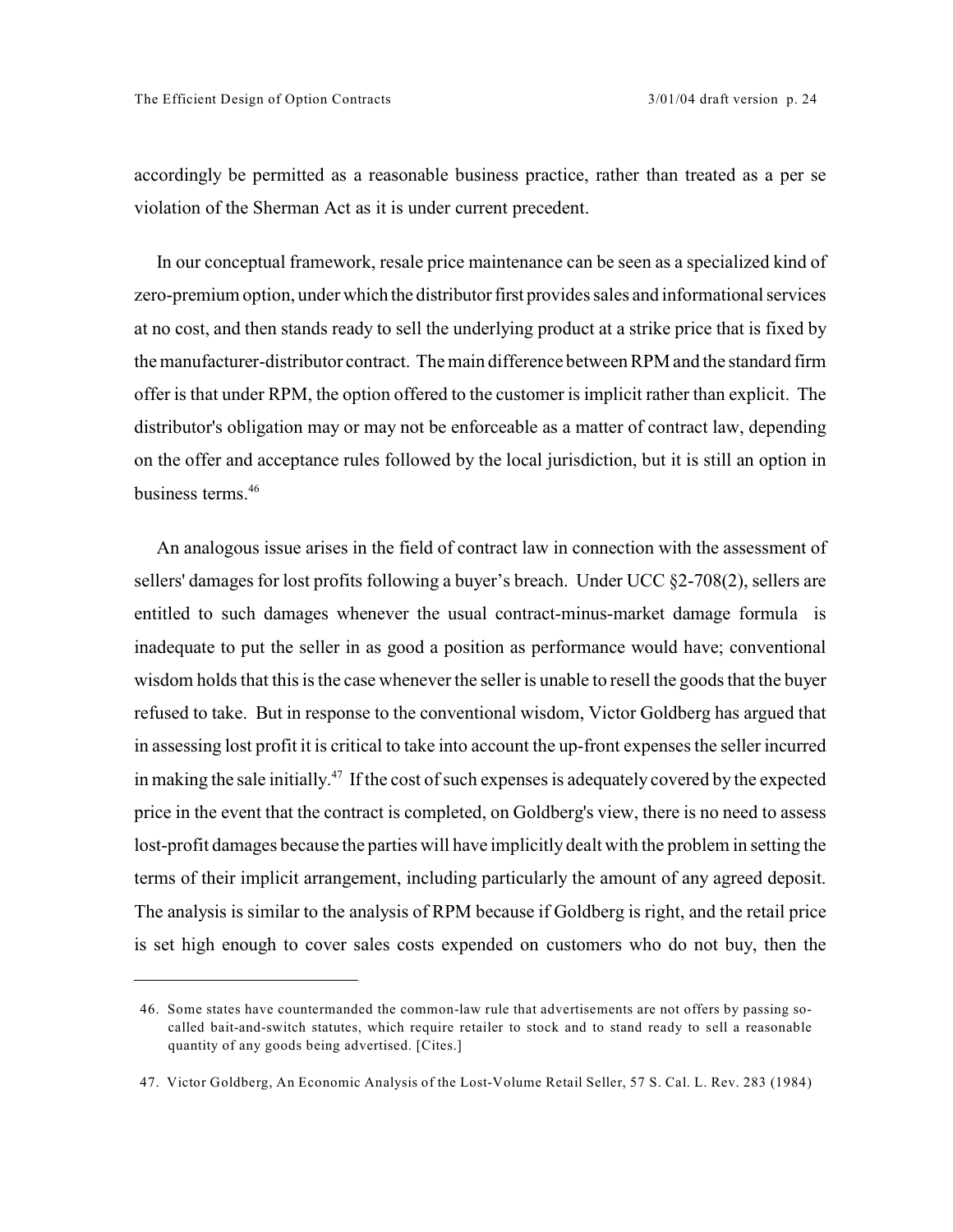accordingly be permitted as a reasonable business practice, rather than treated as a per se violation of the Sherman Act as it is under current precedent.

In our conceptual framework, resale price maintenance can be seen as a specialized kind of zero-premium option, under which the distributor first provides sales and informational services at no cost, and then stands ready to sell the underlying product at a strike price that is fixed by the manufacturer-distributor contract. The main difference between RPM and the standard firm offer is that under RPM, the option offered to the customer is implicit rather than explicit. The distributor's obligation may or may not be enforceable as a matter of contract law, depending on the offer and acceptance rules followed by the local jurisdiction, but it is still an option in business terms.<sup>46</sup>

An analogous issue arises in the field of contract law in connection with the assessment of sellers' damages for lost profits following a buyer's breach. Under UCC §2-708(2), sellers are entitled to such damages whenever the usual contract-minus-market damage formula is inadequate to put the seller in as good a position as performance would have; conventional wisdom holds that this is the case whenever the seller is unable to resell the goods that the buyer refused to take. But in response to the conventional wisdom, Victor Goldberg has argued that in assessing lost profit it is critical to take into account the up-front expenses the seller incurred in making the sale initially.<sup>47</sup> If the cost of such expenses is adequately covered by the expected price in the event that the contract is completed, on Goldberg's view, there is no need to assess lost-profit damages because the parties will have implicitly dealt with the problem in setting the terms of their implicit arrangement, including particularly the amount of any agreed deposit. The analysis is similar to the analysis of RPM because if Goldberg is right, and the retail price is set high enough to cover sales costs expended on customers who do not buy, then the

<sup>46.</sup> Some states have countermanded the common-law rule that advertisements are not offers by passing socalled bait-and-switch statutes, which require retailer to stock and to stand ready to sell a reasonable quantity of any goods being advertised. [Cites.]

<sup>47.</sup> Victor Goldberg, An Economic Analysis of the Lost-Volume Retail Seller, 57 S. Cal. L. Rev. 283 (1984)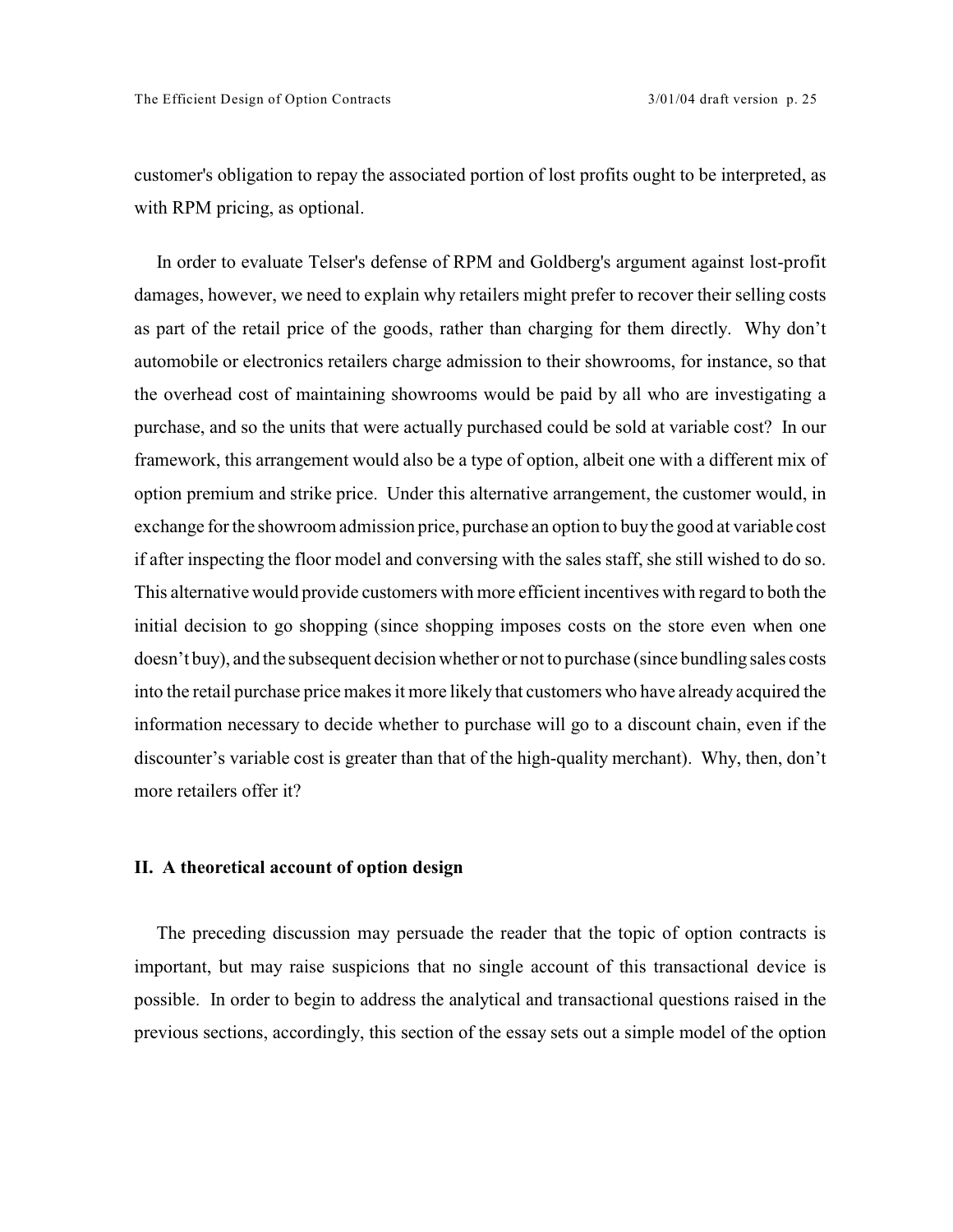customer's obligation to repay the associated portion of lost profits ought to be interpreted, as with RPM pricing, as optional.

In order to evaluate Telser's defense of RPM and Goldberg's argument against lost-profit damages, however, we need to explain why retailers might prefer to recover their selling costs as part of the retail price of the goods, rather than charging for them directly. Why don't automobile or electronics retailers charge admission to their showrooms, for instance, so that the overhead cost of maintaining showrooms would be paid by all who are investigating a purchase, and so the units that were actually purchased could be sold at variable cost? In our framework, this arrangement would also be a type of option, albeit one with a different mix of option premium and strike price. Under this alternative arrangement, the customer would, in exchange for the showroom admission price, purchase an option to buy the good at variable cost if after inspecting the floor model and conversing with the sales staff, she still wished to do so. This alternative would provide customers with more efficient incentives with regard to both the initial decision to go shopping (since shopping imposes costs on the store even when one doesn't buy), and the subsequent decision whether or not to purchase (since bundling sales costs into the retail purchase price makes it more likely that customers who have already acquired the information necessary to decide whether to purchase will go to a discount chain, even if the discounter's variable cost is greater than that of the high-quality merchant). Why, then, don't more retailers offer it?

## **II. A theoretical account of option design**

The preceding discussion may persuade the reader that the topic of option contracts is important, but may raise suspicions that no single account of this transactional device is possible. In order to begin to address the analytical and transactional questions raised in the previous sections, accordingly, this section of the essay sets out a simple model of the option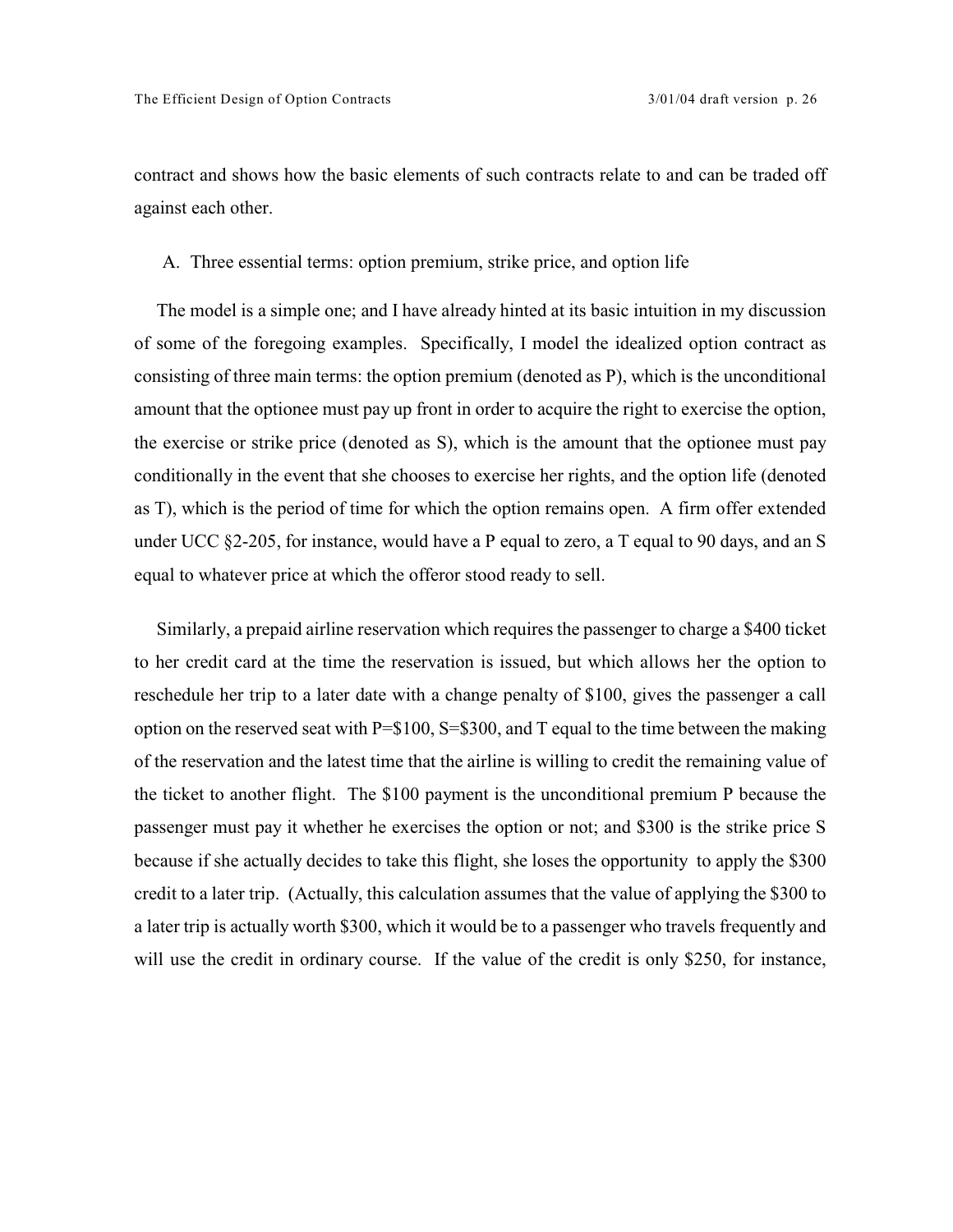contract and shows how the basic elements of such contracts relate to and can be traded off against each other.

## A. Three essential terms: option premium, strike price, and option life

The model is a simple one; and I have already hinted at its basic intuition in my discussion of some of the foregoing examples. Specifically, I model the idealized option contract as consisting of three main terms: the option premium (denoted as P), which is the unconditional amount that the optionee must pay up front in order to acquire the right to exercise the option, the exercise or strike price (denoted as S), which is the amount that the optionee must pay conditionally in the event that she chooses to exercise her rights, and the option life (denoted as T), which is the period of time for which the option remains open. A firm offer extended under UCC §2-205, for instance, would have a P equal to zero, a T equal to 90 days, and an S equal to whatever price at which the offeror stood ready to sell.

Similarly, a prepaid airline reservation which requires the passenger to charge a \$400 ticket to her credit card at the time the reservation is issued, but which allows her the option to reschedule her trip to a later date with a change penalty of \$100, gives the passenger a call option on the reserved seat with P=\$100, S=\$300, and T equal to the time between the making of the reservation and the latest time that the airline is willing to credit the remaining value of the ticket to another flight. The \$100 payment is the unconditional premium P because the passenger must pay it whether he exercises the option or not; and \$300 is the strike price S because if she actually decides to take this flight, she loses the opportunity to apply the \$300 credit to a later trip. (Actually, this calculation assumes that the value of applying the \$300 to a later trip is actually worth \$300, which it would be to a passenger who travels frequently and will use the credit in ordinary course. If the value of the credit is only \$250, for instance,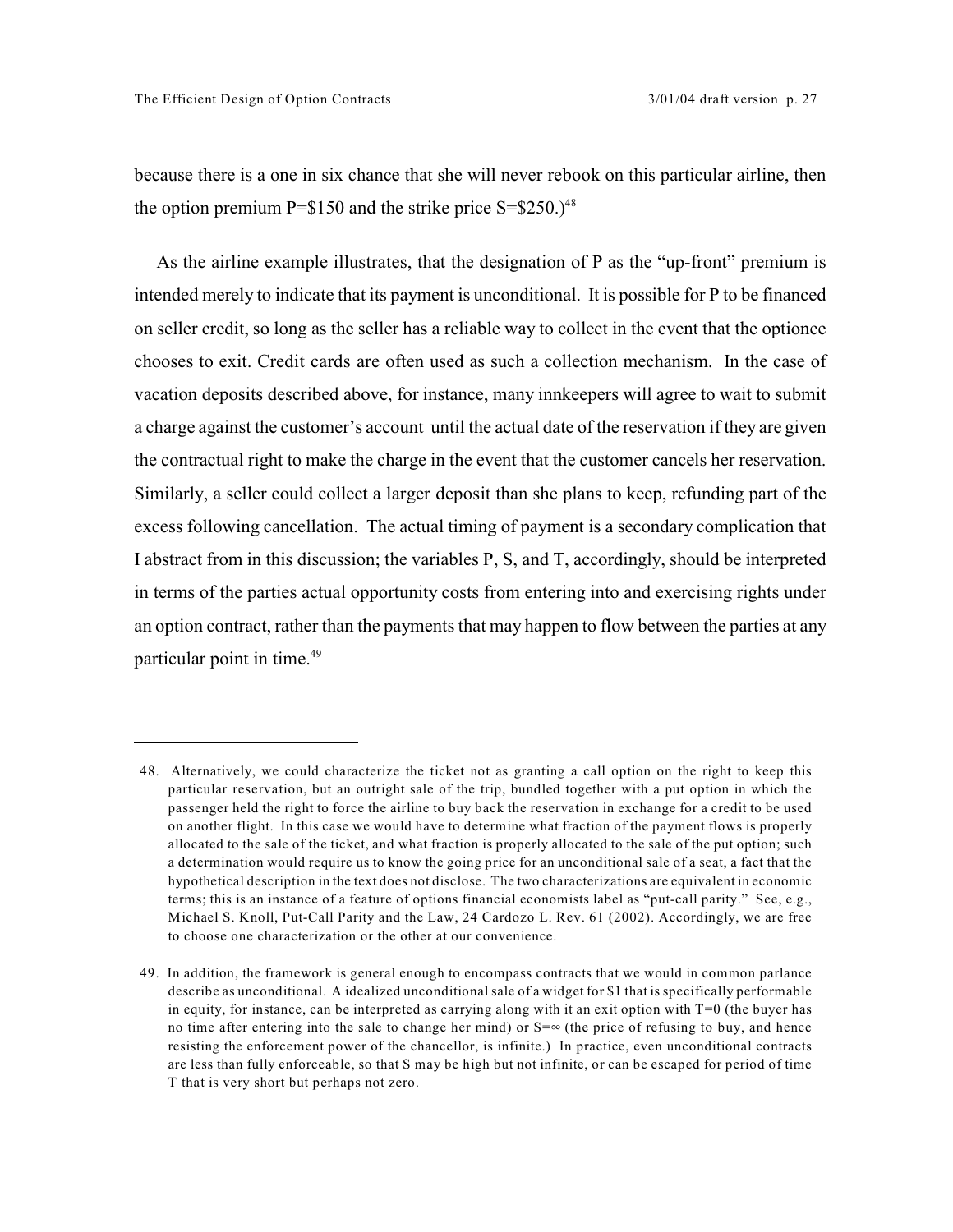because there is a one in six chance that she will never rebook on this particular airline, then the option premium  $P = $150$  and the strike price  $S = $250.^{48}$ 

As the airline example illustrates, that the designation of P as the "up-front" premium is intended merely to indicate that its payment is unconditional. It is possible for P to be financed on seller credit, so long as the seller has a reliable way to collect in the event that the optionee chooses to exit. Credit cards are often used as such a collection mechanism. In the case of vacation deposits described above, for instance, many innkeepers will agree to wait to submit a charge against the customer's account until the actual date of the reservation if they are given the contractual right to make the charge in the event that the customer cancels her reservation. Similarly, a seller could collect a larger deposit than she plans to keep, refunding part of the excess following cancellation. The actual timing of payment is a secondary complication that I abstract from in this discussion; the variables P, S, and T, accordingly, should be interpreted in terms of the parties actual opportunity costs from entering into and exercising rights under an option contract, rather than the payments that may happen to flow between the parties at any particular point in time.49

<sup>48.</sup> Alternatively, we could characterize the ticket not as granting a call option on the right to keep this particular reservation, but an outright sale of the trip, bundled together with a put option in which the passenger held the right to force the airline to buy back the reservation in exchange for a credit to be used on another flight. In this case we would have to determine what fraction of the payment flows is properly allocated to the sale of the ticket, and what fraction is properly allocated to the sale of the put option; such a determination would require us to know the going price for an unconditional sale of a seat, a fact that the hypothetical description in the text does not disclose. The two characterizations are equivalent in economic terms; this is an instance of a feature of options financial economists label as "put-call parity." See, e.g., Michael S. Knoll, Put-Call Parity and the Law, 24 Cardozo L. Rev. 61 (2002). Accordingly, we are free to choose one characterization or the other at our convenience.

<sup>49.</sup> In addition, the framework is general enough to encompass contracts that we would in common parlance describe as unconditional. A idealized unconditional sale of a widget for \$1 that is specifically performable in equity, for instance, can be interpreted as carrying along with it an exit option with T=0 (the buyer has no time after entering into the sale to change her mind) or  $S=\infty$  (the price of refusing to buy, and hence resisting the enforcement power of the chancellor, is infinite.) In practice, even unconditional contracts are less than fully enforceable, so that S may be high but not infinite, or can be escaped for period of time T that is very short but perhaps not zero.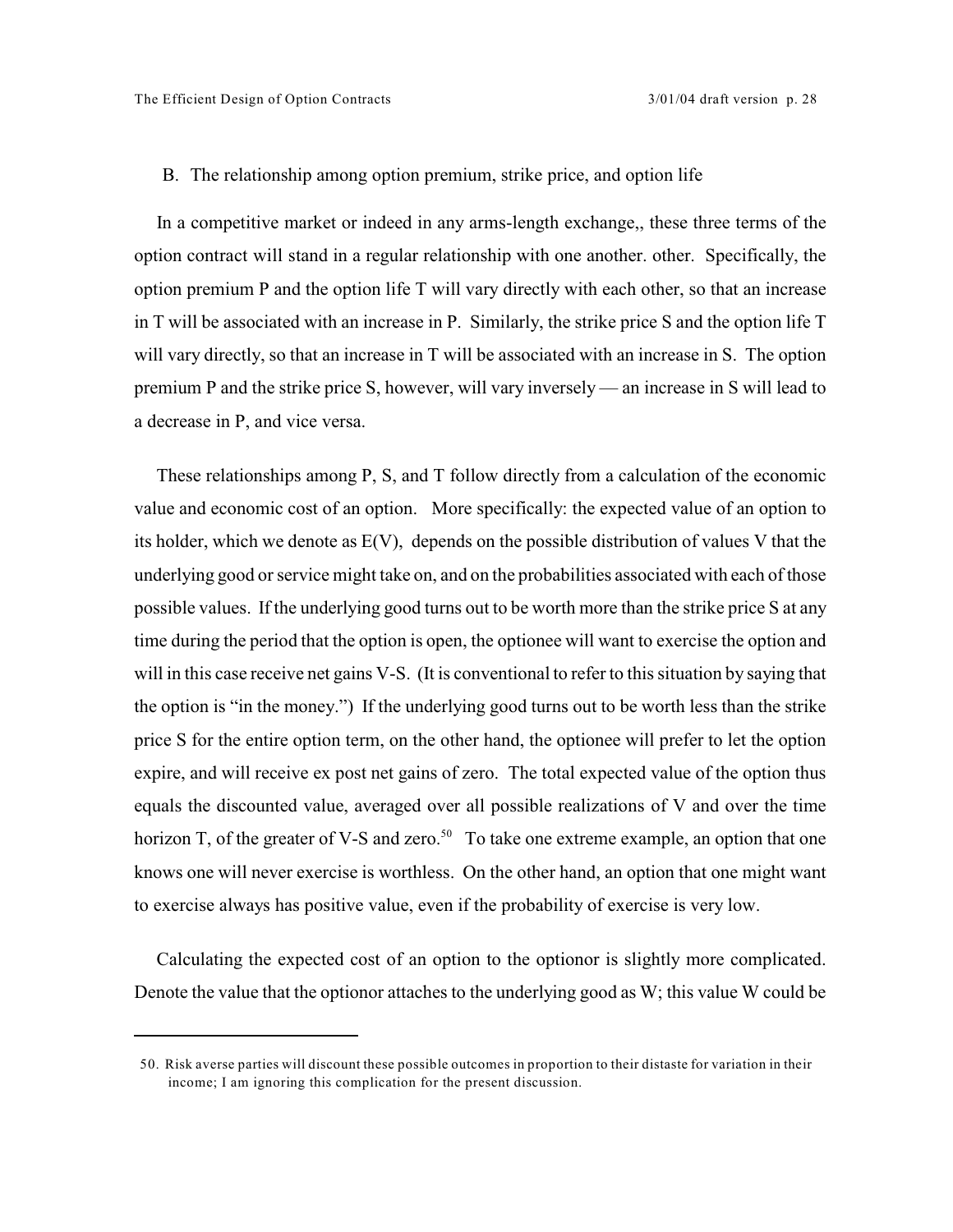## B. The relationship among option premium, strike price, and option life

In a competitive market or indeed in any arms-length exchange,, these three terms of the option contract will stand in a regular relationship with one another. other. Specifically, the option premium P and the option life T will vary directly with each other, so that an increase in T will be associated with an increase in P. Similarly, the strike price S and the option life T will vary directly, so that an increase in T will be associated with an increase in S. The option premium P and the strike price S, however, will vary inversely — an increase in S will lead to a decrease in P, and vice versa.

These relationships among P, S, and T follow directly from a calculation of the economic value and economic cost of an option. More specifically: the expected value of an option to its holder, which we denote as E(V), depends on the possible distribution of values V that the underlying good or service might take on, and on the probabilities associated with each of those possible values. If the underlying good turns out to be worth more than the strike price S at any time during the period that the option is open, the optionee will want to exercise the option and will in this case receive net gains V-S. (It is conventional to refer to this situation by saying that the option is "in the money.") If the underlying good turns out to be worth less than the strike price S for the entire option term, on the other hand, the optionee will prefer to let the option expire, and will receive ex post net gains of zero. The total expected value of the option thus equals the discounted value, averaged over all possible realizations of V and over the time horizon T, of the greater of V-S and zero.<sup>50</sup> To take one extreme example, an option that one knows one will never exercise is worthless. On the other hand, an option that one might want to exercise always has positive value, even if the probability of exercise is very low.

Calculating the expected cost of an option to the optionor is slightly more complicated. Denote the value that the optionor attaches to the underlying good as W; this value W could be

<sup>50.</sup> Risk averse parties will discount these possible outcomes in proportion to their distaste for variation in their income; I am ignoring this complication for the present discussion.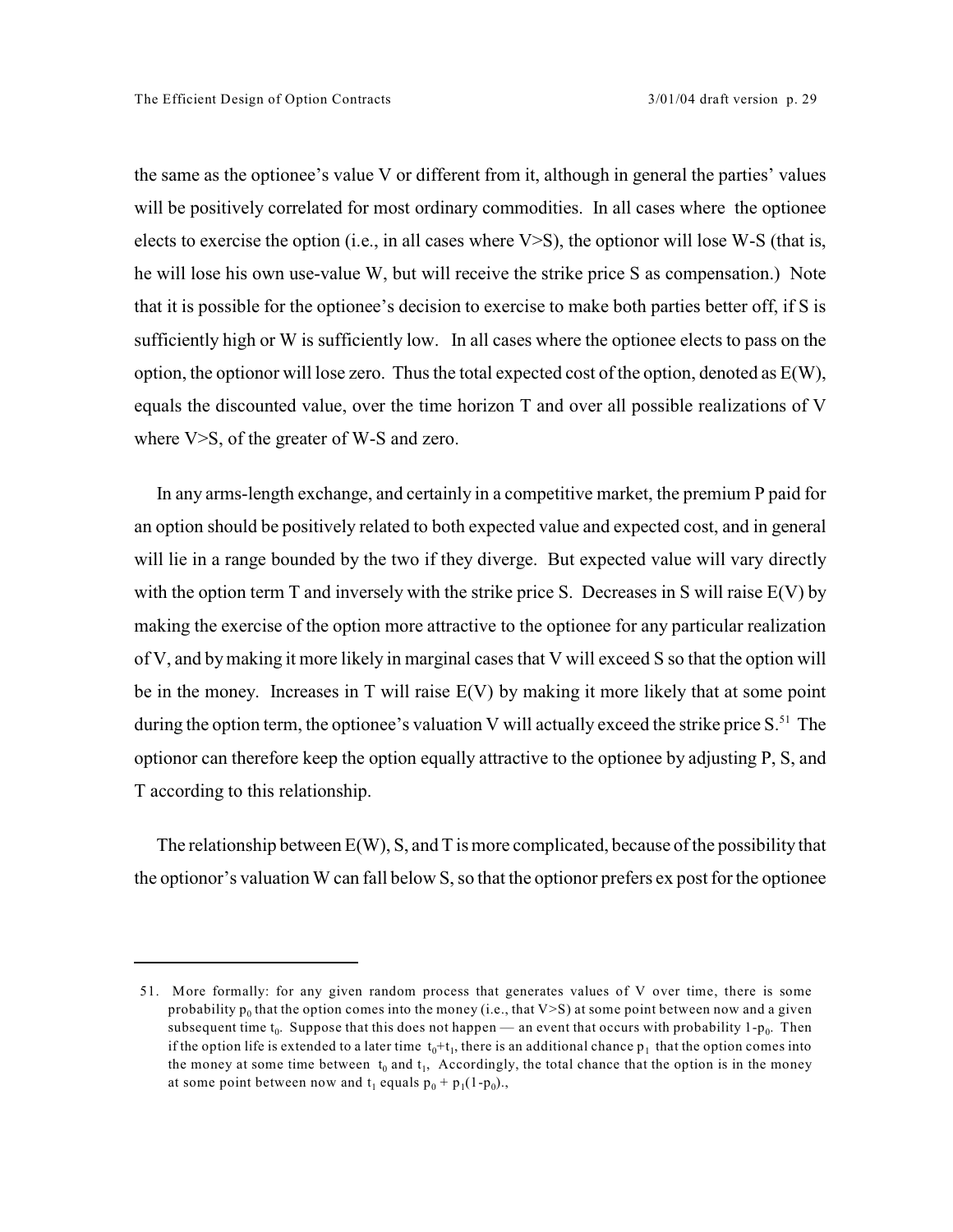the same as the optionee's value V or different from it, although in general the parties' values will be positively correlated for most ordinary commodities. In all cases where the optionee elects to exercise the option (i.e., in all cases where  $V>S$ ), the optionor will lose W-S (that is, he will lose his own use-value W, but will receive the strike price S as compensation.) Note that it is possible for the optionee's decision to exercise to make both parties better off, if S is sufficiently high or W is sufficiently low. In all cases where the optionee elects to pass on the option, the optionor will lose zero. Thus the total expected cost of the option, denoted as  $E(W)$ , equals the discounted value, over the time horizon T and over all possible realizations of V where V>S, of the greater of W-S and zero.

In any arms-length exchange, and certainly in a competitive market, the premium P paid for an option should be positively related to both expected value and expected cost, and in general will lie in a range bounded by the two if they diverge. But expected value will vary directly with the option term T and inversely with the strike price S. Decreases in S will raise  $E(V)$  by making the exercise of the option more attractive to the optionee for any particular realization of V, and bymaking it more likely in marginal cases that V will exceed S so that the option will be in the money. Increases in T will raise E(V) by making it more likely that at some point during the option term, the optionee's valuation V will actually exceed the strike price  $S<sup>51</sup>$ . The optionor can therefore keep the option equally attractive to the optionee by adjusting P, S, and T according to this relationship.

The relationship between  $E(W)$ , S, and T is more complicated, because of the possibility that the optionor's valuation W can fall below S, so that the optionor prefers ex post for the optionee

<sup>51.</sup> More formally: for any given random process that generates values of V over time, there is some probability  $p_0$  that the option comes into the money (i.e., that V>S) at some point between now and a given subsequent time  $t_0$ . Suppose that this does not happen — an event that occurs with probability  $1-p_0$ . Then if the option life is extended to a later time  $t_0 + t_1$ , there is an additional chance  $p_1$  that the option comes into the money at some time between  $t_0$  and  $t_1$ , Accordingly, the total chance that the option is in the money at some point between now and  $t_1$  equals  $p_0 + p_1(1-p_0)$ .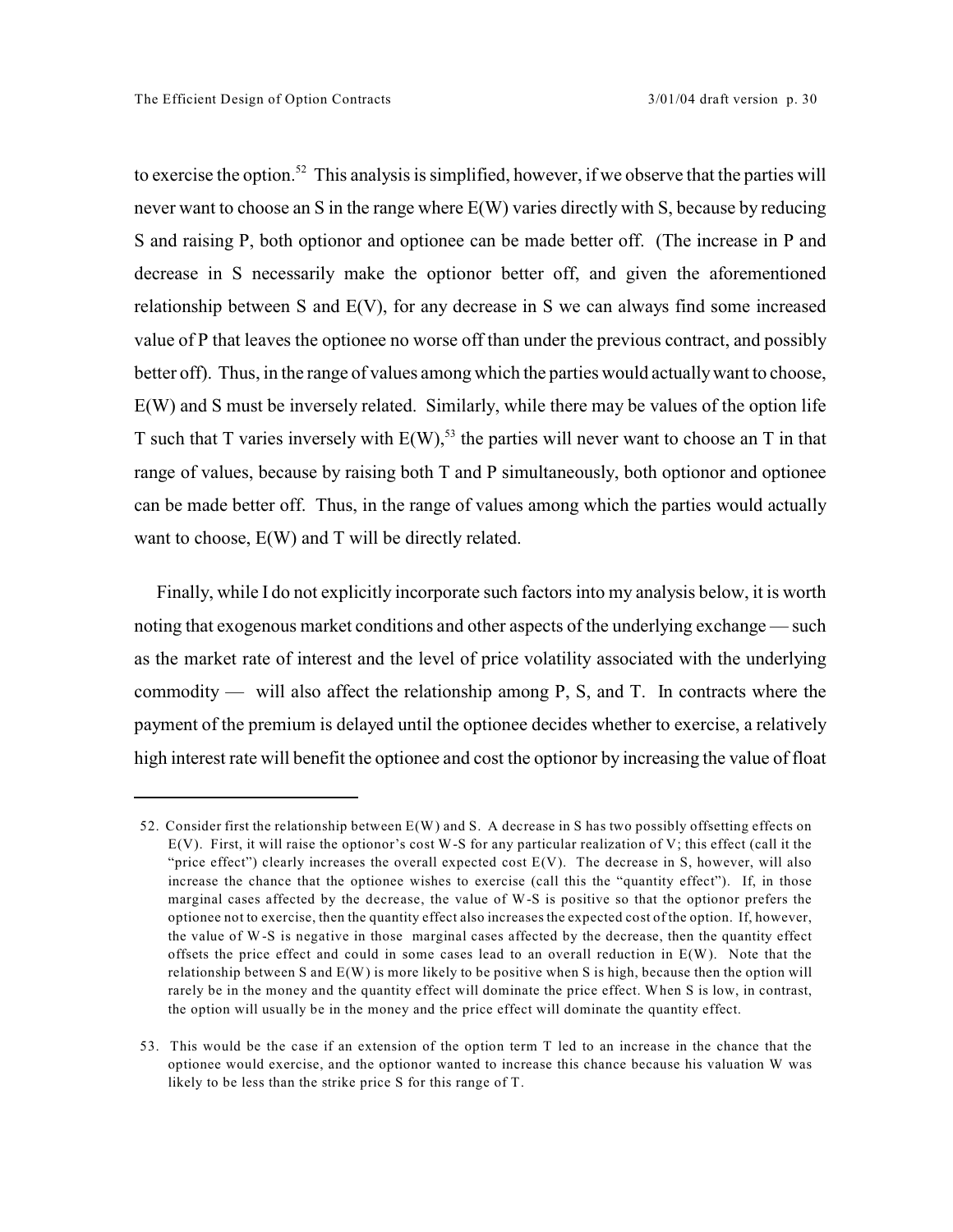to exercise the option.<sup>52</sup> This analysis is simplified, however, if we observe that the parties will never want to choose an S in the range where E(W) varies directly with S, because by reducing S and raising P, both optionor and optionee can be made better off. (The increase in P and decrease in S necessarily make the optionor better off, and given the aforementioned relationship between S and E(V), for any decrease in S we can always find some increased value of P that leaves the optionee no worse off than under the previous contract, and possibly better off). Thus, in the range of values among which the parties would actually want to choose, E(W) and S must be inversely related. Similarly, while there may be values of the option life T such that T varies inversely with  $E(W)$ ,<sup>53</sup> the parties will never want to choose an T in that range of values, because by raising both T and P simultaneously, both optionor and optionee can be made better off. Thus, in the range of values among which the parties would actually want to choose,  $E(W)$  and T will be directly related.

Finally, while I do not explicitly incorporate such factors into my analysis below, it is worth noting that exogenous market conditions and other aspects of the underlying exchange — such as the market rate of interest and the level of price volatility associated with the underlying commodity — will also affect the relationship among P, S, and T. In contracts where the payment of the premium is delayed until the optionee decides whether to exercise, a relatively high interest rate will benefit the optionee and cost the optionor by increasing the value of float

<sup>52.</sup> Consider first the relationship between E(W) and S. A decrease in S has two possibly offsetting effects on E(V). First, it will raise the optionor's cost W-S for any particular realization of V; this effect (call it the "price effect") clearly increases the overall expected cost  $E(V)$ . The decrease in S, however, will also increase the chance that the optionee wishes to exercise (call this the "quantity effect"). If, in those marginal cases affected by the decrease, the value of W-S is positive so that the optionor prefers the optionee not to exercise, then the quantity effect also increases the expected cost of the option. If, however, the value of W-S is negative in those marginal cases affected by the decrease, then the quantity effect offsets the price effect and could in some cases lead to an overall reduction in  $E(W)$ . Note that the relationship between S and E(W) is more likely to be positive when S is high, because then the option will rarely be in the money and the quantity effect will dominate the price effect. When S is low, in contrast, the option will usually be in the money and the price effect will dominate the quantity effect.

<sup>53.</sup> This would be the case if an extension of the option term T led to an increase in the chance that the optionee would exercise, and the optionor wanted to increase this chance because his valuation W was likely to be less than the strike price S for this range of T.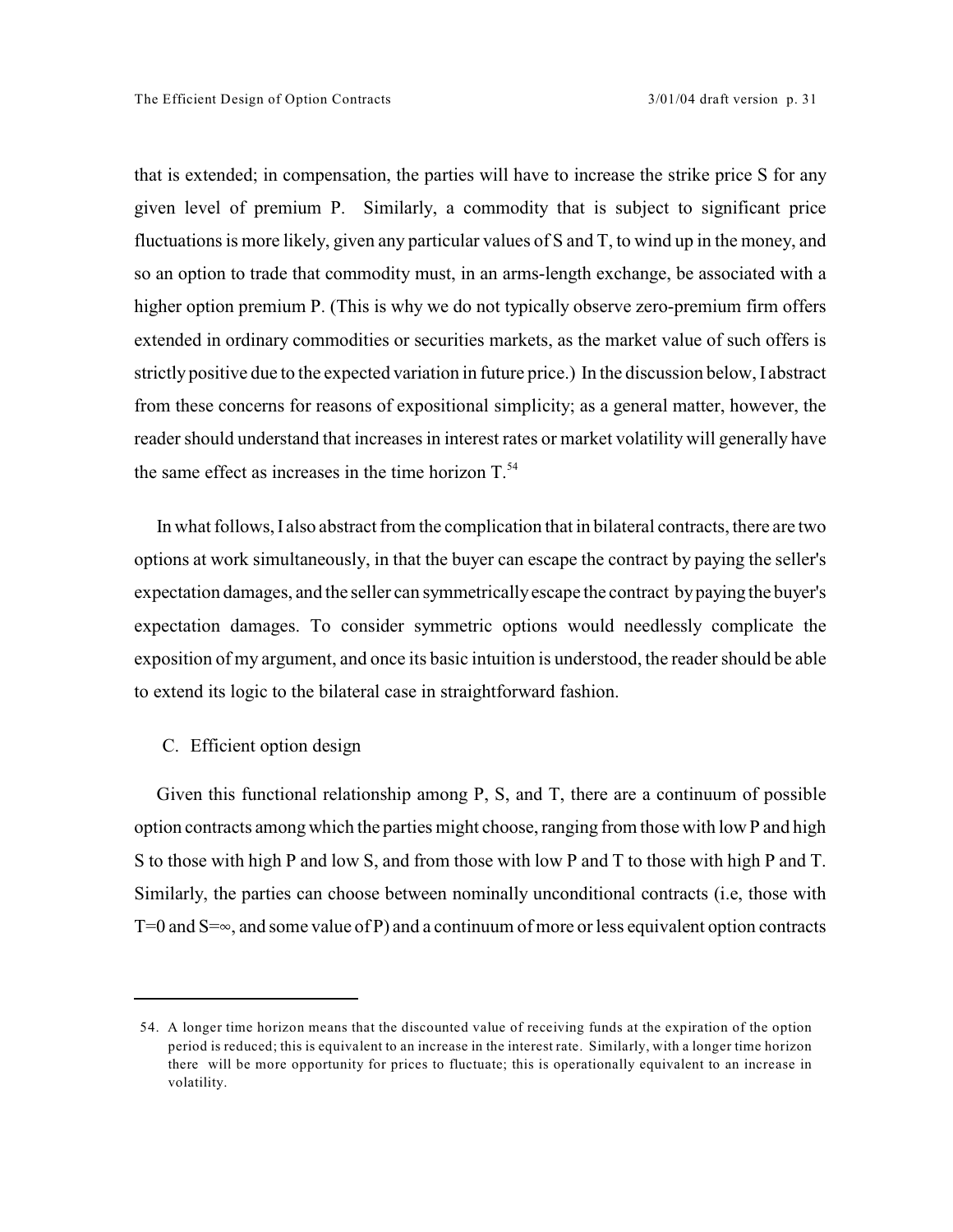that is extended; in compensation, the parties will have to increase the strike price S for any given level of premium P. Similarly, a commodity that is subject to significant price fluctuations is more likely, given any particular values of S and T, to wind up in the money, and so an option to trade that commodity must, in an arms-length exchange, be associated with a higher option premium P. (This is why we do not typically observe zero-premium firm offers extended in ordinary commodities or securities markets, as the market value of such offers is strictly positive due to the expected variation in future price.) In the discussion below, I abstract from these concerns for reasons of expositional simplicity; as a general matter, however, the reader should understand that increases in interest rates or market volatility will generally have the same effect as increases in the time horizon  $T^{54}$ .

In what follows, I also abstract from the complication that in bilateral contracts, there are two options at work simultaneously, in that the buyer can escape the contract by paying the seller's expectation damages, and the seller can symmetrically escape the contract by paying the buyer's expectation damages. To consider symmetric options would needlessly complicate the exposition of my argument, and once its basic intuition is understood, the reader should be able to extend its logic to the bilateral case in straightforward fashion.

## C. Efficient option design

Given this functional relationship among P, S, and T, there are a continuum of possible option contracts among which the parties might choose, ranging fromthose with low P and high S to those with high P and low S, and from those with low P and T to those with high P and T. Similarly, the parties can choose between nominally unconditional contracts (i.e, those with  $T=0$  and  $S=\infty$ , and some value of P) and a continuum of more or less equivalent option contracts

<sup>54.</sup> A longer time horizon means that the discounted value of receiving funds at the expiration of the option period is reduced; this is equivalent to an increase in the interest rate. Similarly, with a longer time horizon there will be more opportunity for prices to fluctuate; this is operationally equivalent to an increase in volatility.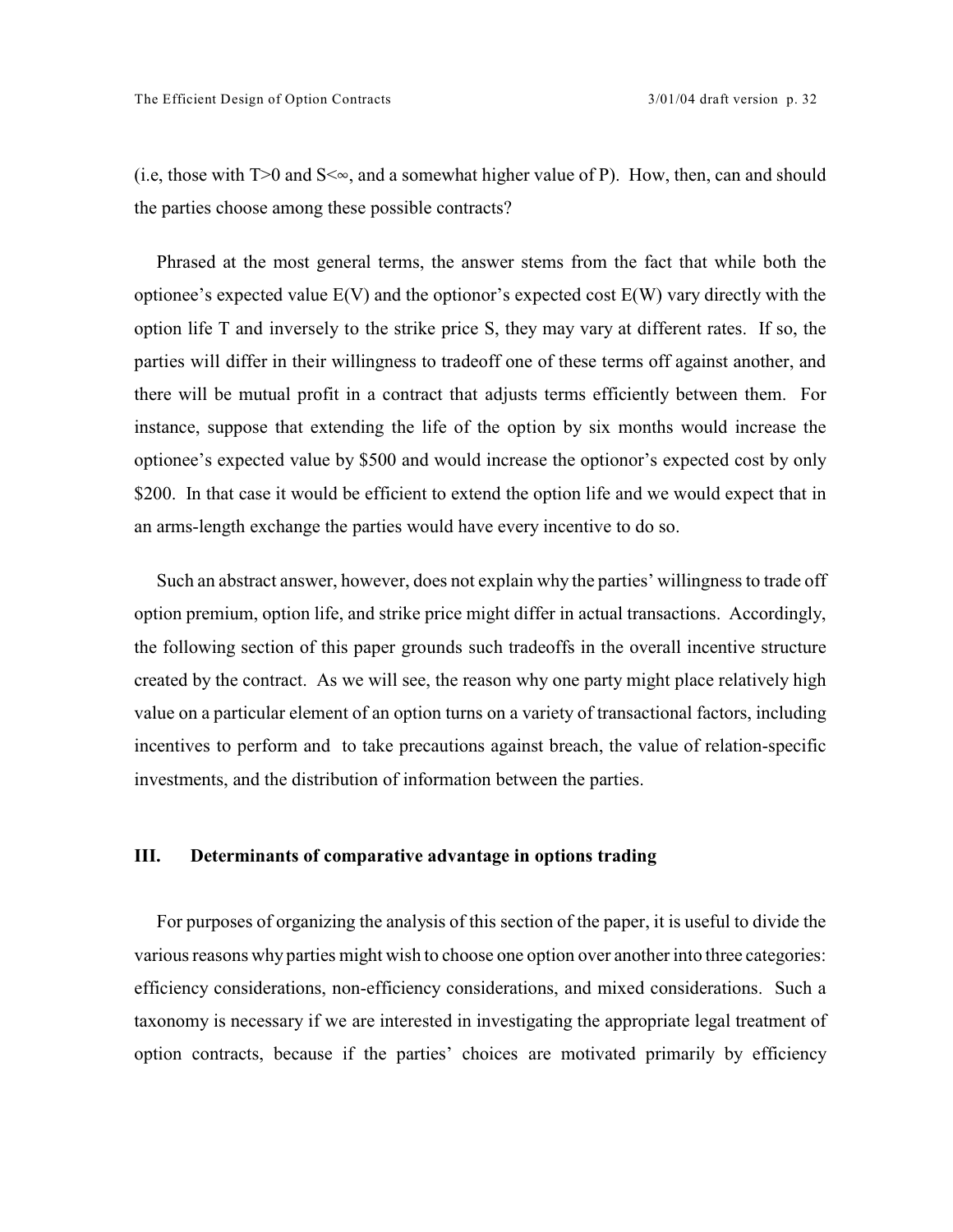(i.e, those with  $T>0$  and  $S<\infty$ , and a somewhat higher value of P). How, then, can and should the parties choose among these possible contracts?

Phrased at the most general terms, the answer stems from the fact that while both the optionee's expected value E(V) and the optionor's expected cost E(W) vary directly with the option life T and inversely to the strike price S, they may vary at different rates. If so, the parties will differ in their willingness to tradeoff one of these terms off against another, and there will be mutual profit in a contract that adjusts terms efficiently between them. For instance, suppose that extending the life of the option by six months would increase the optionee's expected value by \$500 and would increase the optionor's expected cost by only \$200. In that case it would be efficient to extend the option life and we would expect that in an arms-length exchange the parties would have every incentive to do so.

Such an abstract answer, however, does not explain why the parties' willingness to trade off option premium, option life, and strike price might differ in actual transactions. Accordingly, the following section of this paper grounds such tradeoffs in the overall incentive structure created by the contract. As we will see, the reason why one party might place relatively high value on a particular element of an option turns on a variety of transactional factors, including incentives to perform and to take precautions against breach, the value of relation-specific investments, and the distribution of information between the parties.

## **III. Determinants of comparative advantage in options trading**

For purposes of organizing the analysis of this section of the paper, it is useful to divide the various reasons why parties might wish to choose one option over another into three categories: efficiency considerations, non-efficiency considerations, and mixed considerations. Such a taxonomy is necessary if we are interested in investigating the appropriate legal treatment of option contracts, because if the parties' choices are motivated primarily by efficiency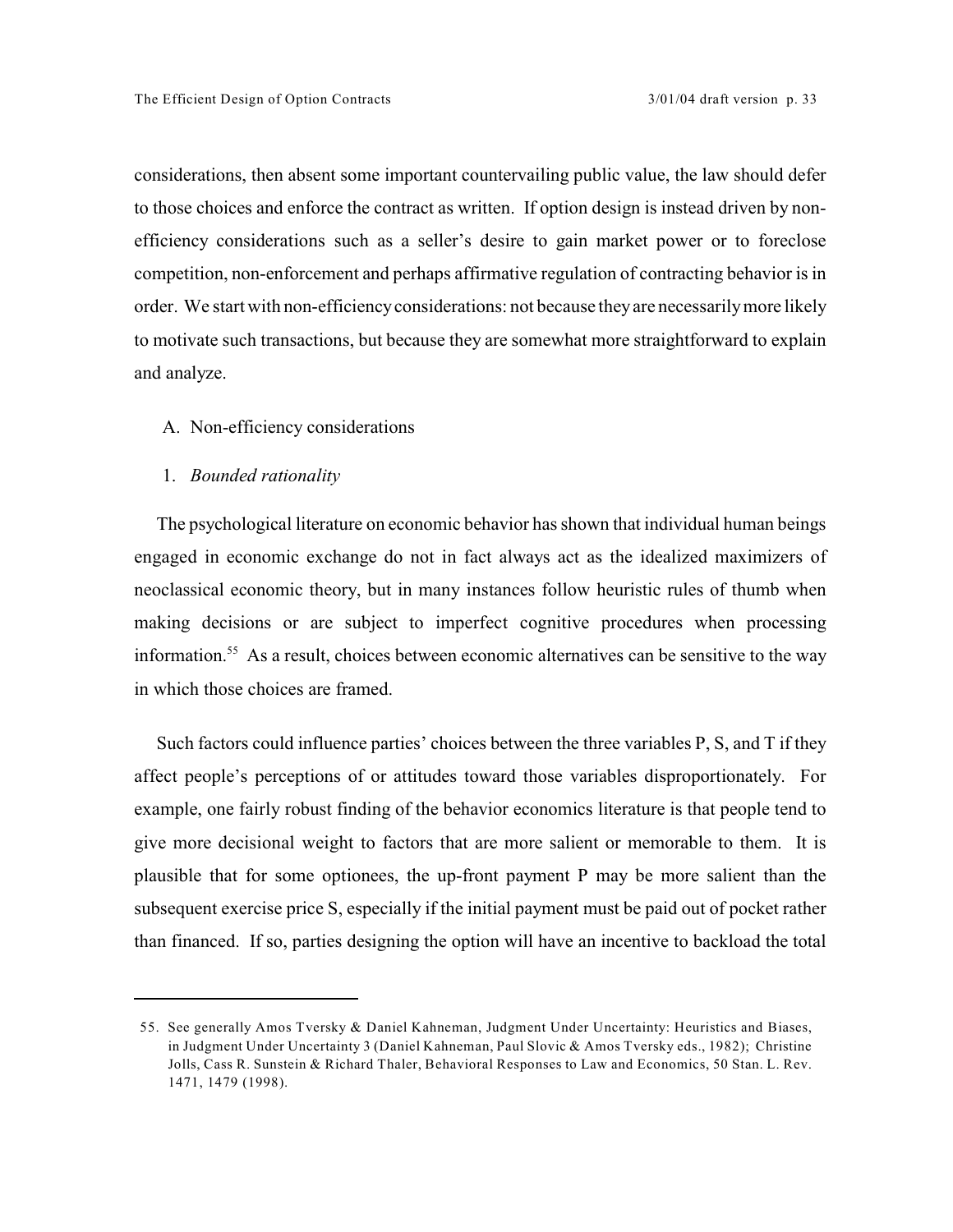considerations, then absent some important countervailing public value, the law should defer to those choices and enforce the contract as written. If option design is instead driven by nonefficiency considerations such as a seller's desire to gain market power or to foreclose competition, non-enforcement and perhaps affirmative regulation of contracting behavior is in order. We start with non-efficiency considerations: not because they are necessarily more likely to motivate such transactions, but because they are somewhat more straightforward to explain and analyze.

## A. Non-efficiency considerations

#### 1. *Bounded rationality*

The psychological literature on economic behavior has shown that individual human beings engaged in economic exchange do not in fact always act as the idealized maximizers of neoclassical economic theory, but in many instances follow heuristic rules of thumb when making decisions or are subject to imperfect cognitive procedures when processing information.<sup>55</sup> As a result, choices between economic alternatives can be sensitive to the way in which those choices are framed.

Such factors could influence parties' choices between the three variables P, S, and T if they affect people's perceptions of or attitudes toward those variables disproportionately. For example, one fairly robust finding of the behavior economics literature is that people tend to give more decisional weight to factors that are more salient or memorable to them. It is plausible that for some optionees, the up-front payment P may be more salient than the subsequent exercise price S, especially if the initial payment must be paid out of pocket rather than financed. If so, parties designing the option will have an incentive to backload the total

<sup>55.</sup> See generally Amos Tversky & Daniel Kahneman, Judgment Under Uncertainty: Heuristics and Biases, in Judgment Under Uncertainty 3 (Daniel Kahneman, Paul Slovic & Amos Tversky eds., 1982); Christine Jolls, Cass R. Sunstein & Richard Thaler, Behavioral Responses to Law and Economics, 50 Stan. L. Rev. 1471, 1479 (1998).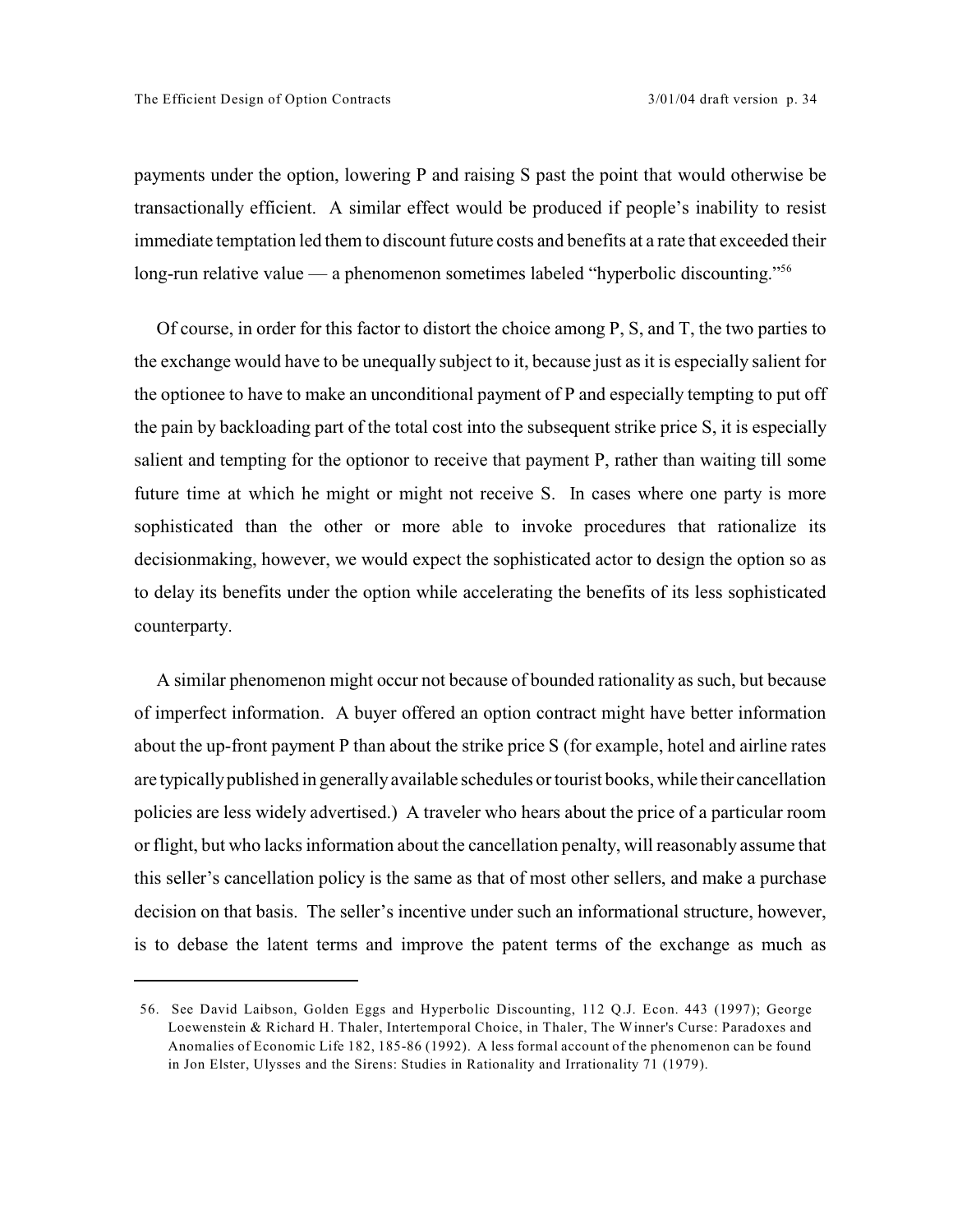payments under the option, lowering P and raising S past the point that would otherwise be transactionally efficient. A similar effect would be produced if people's inability to resist immediate temptation led them to discount future costs and benefits at a rate that exceeded their long-run relative value — a phenomenon sometimes labeled "hyperbolic discounting."<sup>56</sup>

Of course, in order for this factor to distort the choice among P, S, and T, the two parties to the exchange would have to be unequally subject to it, because just as it is especially salient for the optionee to have to make an unconditional payment of P and especially tempting to put off the pain by backloading part of the total cost into the subsequent strike price S, it is especially salient and tempting for the optionor to receive that payment P, rather than waiting till some future time at which he might or might not receive S. In cases where one party is more sophisticated than the other or more able to invoke procedures that rationalize its decisionmaking, however, we would expect the sophisticated actor to design the option so as to delay its benefits under the option while accelerating the benefits of its less sophisticated counterparty.

A similar phenomenon might occur not because of bounded rationality as such, but because of imperfect information. A buyer offered an option contract might have better information about the up-front payment P than about the strike price S (for example, hotel and airline rates are typically published in generally available schedules or tourist books, while their cancellation policies are less widely advertised.) A traveler who hears about the price of a particular room or flight, but who lacks information about the cancellation penalty, will reasonably assume that this seller's cancellation policy is the same as that of most other sellers, and make a purchase decision on that basis. The seller's incentive under such an informational structure, however, is to debase the latent terms and improve the patent terms of the exchange as much as

<sup>56.</sup> See David Laibson, Golden Eggs and Hyperbolic Discounting, 112 Q.J. Econ. 443 (1997); George Loewenstein & Richard H. Thaler, Intertemporal Choice, in Thaler, The Winner's Curse: Paradoxes and Anomalies of Economic Life 182, 185-86 (1992). A less formal account of the phenomenon can be found in Jon Elster, Ulysses and the Sirens: Studies in Rationality and Irrationality 71 (1979).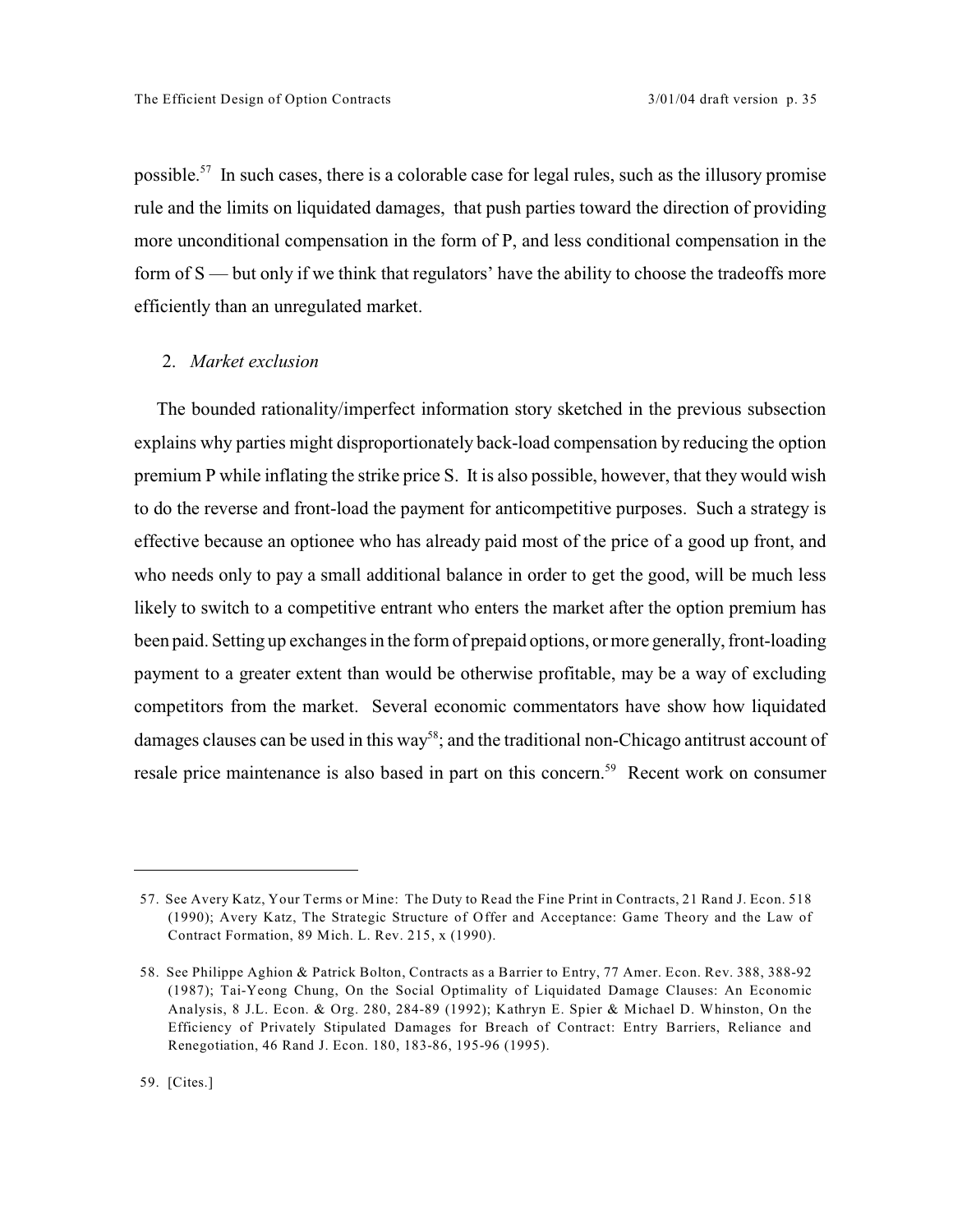possible.<sup>57</sup> In such cases, there is a colorable case for legal rules, such as the illusory promise rule and the limits on liquidated damages, that push parties toward the direction of providing more unconditional compensation in the form of P, and less conditional compensation in the form of S — but only if we think that regulators' have the ability to choose the tradeoffs more efficiently than an unregulated market.

### 2. *Market exclusion*

The bounded rationality/imperfect information story sketched in the previous subsection explains why parties might disproportionately back-load compensation by reducing the option premium P while inflating the strike price S. It is also possible, however, that they would wish to do the reverse and front-load the payment for anticompetitive purposes. Such a strategy is effective because an optionee who has already paid most of the price of a good up front, and who needs only to pay a small additional balance in order to get the good, will be much less likely to switch to a competitive entrant who enters the market after the option premium has been paid. Setting up exchanges in the form of prepaid options, or more generally, front-loading payment to a greater extent than would be otherwise profitable, may be a way of excluding competitors from the market. Several economic commentators have show how liquidated damages clauses can be used in this way<sup>58</sup>; and the traditional non-Chicago antitrust account of resale price maintenance is also based in part on this concern.<sup>59</sup> Recent work on consumer

<sup>57.</sup> See Avery Katz, Your Terms or Mine: The Duty to Read the Fine Print in Contracts, 21 Rand J. Econ. 518 (1990); Avery Katz, The Strategic Structure of Offer and Acceptance: Game Theory and the Law of Contract Formation, 89 Mich. L. Rev. 215, x (1990).

<sup>58.</sup> See Philippe Aghion & Patrick Bolton, Contracts as a Barrier to Entry, 77 Amer. Econ. Rev. 388, 388-92 (1987); Tai-Yeong Chung, On the Social Optimality of Liquidated Damage Clauses: An Economic Analysis, 8 J.L. Econ. & Org. 280, 284-89 (1992); Kathryn E. Spier & Michael D. Whinston, On the Efficiency of Privately Stipulated Damages for Breach of Contract: Entry Barriers, Reliance and Renegotiation, 46 Rand J. Econ. 180, 183-86, 195-96 (1995).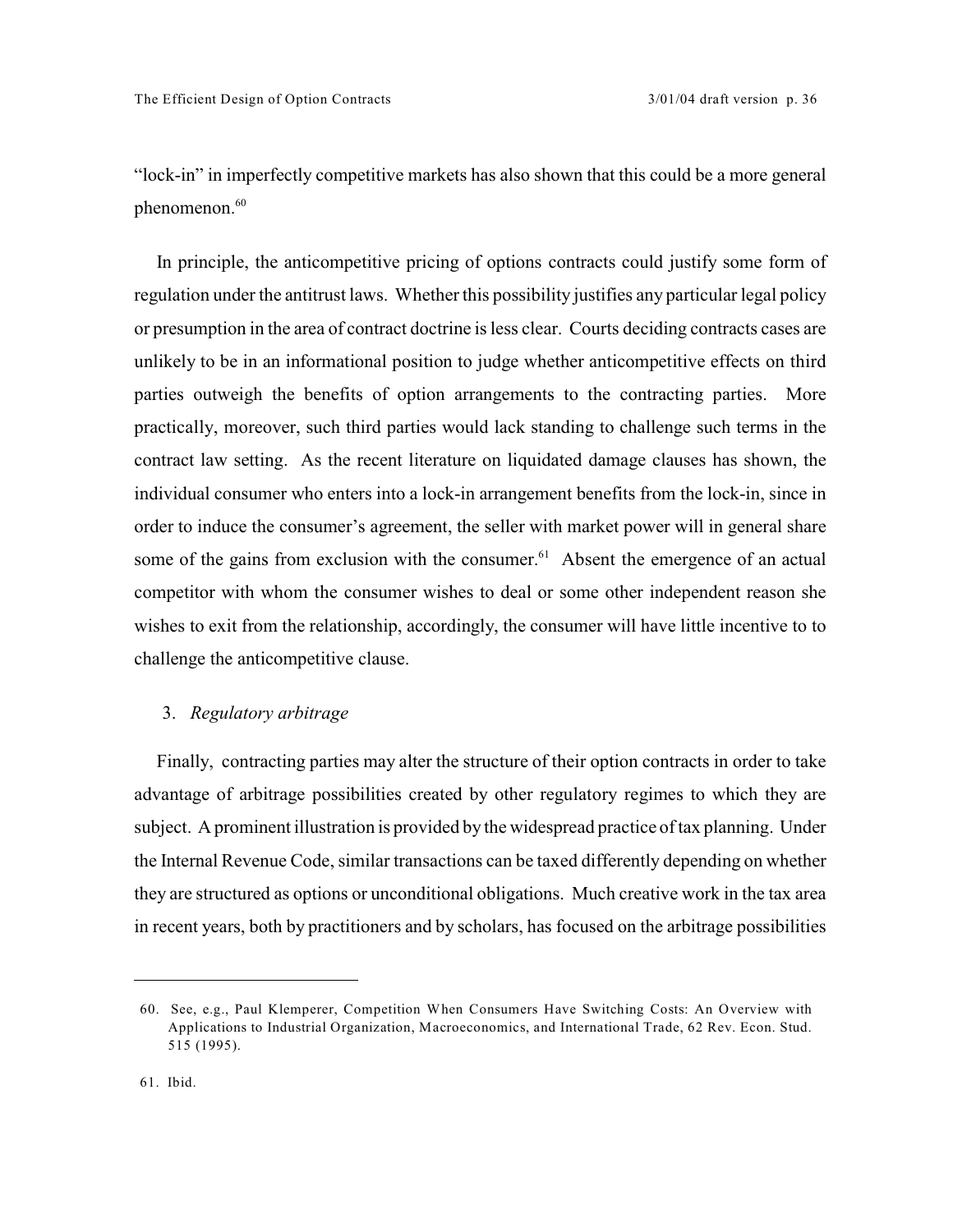"lock-in" in imperfectly competitive markets has also shown that this could be a more general phenomenon.<sup>60</sup>

In principle, the anticompetitive pricing of options contracts could justify some form of regulation under the antitrust laws. Whether this possibility justifies any particular legal policy or presumption in the area of contract doctrine is less clear. Courts deciding contracts cases are unlikely to be in an informational position to judge whether anticompetitive effects on third parties outweigh the benefits of option arrangements to the contracting parties. More practically, moreover, such third parties would lack standing to challenge such terms in the contract law setting. As the recent literature on liquidated damage clauses has shown, the individual consumer who enters into a lock-in arrangement benefits from the lock-in, since in order to induce the consumer's agreement, the seller with market power will in general share some of the gains from exclusion with the consumer.<sup> $61$ </sup> Absent the emergence of an actual competitor with whom the consumer wishes to deal or some other independent reason she wishes to exit from the relationship, accordingly, the consumer will have little incentive to to challenge the anticompetitive clause.

## 3. *Regulatory arbitrage*

Finally, contracting parties may alter the structure of their option contracts in order to take advantage of arbitrage possibilities created by other regulatory regimes to which they are subject. A prominent illustration is provided by the widespread practice of tax planning. Under the Internal Revenue Code, similar transactions can be taxed differently depending on whether they are structured as options or unconditional obligations. Much creative work in the tax area in recent years, both by practitioners and by scholars, has focused on the arbitrage possibilities

<sup>60.</sup> See, e.g., Paul Klemperer, Competition When Consumers Have Switching Costs: An Overview with Applications to Industrial Organization, Macroeconomics, and International Trade, 62 Rev. Econ. Stud. 515 (1995).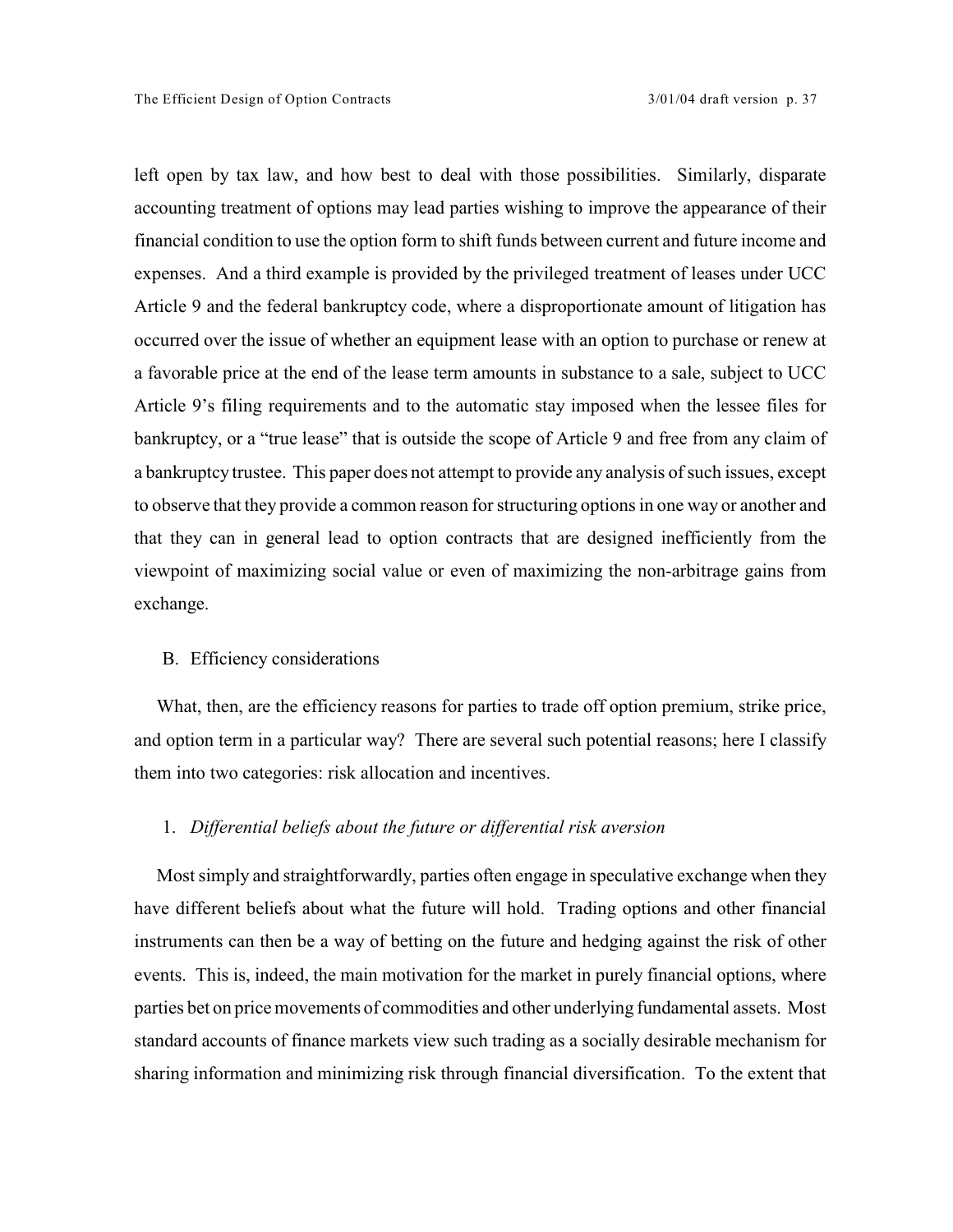left open by tax law, and how best to deal with those possibilities. Similarly, disparate accounting treatment of options may lead parties wishing to improve the appearance of their financial condition to use the option form to shift funds between current and future income and expenses. And a third example is provided by the privileged treatment of leases under UCC Article 9 and the federal bankruptcy code, where a disproportionate amount of litigation has occurred over the issue of whether an equipment lease with an option to purchase or renew at a favorable price at the end of the lease term amounts in substance to a sale, subject to UCC Article 9's filing requirements and to the automatic stay imposed when the lessee files for bankruptcy, or a "true lease" that is outside the scope of Article 9 and free from any claim of a bankruptcy trustee. This paper does not attempt to provide any analysis of such issues, except to observe that they provide a common reason for structuring options in one way or another and that they can in general lead to option contracts that are designed inefficiently from the viewpoint of maximizing social value or even of maximizing the non-arbitrage gains from exchange.

## B. Efficiency considerations

What, then, are the efficiency reasons for parties to trade off option premium, strike price, and option term in a particular way? There are several such potential reasons; here I classify them into two categories: risk allocation and incentives.

## 1. *Differential beliefs about the future or differential risk aversion*

Most simply and straightforwardly, parties often engage in speculative exchange when they have different beliefs about what the future will hold. Trading options and other financial instruments can then be a way of betting on the future and hedging against the risk of other events. This is, indeed, the main motivation for the market in purely financial options, where parties bet on price movements of commodities and other underlying fundamental assets. Most standard accounts of finance markets view such trading as a socially desirable mechanism for sharing information and minimizing risk through financial diversification. To the extent that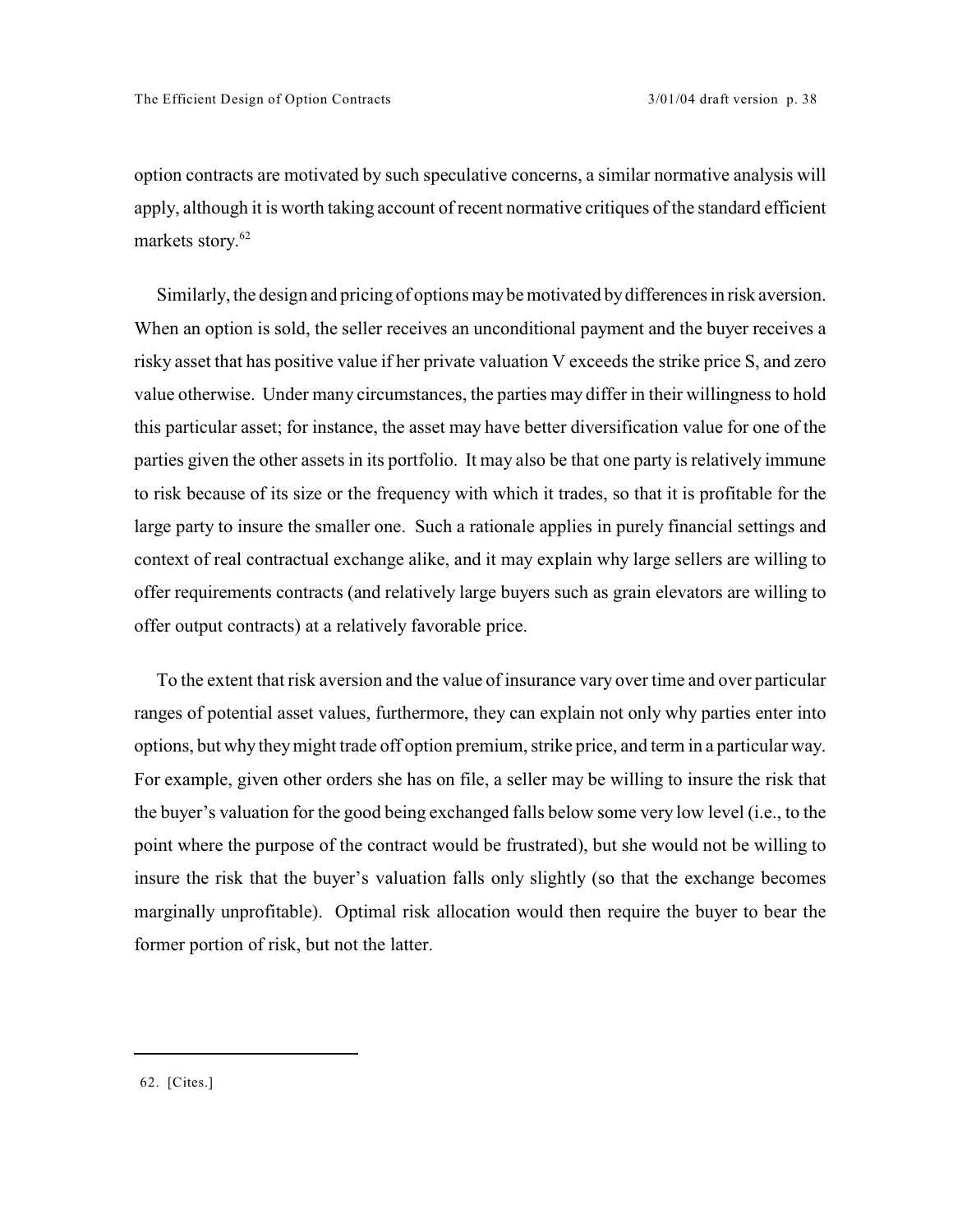option contracts are motivated by such speculative concerns, a similar normative analysis will apply, although it is worth taking account of recent normative critiques of the standard efficient markets story.<sup>62</sup>

Similarly, the design and pricing of options may be motivated by differences in risk aversion. When an option is sold, the seller receives an unconditional payment and the buyer receives a risky asset that has positive value if her private valuation V exceeds the strike price S, and zero value otherwise. Under many circumstances, the parties may differ in their willingness to hold this particular asset; for instance, the asset may have better diversification value for one of the parties given the other assets in its portfolio. It may also be that one party is relatively immune to risk because of its size or the frequency with which it trades, so that it is profitable for the large party to insure the smaller one. Such a rationale applies in purely financial settings and context of real contractual exchange alike, and it may explain why large sellers are willing to offer requirements contracts (and relatively large buyers such as grain elevators are willing to offer output contracts) at a relatively favorable price.

To the extent that risk aversion and the value of insurance vary over time and over particular ranges of potential asset values, furthermore, they can explain not only why parties enter into options, but why they might trade off option premium, strike price, and term in a particular way. For example, given other orders she has on file, a seller may be willing to insure the risk that the buyer's valuation for the good being exchanged falls below some very low level (i.e., to the point where the purpose of the contract would be frustrated), but she would not be willing to insure the risk that the buyer's valuation falls only slightly (so that the exchange becomes marginally unprofitable). Optimal risk allocation would then require the buyer to bear the former portion of risk, but not the latter.

<sup>62. [</sup>Cites.]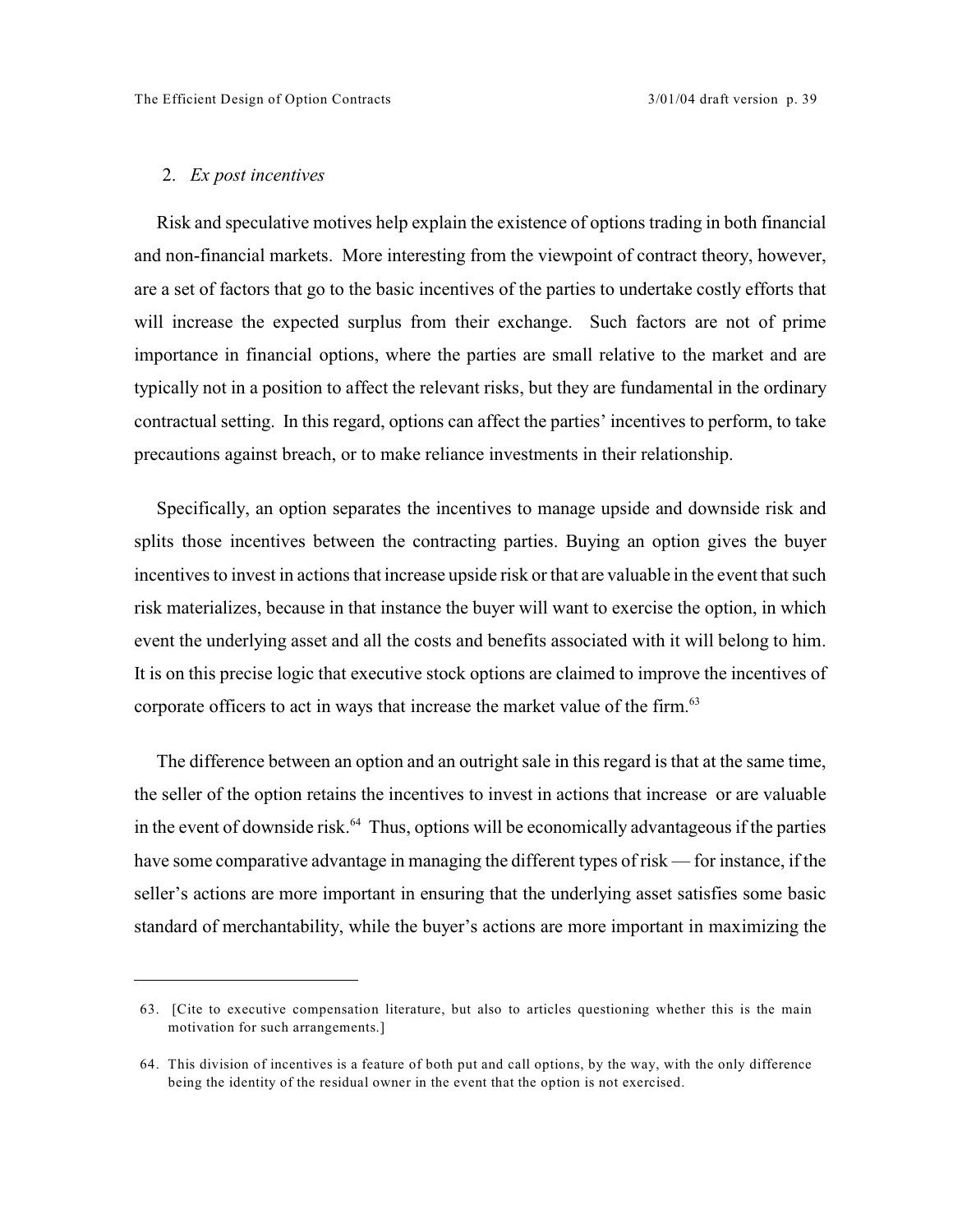#### 2. *Ex post incentives*

Risk and speculative motives help explain the existence of options trading in both financial and non-financial markets. More interesting from the viewpoint of contract theory, however, are a set of factors that go to the basic incentives of the parties to undertake costly efforts that will increase the expected surplus from their exchange. Such factors are not of prime importance in financial options, where the parties are small relative to the market and are typically not in a position to affect the relevant risks, but they are fundamental in the ordinary contractual setting. In this regard, options can affect the parties' incentives to perform, to take precautions against breach, or to make reliance investments in their relationship.

Specifically, an option separates the incentives to manage upside and downside risk and splits those incentives between the contracting parties. Buying an option gives the buyer incentives to invest in actions that increase upside risk or that are valuable in the event that such risk materializes, because in that instance the buyer will want to exercise the option, in which event the underlying asset and all the costs and benefits associated with it will belong to him. It is on this precise logic that executive stock options are claimed to improve the incentives of corporate officers to act in ways that increase the market value of the firm.<sup>63</sup>

The difference between an option and an outright sale in this regard is that at the same time, the seller of the option retains the incentives to invest in actions that increase or are valuable in the event of downside risk. $<sup>64</sup>$  Thus, options will be economically advantageous if the parties</sup> have some comparative advantage in managing the different types of risk — for instance, if the seller's actions are more important in ensuring that the underlying asset satisfies some basic standard of merchantability, while the buyer's actions are more important in maximizing the

<sup>63. [</sup>Cite to executive compensation literature, but also to articles questioning whether this is the main motivation for such arrangements.]

<sup>64.</sup> This division of incentives is a feature of both put and call options, by the way, with the only difference being the identity of the residual owner in the event that the option is not exercised.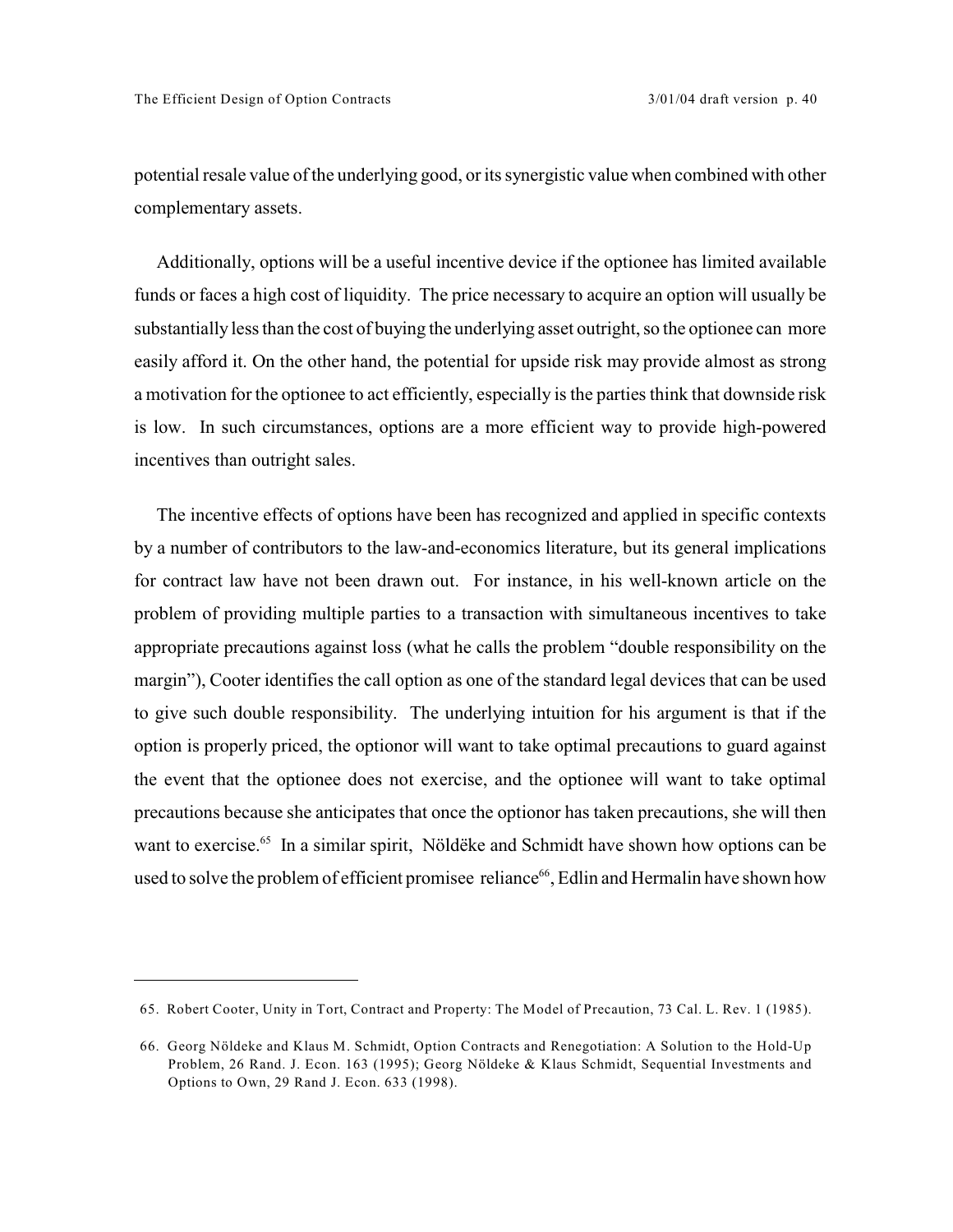potential resale value of the underlying good, or its synergistic value when combined with other complementary assets.

Additionally, options will be a useful incentive device if the optionee has limited available funds or faces a high cost of liquidity. The price necessary to acquire an option will usually be substantially less than the cost of buying the underlying asset outright, so the optionee can more easily afford it. On the other hand, the potential for upside risk may provide almost as strong a motivation for the optionee to act efficiently, especially is the parties think that downside risk is low. In such circumstances, options are a more efficient way to provide high-powered incentives than outright sales.

The incentive effects of options have been has recognized and applied in specific contexts by a number of contributors to the law-and-economics literature, but its general implications for contract law have not been drawn out. For instance, in his well-known article on the problem of providing multiple parties to a transaction with simultaneous incentives to take appropriate precautions against loss (what he calls the problem "double responsibility on the margin"), Cooter identifies the call option as one of the standard legal devices that can be used to give such double responsibility. The underlying intuition for his argument is that if the option is properly priced, the optionor will want to take optimal precautions to guard against the event that the optionee does not exercise, and the optionee will want to take optimal precautions because she anticipates that once the optionor has taken precautions, she will then want to exercise.<sup>65</sup> In a similar spirit, Nöldëke and Schmidt have shown how options can be used to solve the problem of efficient promisee reliance<sup>66</sup>, Edlin and Hermalin have shown how

<sup>65.</sup> Robert Cooter, Unity in Tort, Contract and Property: The Model of Precaution, 73 Cal. L. Rev. 1 (1985).

<sup>66.</sup> Georg Nöldeke and Klaus M. Schmidt, Option Contracts and Renegotiation: A Solution to the Hold-Up Problem, 26 Rand. J. Econ. 163 (1995); Georg Nöldeke & Klaus Schmidt, Sequential Investments and Options to Own, 29 Rand J. Econ. 633 (1998).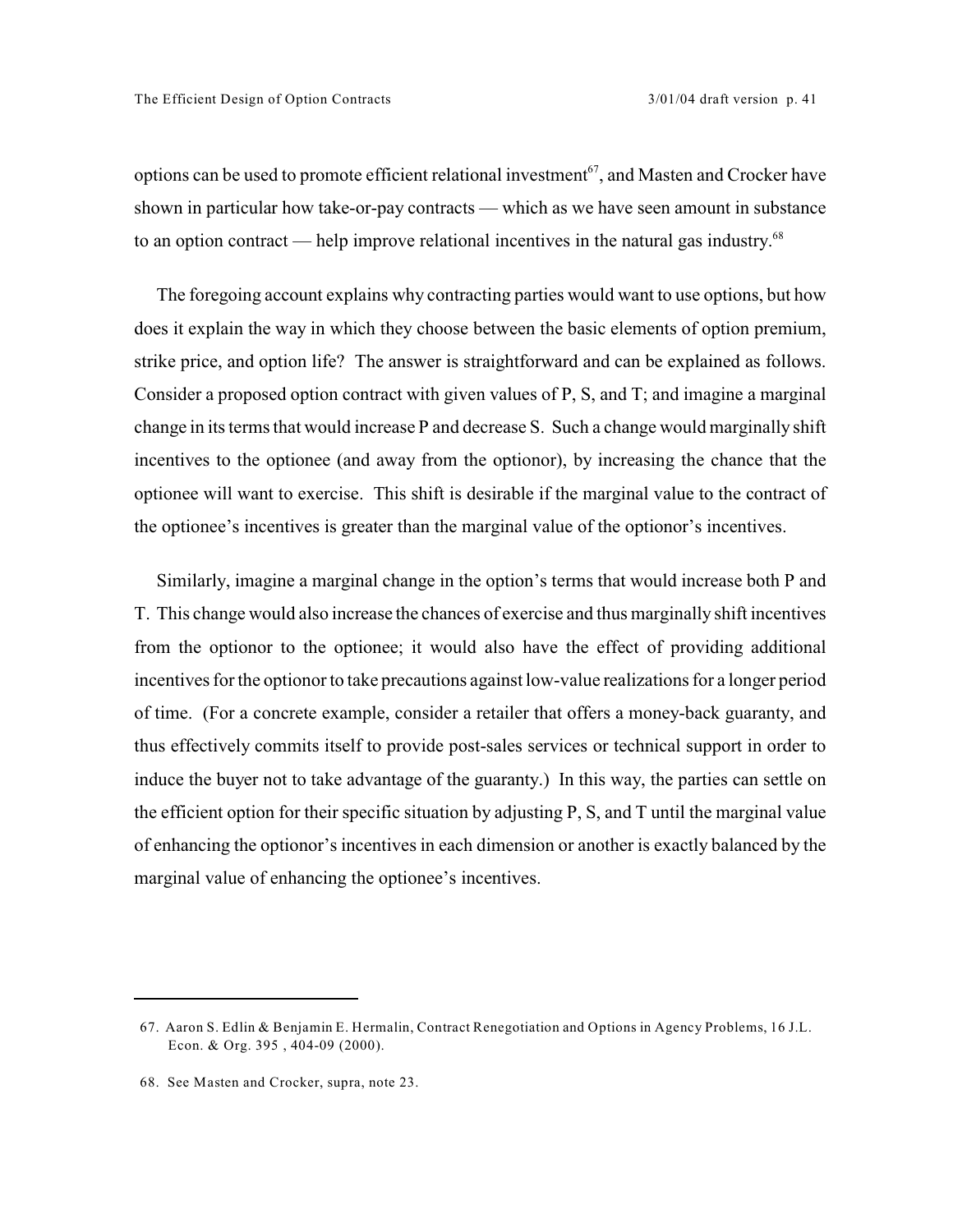options can be used to promote efficient relational investment<sup> $67$ </sup>, and Masten and Crocker have shown in particular how take-or-pay contracts — which as we have seen amount in substance to an option contract — help improve relational incentives in the natural gas industry.<sup>68</sup>

The foregoing account explains why contracting parties would want to use options, but how does it explain the way in which they choose between the basic elements of option premium, strike price, and option life? The answer is straightforward and can be explained as follows. Consider a proposed option contract with given values of P, S, and T; and imagine a marginal change in its terms that would increase P and decrease S. Such a change would marginally shift incentives to the optionee (and away from the optionor), by increasing the chance that the optionee will want to exercise. This shift is desirable if the marginal value to the contract of the optionee's incentives is greater than the marginal value of the optionor's incentives.

Similarly, imagine a marginal change in the option's terms that would increase both P and T. This change would also increase the chances of exercise and thus marginally shift incentives from the optionor to the optionee; it would also have the effect of providing additional incentives for the optionor to take precautions against low-value realizations for a longer period of time. (For a concrete example, consider a retailer that offers a money-back guaranty, and thus effectively commits itself to provide post-sales services or technical support in order to induce the buyer not to take advantage of the guaranty.) In this way, the parties can settle on the efficient option for their specific situation by adjusting P, S, and T until the marginal value of enhancing the optionor's incentives in each dimension or another is exactly balanced by the marginal value of enhancing the optionee's incentives.

<sup>67.</sup> Aaron S. Edlin & Benjamin E. Hermalin, Contract Renegotiation and Options in Agency Problems, 16 J.L. Econ. & Org. 395 , 404-09 (2000).

<sup>68.</sup> See Masten and Crocker, supra, note 23.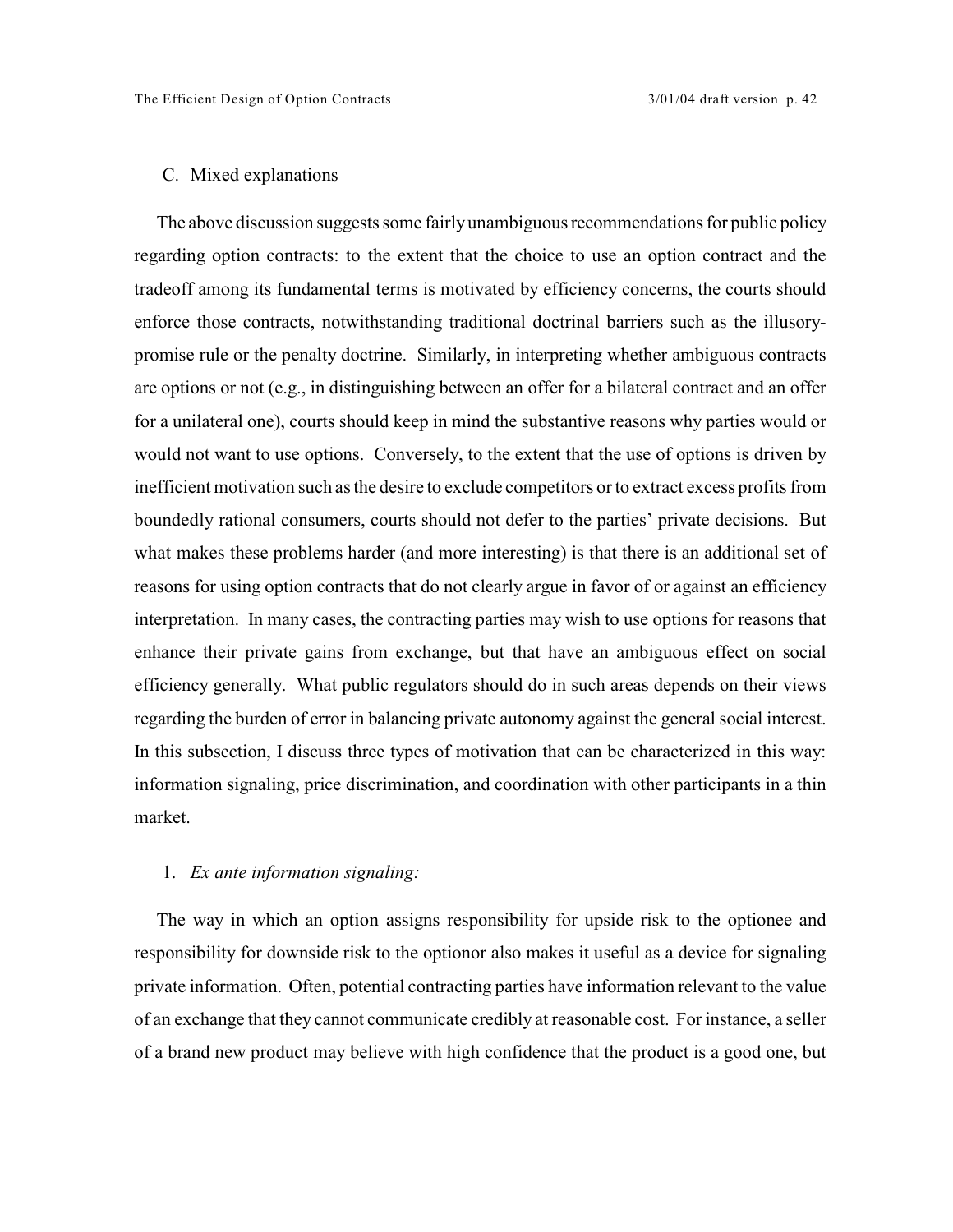## C. Mixed explanations

The above discussion suggests some fairly unambiguous recommendations for public policy regarding option contracts: to the extent that the choice to use an option contract and the tradeoff among its fundamental terms is motivated by efficiency concerns, the courts should enforce those contracts, notwithstanding traditional doctrinal barriers such as the illusorypromise rule or the penalty doctrine. Similarly, in interpreting whether ambiguous contracts are options or not (e.g., in distinguishing between an offer for a bilateral contract and an offer for a unilateral one), courts should keep in mind the substantive reasons why parties would or would not want to use options. Conversely, to the extent that the use of options is driven by inefficient motivation such as the desire to exclude competitors or to extract excess profits from boundedly rational consumers, courts should not defer to the parties' private decisions. But what makes these problems harder (and more interesting) is that there is an additional set of reasons for using option contracts that do not clearly argue in favor of or against an efficiency interpretation. In many cases, the contracting parties may wish to use options for reasons that enhance their private gains from exchange, but that have an ambiguous effect on social efficiency generally. What public regulators should do in such areas depends on their views regarding the burden of error in balancing private autonomy against the general social interest. In this subsection, I discuss three types of motivation that can be characterized in this way: information signaling, price discrimination, and coordination with other participants in a thin market.

## 1. *Ex ante information signaling:*

The way in which an option assigns responsibility for upside risk to the optionee and responsibility for downside risk to the optionor also makes it useful as a device for signaling private information. Often, potential contracting parties have information relevant to the value of an exchange that they cannot communicate credibly at reasonable cost. For instance, a seller of a brand new product may believe with high confidence that the product is a good one, but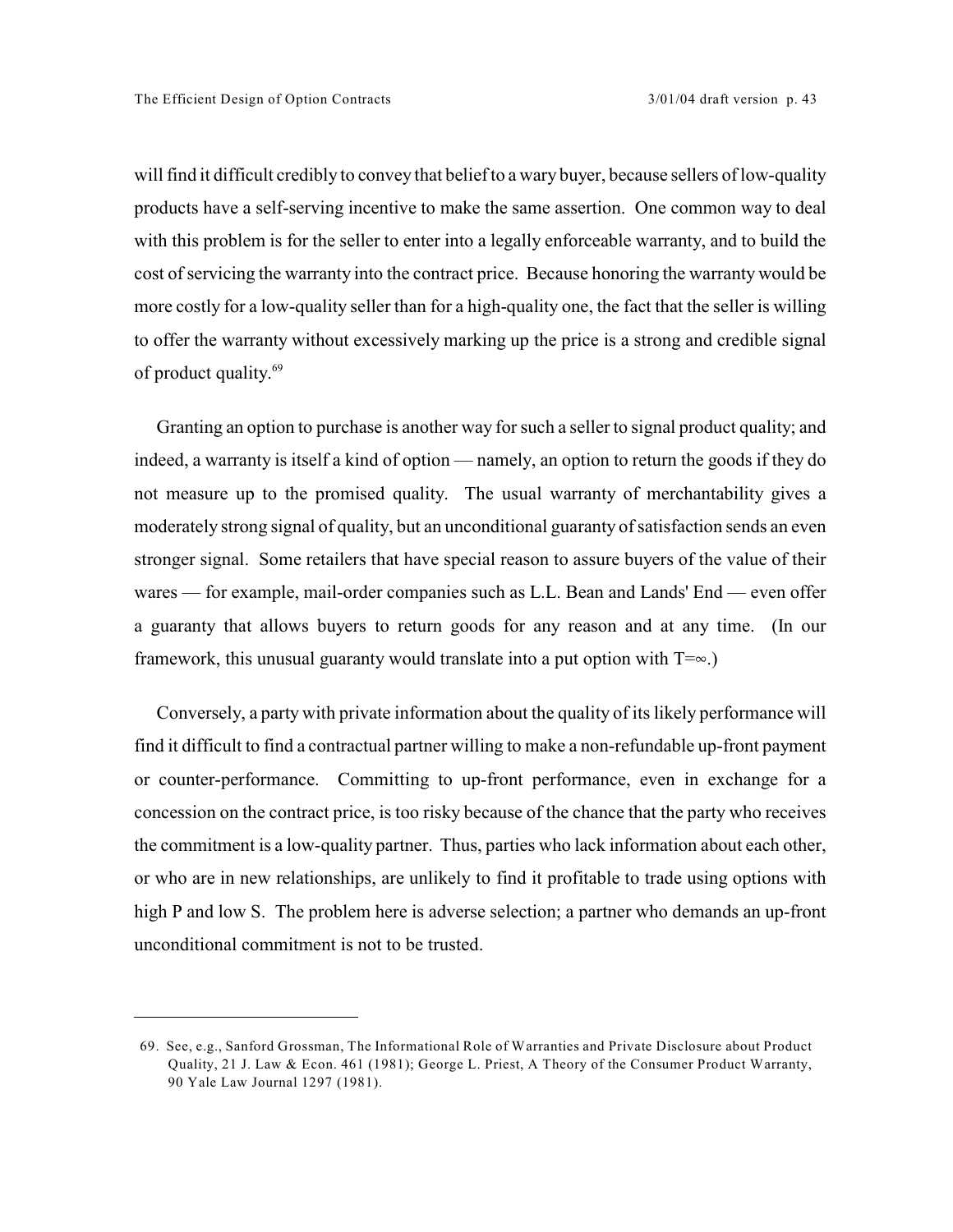will find it difficult credibly to convey that belief to a wary buyer, because sellers of low-quality products have a self-serving incentive to make the same assertion. One common way to deal with this problem is for the seller to enter into a legally enforceable warranty, and to build the cost of servicing the warranty into the contract price. Because honoring the warranty would be more costly for a low-quality seller than for a high-quality one, the fact that the seller is willing to offer the warranty without excessively marking up the price is a strong and credible signal of product quality.<sup>69</sup>

Granting an option to purchase is another way for such a seller to signal product quality; and indeed, a warranty is itself a kind of option — namely, an option to return the goods if they do not measure up to the promised quality. The usual warranty of merchantability gives a moderately strong signal of quality, but an unconditional guaranty of satisfaction sends an even stronger signal. Some retailers that have special reason to assure buyers of the value of their wares — for example, mail-order companies such as L.L. Bean and Lands' End — even offer a guaranty that allows buyers to return goods for any reason and at any time. (In our framework, this unusual guaranty would translate into a put option with  $T=\infty$ .)

Conversely, a party with private information about the quality of its likely performance will find it difficult to find a contractual partner willing to make a non-refundable up-front payment or counter-performance. Committing to up-front performance, even in exchange for a concession on the contract price, is too risky because of the chance that the party who receives the commitment is a low-quality partner. Thus, parties who lack information about each other, or who are in new relationships, are unlikely to find it profitable to trade using options with high P and low S. The problem here is adverse selection; a partner who demands an up-front unconditional commitment is not to be trusted.

<sup>69.</sup> See, e.g., Sanford Grossman, The Informational Role of Warranties and Private Disclosure about Product Quality, 21 J. Law & Econ. 461 (1981); George L. Priest, A Theory of the Consumer Product Warranty, 90 Yale Law Journal 1297 (1981).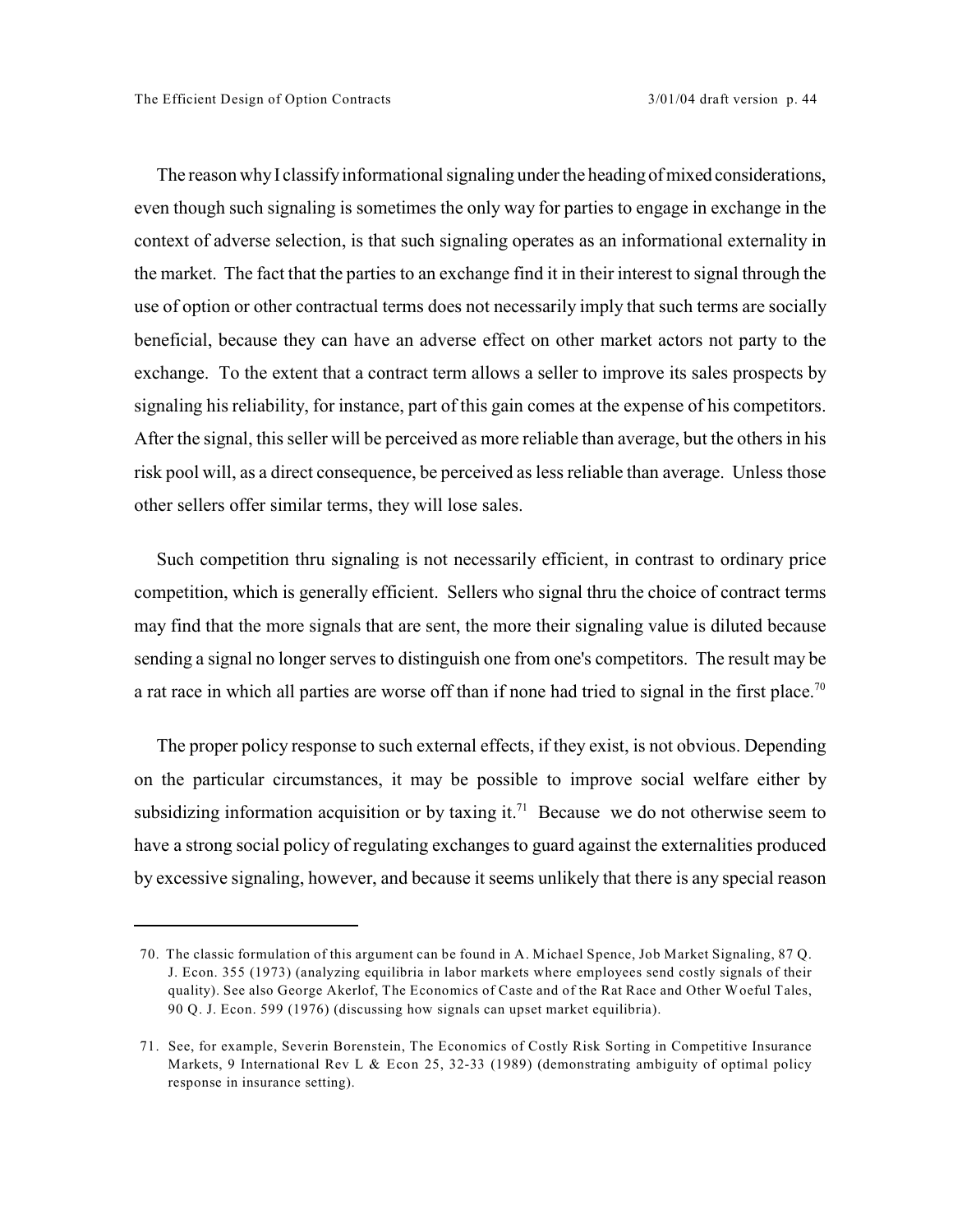The reason why I classify informational signaling under the heading of mixed considerations, even though such signaling is sometimes the only way for parties to engage in exchange in the context of adverse selection, is that such signaling operates as an informational externality in the market. The fact that the parties to an exchange find it in their interest to signal through the use of option or other contractual terms does not necessarily imply that such terms are socially beneficial, because they can have an adverse effect on other market actors not party to the exchange. To the extent that a contract term allows a seller to improve its sales prospects by signaling his reliability, for instance, part of this gain comes at the expense of his competitors. After the signal, this seller will be perceived as more reliable than average, but the others in his risk pool will, as a direct consequence, be perceived as less reliable than average. Unless those other sellers offer similar terms, they will lose sales.

Such competition thru signaling is not necessarily efficient, in contrast to ordinary price competition, which is generally efficient. Sellers who signal thru the choice of contract terms may find that the more signals that are sent, the more their signaling value is diluted because sending a signal no longer serves to distinguish one from one's competitors. The result may be a rat race in which all parties are worse off than if none had tried to signal in the first place.<sup>70</sup>

The proper policy response to such external effects, if they exist, is not obvious. Depending on the particular circumstances, it may be possible to improve social welfare either by subsidizing information acquisition or by taxing it.<sup>71</sup> Because we do not otherwise seem to have a strong social policy of regulating exchanges to guard against the externalities produced by excessive signaling, however, and because it seems unlikely that there is any special reason

<sup>70.</sup> The classic formulation of this argument can be found in A. Michael Spence, Job Market Signaling, 87 Q. J. Econ. 355 (1973) (analyzing equilibria in labor markets where employees send costly signals of their quality). See also George Akerlof, The Economics of Caste and of the Rat Race and Other Woeful Tales, 90 Q. J. Econ. 599 (1976) (discussing how signals can upset market equilibria).

<sup>71.</sup> See, for example, Severin Borenstein, The Economics of Costly Risk Sorting in Competitive Insurance Markets, 9 International Rev L & Econ 25, 32-33 (1989) (demonstrating ambiguity of optimal policy response in insurance setting).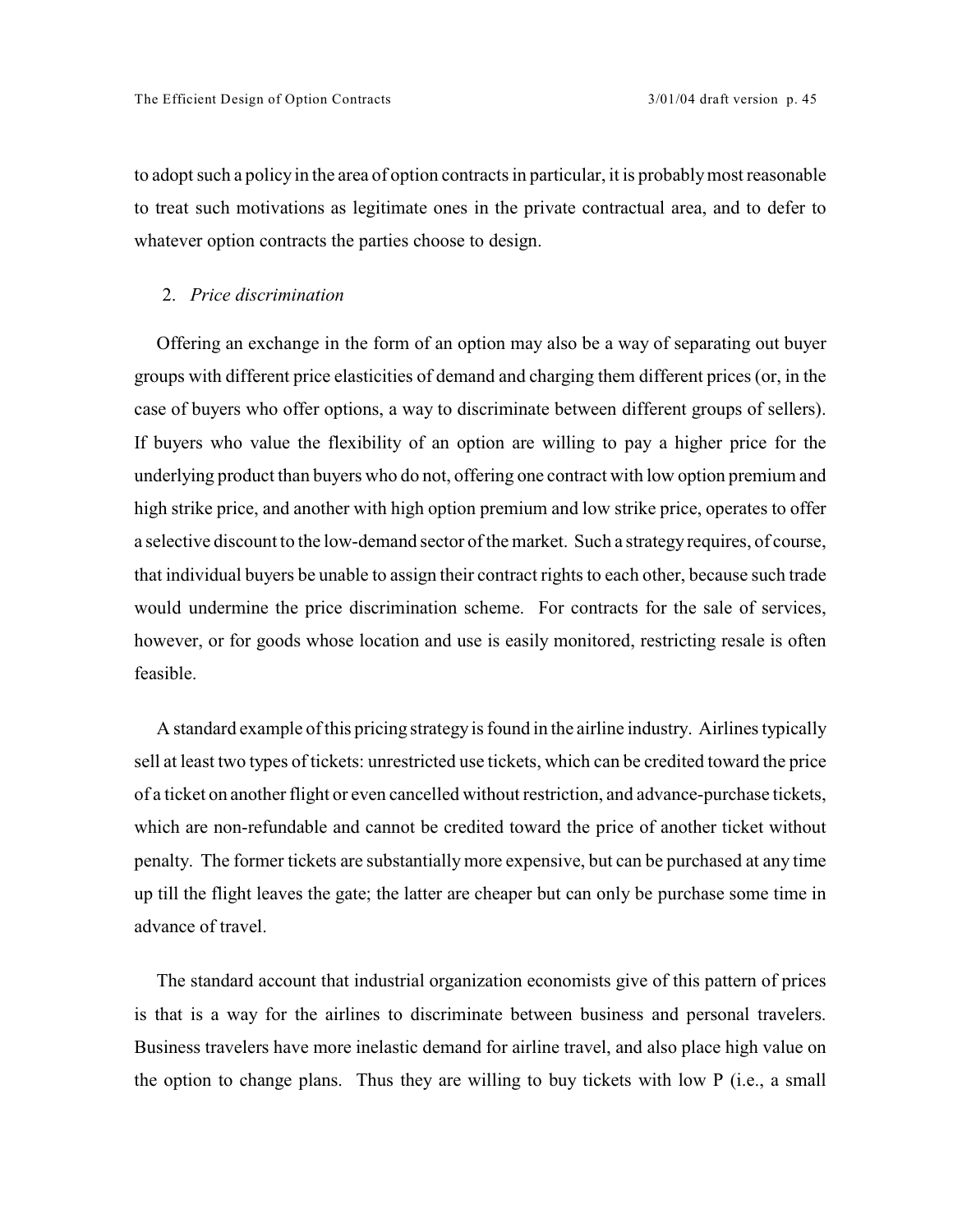to adopt such a policy in the area of option contracts in particular, it is probably most reasonable to treat such motivations as legitimate ones in the private contractual area, and to defer to whatever option contracts the parties choose to design.

#### 2. *Price discrimination*

Offering an exchange in the form of an option may also be a way of separating out buyer groups with different price elasticities of demand and charging them different prices (or, in the case of buyers who offer options, a way to discriminate between different groups of sellers). If buyers who value the flexibility of an option are willing to pay a higher price for the underlying product than buyers who do not, offering one contract with low option premium and high strike price, and another with high option premium and low strike price, operates to offer a selective discount to the low-demand sector of the market. Such a strategy requires, of course, that individual buyers be unable to assign their contract rights to each other, because such trade would undermine the price discrimination scheme. For contracts for the sale of services, however, or for goods whose location and use is easily monitored, restricting resale is often feasible.

A standard example ofthis pricing strategy is found in the airline industry. Airlines typically sell at least two types of tickets: unrestricted use tickets, which can be credited toward the price of a ticket on another flight or even cancelled without restriction, and advance-purchase tickets, which are non-refundable and cannot be credited toward the price of another ticket without penalty. The former tickets are substantiallymore expensive, but can be purchased at any time up till the flight leaves the gate; the latter are cheaper but can only be purchase some time in advance of travel.

The standard account that industrial organization economists give of this pattern of prices is that is a way for the airlines to discriminate between business and personal travelers. Business travelers have more inelastic demand for airline travel, and also place high value on the option to change plans. Thus they are willing to buy tickets with low P (i.e., a small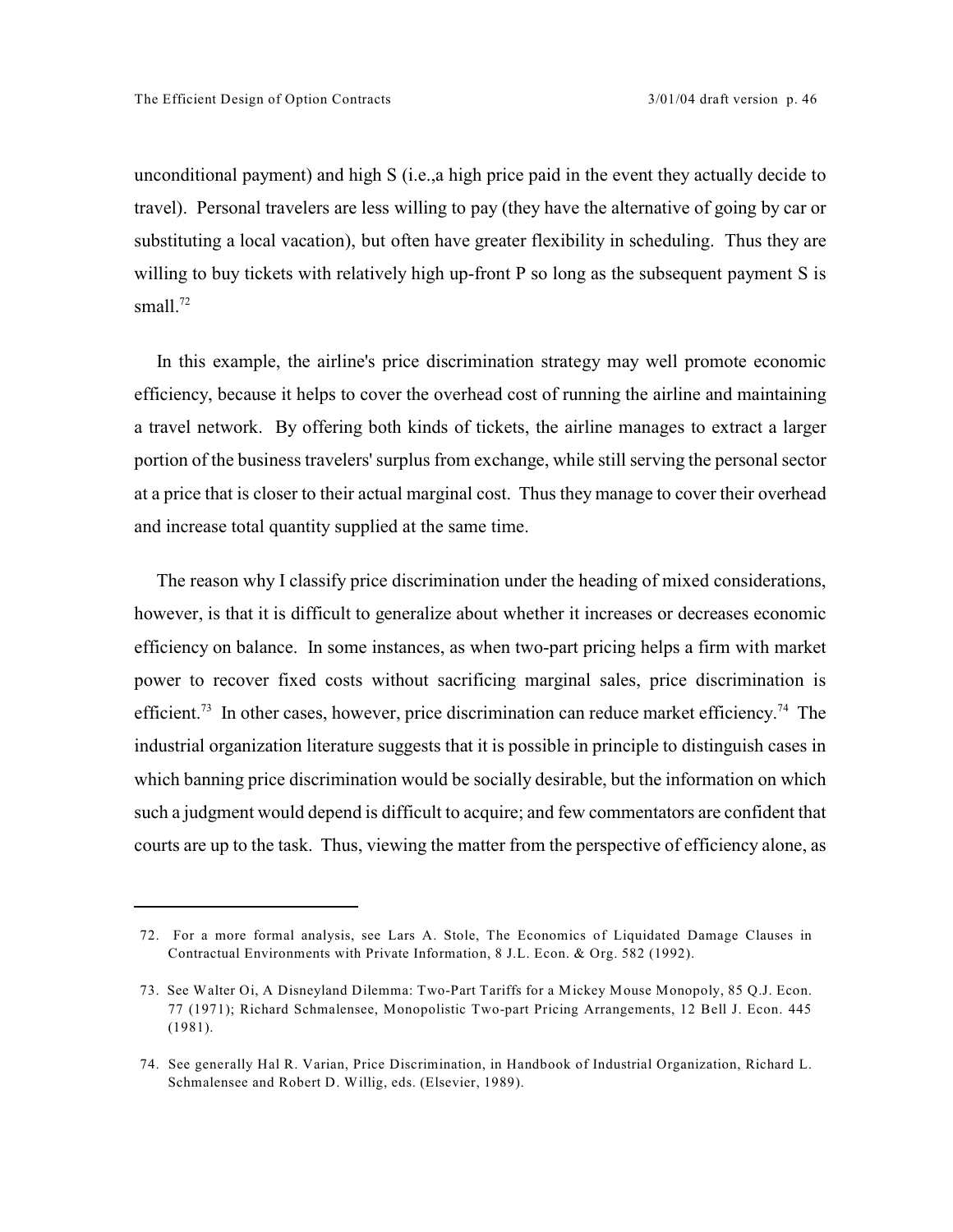unconditional payment) and high S (i.e.,a high price paid in the event they actually decide to travel). Personal travelers are less willing to pay (they have the alternative of going by car or substituting a local vacation), but often have greater flexibility in scheduling. Thus they are willing to buy tickets with relatively high up-front P so long as the subsequent payment S is small. $72$ 

In this example, the airline's price discrimination strategy may well promote economic efficiency, because it helps to cover the overhead cost of running the airline and maintaining a travel network. By offering both kinds of tickets, the airline manages to extract a larger portion of the business travelers' surplus from exchange, while still serving the personal sector at a price that is closer to their actual marginal cost. Thus they manage to cover their overhead and increase total quantity supplied at the same time.

The reason why I classify price discrimination under the heading of mixed considerations, however, is that it is difficult to generalize about whether it increases or decreases economic efficiency on balance. In some instances, as when two-part pricing helps a firm with market power to recover fixed costs without sacrificing marginal sales, price discrimination is efficient.<sup>73</sup> In other cases, however, price discrimination can reduce market efficiency.<sup>74</sup> The industrial organization literature suggests that it is possible in principle to distinguish cases in which banning price discrimination would be socially desirable, but the information on which such a judgment would depend is difficult to acquire; and few commentators are confident that courts are up to the task. Thus, viewing the matter from the perspective of efficiency alone, as

<sup>72.</sup> For a more formal analysis, see Lars A. Stole, The Economics of Liquidated Damage Clauses in Contractual Environments with Private Information, 8 J.L. Econ. & Org. 582 (1992).

<sup>73.</sup> See Walter Oi, A Disneyland Dilemma: Two-Part Tariffs for a Mickey Mouse Monopoly, 85 Q.J. Econ. 77 (1971); Richard Schmalensee, Monopolistic Two-part Pricing Arrangements, 12 Bell J. Econ. 445 (1981).

<sup>74.</sup> See generally Hal R. Varian, Price Discrimination, in Handbook of Industrial Organization, Richard L. Schmalensee and Robert D. Willig, eds. (Elsevier, 1989).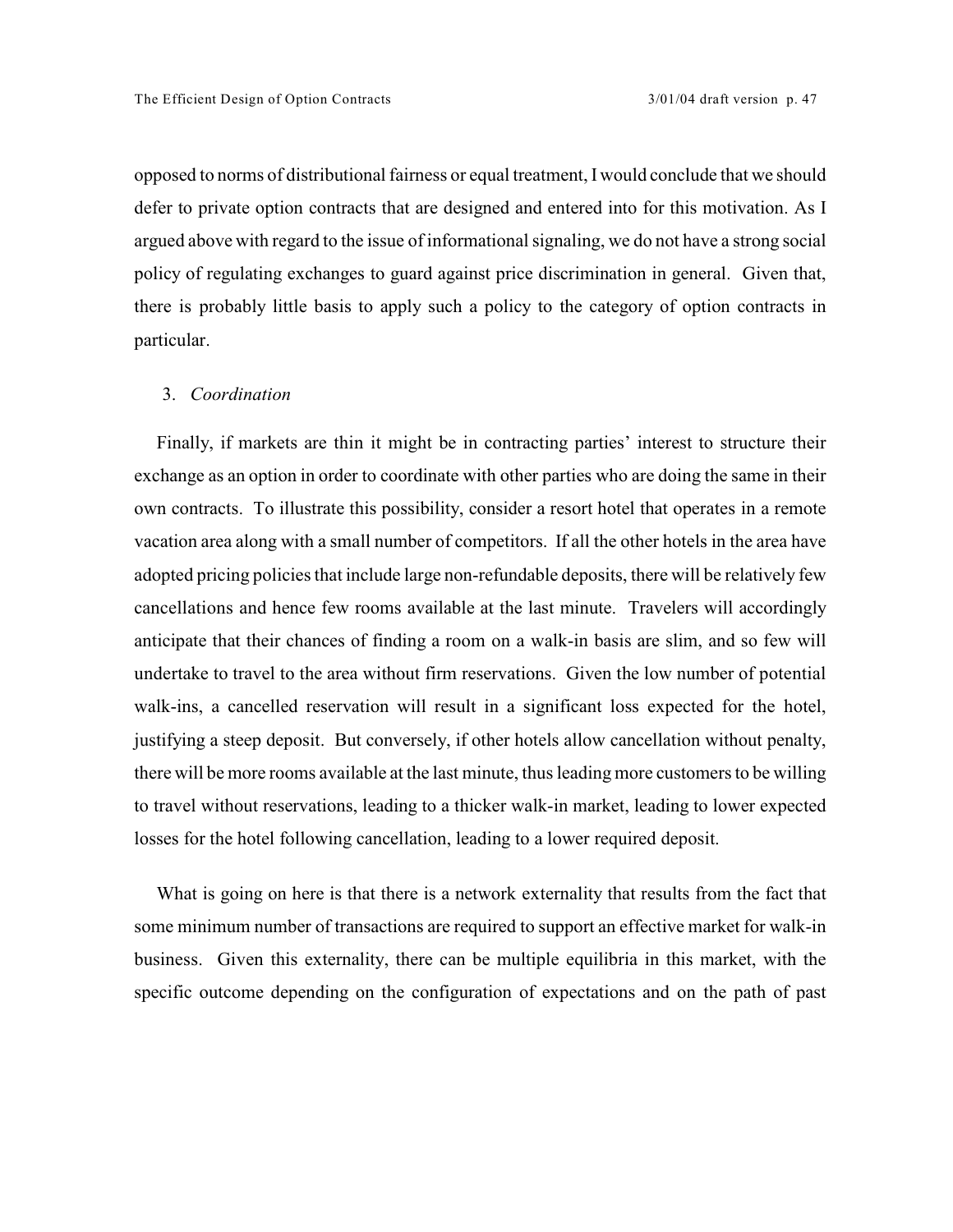opposed to norms of distributional fairness or equal treatment, I would conclude that we should defer to private option contracts that are designed and entered into for this motivation. As I argued above with regard to the issue of informational signaling, we do not have a strong social policy of regulating exchanges to guard against price discrimination in general. Given that, there is probably little basis to apply such a policy to the category of option contracts in particular.

#### 3. *Coordination*

Finally, if markets are thin it might be in contracting parties' interest to structure their exchange as an option in order to coordinate with other parties who are doing the same in their own contracts. To illustrate this possibility, consider a resort hotel that operates in a remote vacation area along with a small number of competitors. If all the other hotels in the area have adopted pricing policies that include large non-refundable deposits, there will be relatively few cancellations and hence few rooms available at the last minute. Travelers will accordingly anticipate that their chances of finding a room on a walk-in basis are slim, and so few will undertake to travel to the area without firm reservations. Given the low number of potential walk-ins, a cancelled reservation will result in a significant loss expected for the hotel, justifying a steep deposit. But conversely, if other hotels allow cancellation without penalty, there will be more rooms available at the last minute, thus leading more customers to be willing to travel without reservations, leading to a thicker walk-in market, leading to lower expected losses for the hotel following cancellation, leading to a lower required deposit.

What is going on here is that there is a network externality that results from the fact that some minimum number of transactions are required to support an effective market for walk-in business. Given this externality, there can be multiple equilibria in this market, with the specific outcome depending on the configuration of expectations and on the path of past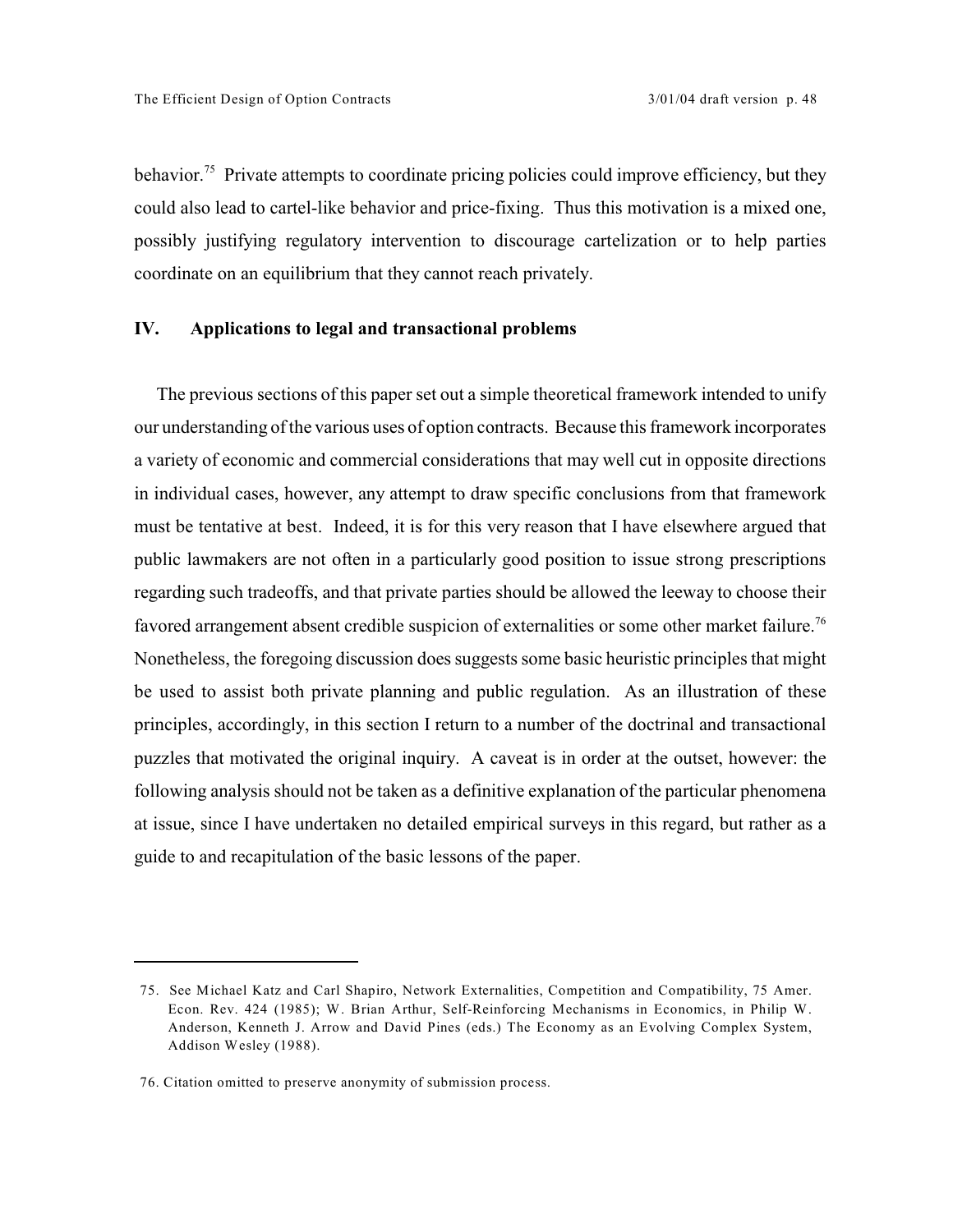behavior.<sup>75</sup> Private attempts to coordinate pricing policies could improve efficiency, but they could also lead to cartel-like behavior and price-fixing. Thus this motivation is a mixed one, possibly justifying regulatory intervention to discourage cartelization or to help parties coordinate on an equilibrium that they cannot reach privately.

## **IV. Applications to legal and transactional problems**

The previous sections of this paper set out a simple theoretical framework intended to unify our understanding of the various uses of option contracts. Because this framework incorporates a variety of economic and commercial considerations that may well cut in opposite directions in individual cases, however, any attempt to draw specific conclusions from that framework must be tentative at best. Indeed, it is for this very reason that I have elsewhere argued that public lawmakers are not often in a particularly good position to issue strong prescriptions regarding such tradeoffs, and that private parties should be allowed the leeway to choose their favored arrangement absent credible suspicion of externalities or some other market failure.<sup>76</sup> Nonetheless, the foregoing discussion does suggests some basic heuristic principles that might be used to assist both private planning and public regulation. As an illustration of these principles, accordingly, in this section I return to a number of the doctrinal and transactional puzzles that motivated the original inquiry. A caveat is in order at the outset, however: the following analysis should not be taken as a definitive explanation of the particular phenomena at issue, since I have undertaken no detailed empirical surveys in this regard, but rather as a guide to and recapitulation of the basic lessons of the paper.

<sup>75.</sup> See Michael Katz and Carl Shapiro, Network Externalities, Competition and Compatibility, 75 Amer. Econ. Rev. 424 (1985); W. Brian Arthur, Self-Reinforcing Mechanisms in Economics, in Philip W. Anderson, Kenneth J. Arrow and David Pines (eds.) The Economy as an Evolving Complex System, Addison Wesley (1988).

<sup>76.</sup> Citation omitted to preserve anonymity of submission process.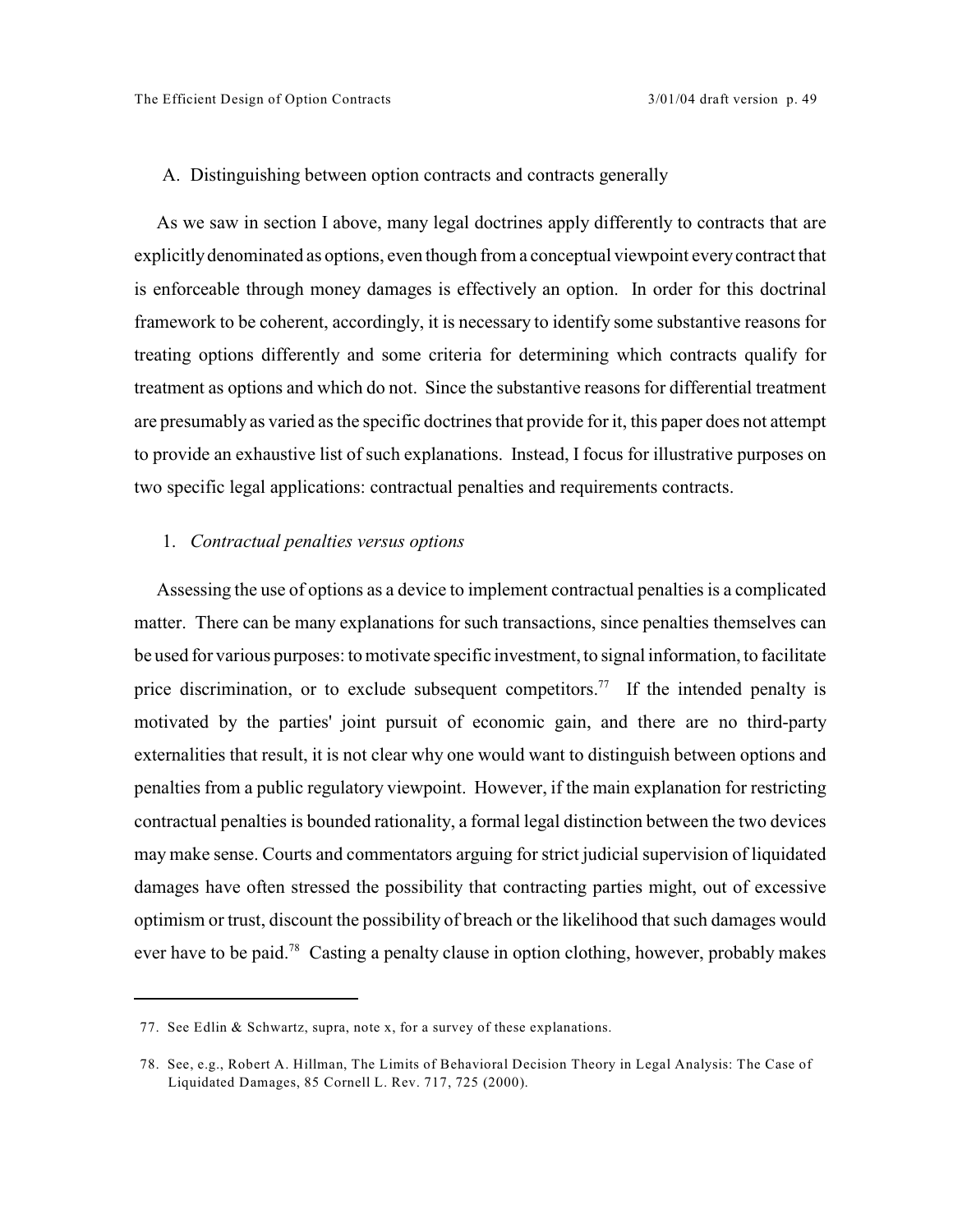#### A. Distinguishing between option contracts and contracts generally

As we saw in section I above, many legal doctrines apply differently to contracts that are explicitly denominated as options, even though from a conceptual viewpoint every contract that is enforceable through money damages is effectively an option. In order for this doctrinal framework to be coherent, accordingly, it is necessary to identify some substantive reasons for treating options differently and some criteria for determining which contracts qualify for treatment as options and which do not. Since the substantive reasons for differential treatment are presumably as varied as the specific doctrines that provide for it, this paper does not attempt to provide an exhaustive list of such explanations. Instead, I focus for illustrative purposes on two specific legal applications: contractual penalties and requirements contracts.

## 1. *Contractual penalties versus options*

Assessing the use of options as a device to implement contractual penalties is a complicated matter. There can be many explanations for such transactions, since penalties themselves can be used for various purposes: to motivate specific investment, to signal information, to facilitate price discrimination, or to exclude subsequent competitors.<sup>77</sup> If the intended penalty is motivated by the parties' joint pursuit of economic gain, and there are no third-party externalities that result, it is not clear why one would want to distinguish between options and penalties from a public regulatory viewpoint. However, if the main explanation for restricting contractual penalties is bounded rationality, a formal legal distinction between the two devices may make sense. Courts and commentators arguing for strict judicial supervision of liquidated damages have often stressed the possibility that contracting parties might, out of excessive optimism or trust, discount the possibility of breach or the likelihood that such damages would ever have to be paid.<sup>78</sup> Casting a penalty clause in option clothing, however, probably makes

<sup>77.</sup> See Edlin & Schwartz, supra, note x, for a survey of these explanations.

<sup>78.</sup> See, e.g., Robert A. Hillman, The Limits of Behavioral Decision Theory in Legal Analysis: The Case of Liquidated Damages, 85 Cornell L. Rev. 717, 725 (2000).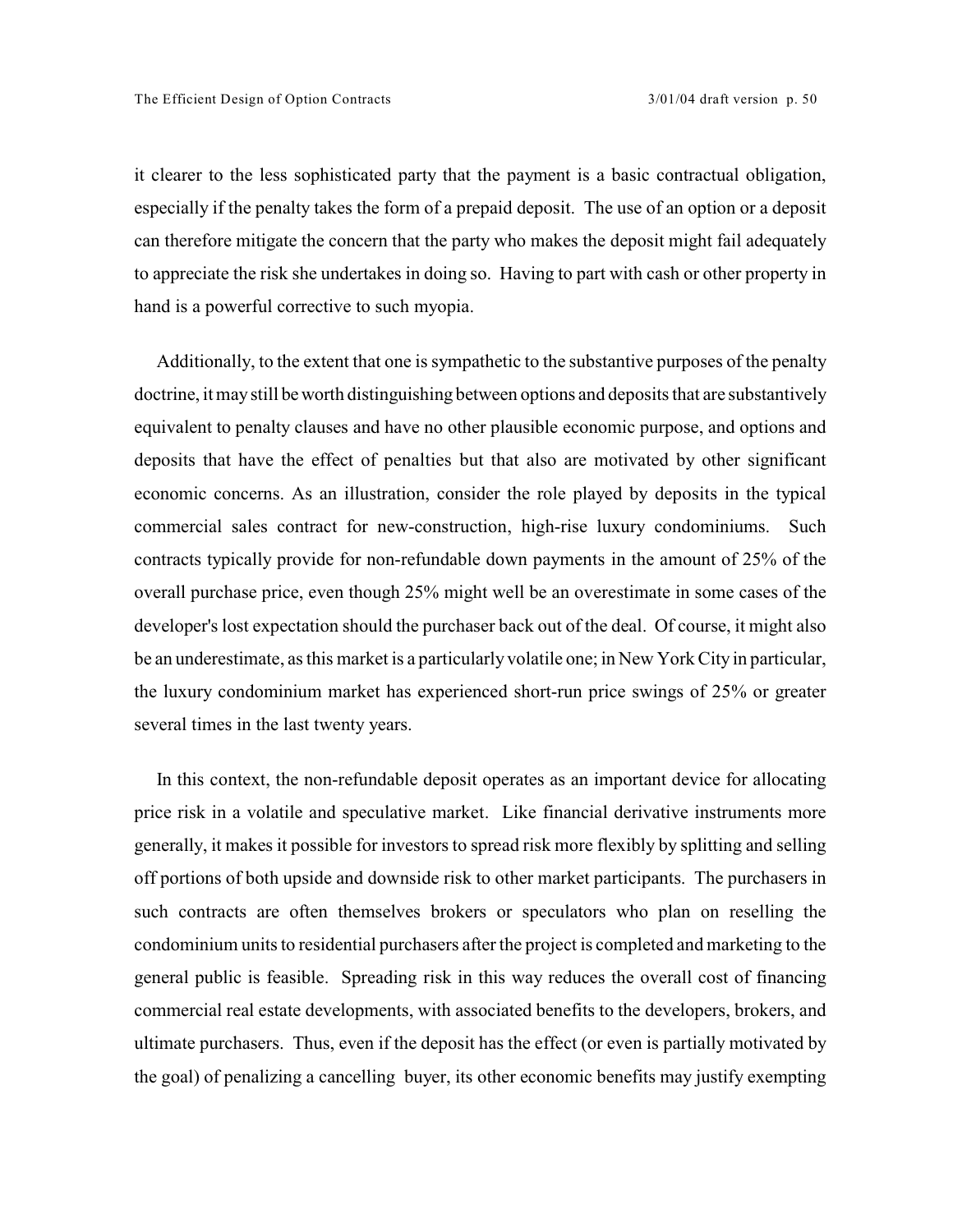it clearer to the less sophisticated party that the payment is a basic contractual obligation, especially if the penalty takes the form of a prepaid deposit. The use of an option or a deposit can therefore mitigate the concern that the party who makes the deposit might fail adequately to appreciate the risk she undertakes in doing so. Having to part with cash or other property in hand is a powerful corrective to such myopia.

Additionally, to the extent that one is sympathetic to the substantive purposes of the penalty doctrine, it may still be worth distinguishing between options and deposits that are substantively equivalent to penalty clauses and have no other plausible economic purpose, and options and deposits that have the effect of penalties but that also are motivated by other significant economic concerns. As an illustration, consider the role played by deposits in the typical commercial sales contract for new-construction, high-rise luxury condominiums. Such contracts typically provide for non-refundable down payments in the amount of 25% of the overall purchase price, even though 25% might well be an overestimate in some cases of the developer's lost expectation should the purchaser back out of the deal. Of course, it might also be an underestimate, as this market is a particularly volatile one; in New York City in particular, the luxury condominium market has experienced short-run price swings of 25% or greater several times in the last twenty years.

In this context, the non-refundable deposit operates as an important device for allocating price risk in a volatile and speculative market. Like financial derivative instruments more generally, it makes it possible for investors to spread risk more flexibly by splitting and selling off portions of both upside and downside risk to other market participants. The purchasers in such contracts are often themselves brokers or speculators who plan on reselling the condominium units to residential purchasers after the project is completed and marketing to the general public is feasible. Spreading risk in this way reduces the overall cost of financing commercial real estate developments, with associated benefits to the developers, brokers, and ultimate purchasers. Thus, even if the deposit has the effect (or even is partially motivated by the goal) of penalizing a cancelling buyer, its other economic benefits may justify exempting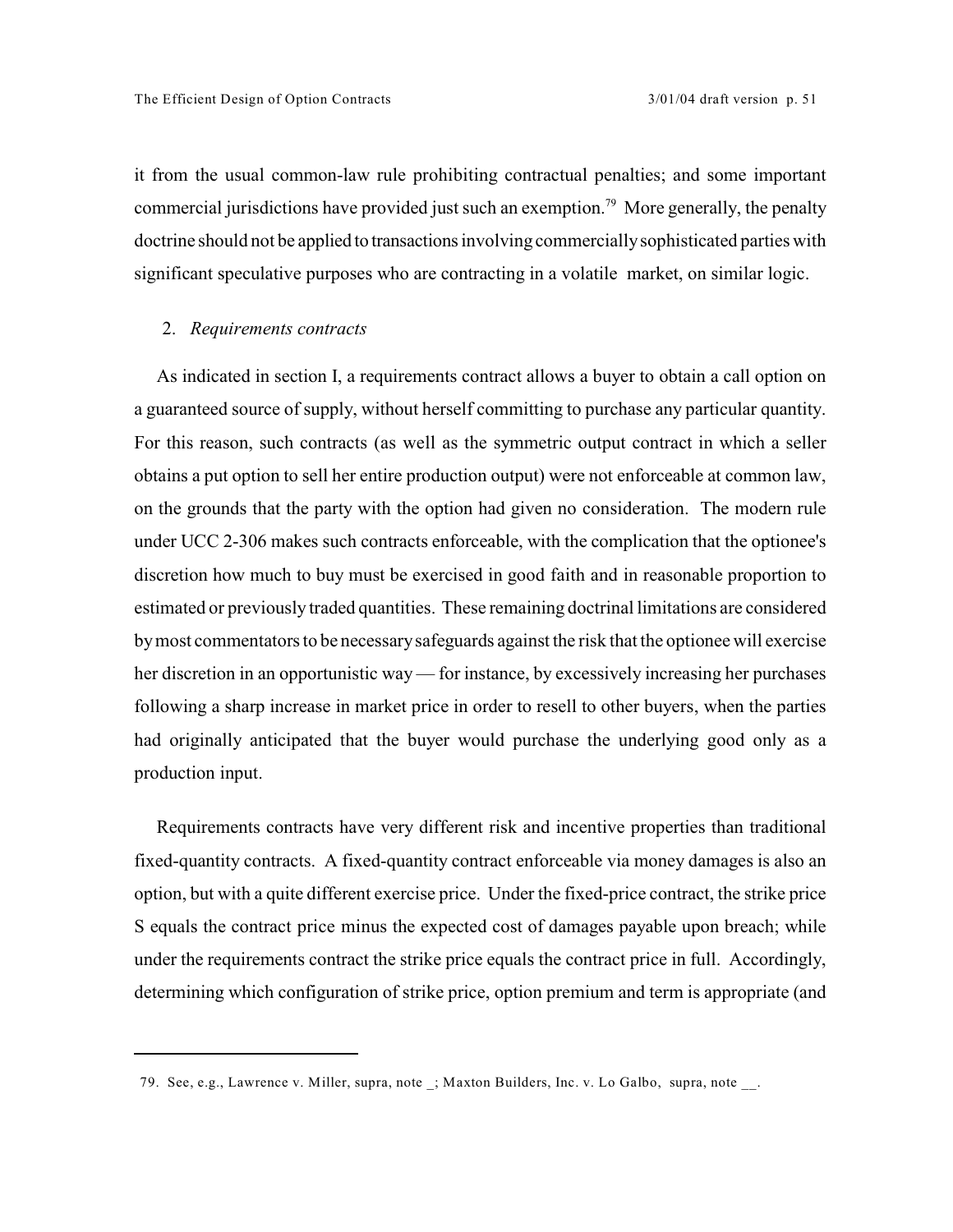it from the usual common-law rule prohibiting contractual penalties; and some important commercial jurisdictions have provided just such an exemption.<sup>79</sup> More generally, the penalty doctrine should not be applied to transactions involving commercially sophisticated parties with significant speculative purposes who are contracting in a volatile market, on similar logic.

#### 2. *Requirements contracts*

As indicated in section I, a requirements contract allows a buyer to obtain a call option on a guaranteed source of supply, without herself committing to purchase any particular quantity. For this reason, such contracts (as well as the symmetric output contract in which a seller obtains a put option to sell her entire production output) were not enforceable at common law, on the grounds that the party with the option had given no consideration. The modern rule under UCC 2-306 makes such contracts enforceable, with the complication that the optionee's discretion how much to buy must be exercised in good faith and in reasonable proportion to estimated or previously traded quantities. These remaining doctrinal limitations are considered by most commentators to be necessary safeguards against the risk that the optionee will exercise her discretion in an opportunistic way — for instance, by excessively increasing her purchases following a sharp increase in market price in order to resell to other buyers, when the parties had originally anticipated that the buyer would purchase the underlying good only as a production input.

Requirements contracts have very different risk and incentive properties than traditional fixed-quantity contracts. A fixed-quantity contract enforceable via money damages is also an option, but with a quite different exercise price. Under the fixed-price contract, the strike price S equals the contract price minus the expected cost of damages payable upon breach; while under the requirements contract the strike price equals the contract price in full. Accordingly, determining which configuration of strike price, option premium and term is appropriate (and

<sup>79.</sup> See, e.g., Lawrence v. Miller, supra, note ; Maxton Builders, Inc. v. Lo Galbo, supra, note .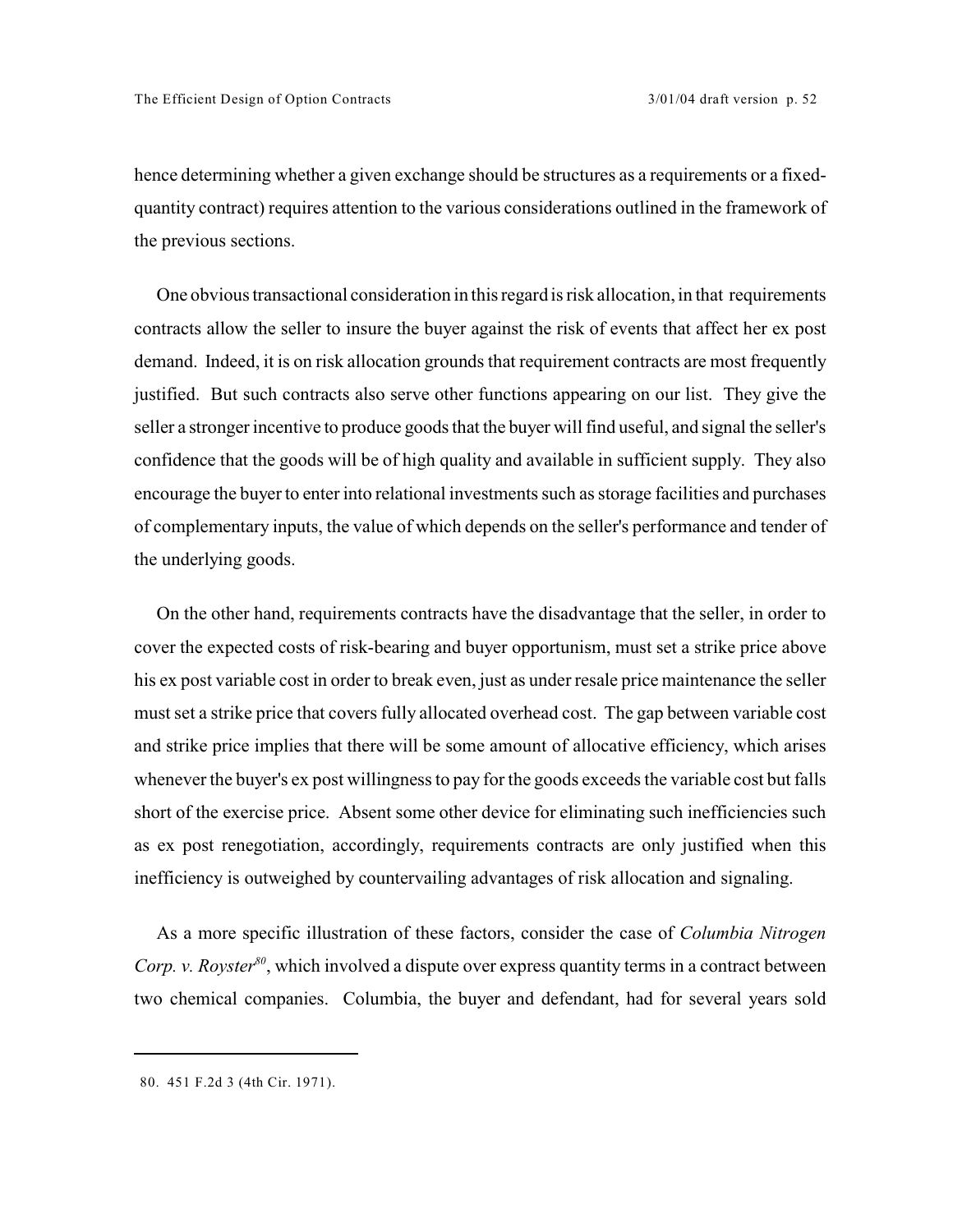hence determining whether a given exchange should be structures as a requirements or a fixedquantity contract) requires attention to the various considerations outlined in the framework of the previous sections.

One obvious transactional consideration in this regard is risk allocation, in that requirements contracts allow the seller to insure the buyer against the risk of events that affect her ex post demand. Indeed, it is on risk allocation grounds that requirement contracts are most frequently justified. But such contracts also serve other functions appearing on our list. They give the seller a stronger incentive to produce goods that the buyer will find useful, and signal the seller's confidence that the goods will be of high quality and available in sufficient supply. They also encourage the buyer to enter into relational investments such as storage facilities and purchases of complementary inputs, the value of which depends on the seller's performance and tender of the underlying goods.

On the other hand, requirements contracts have the disadvantage that the seller, in order to cover the expected costs of risk-bearing and buyer opportunism, must set a strike price above his ex post variable cost in order to break even, just as under resale price maintenance the seller must set a strike price that covers fully allocated overhead cost. The gap between variable cost and strike price implies that there will be some amount of allocative efficiency, which arises whenever the buyer's expost willingness to pay for the goods exceeds the variable cost but falls short of the exercise price. Absent some other device for eliminating such inefficiencies such as ex post renegotiation, accordingly, requirements contracts are only justified when this inefficiency is outweighed by countervailing advantages of risk allocation and signaling.

As a more specific illustration of these factors, consider the case of *Columbia Nitrogen Corp. v. Royster*<sup>80</sup>, which involved a dispute over express quantity terms in a contract between two chemical companies. Columbia, the buyer and defendant, had for several years sold

<sup>80. 451</sup> F.2d 3 (4th Cir. 1971).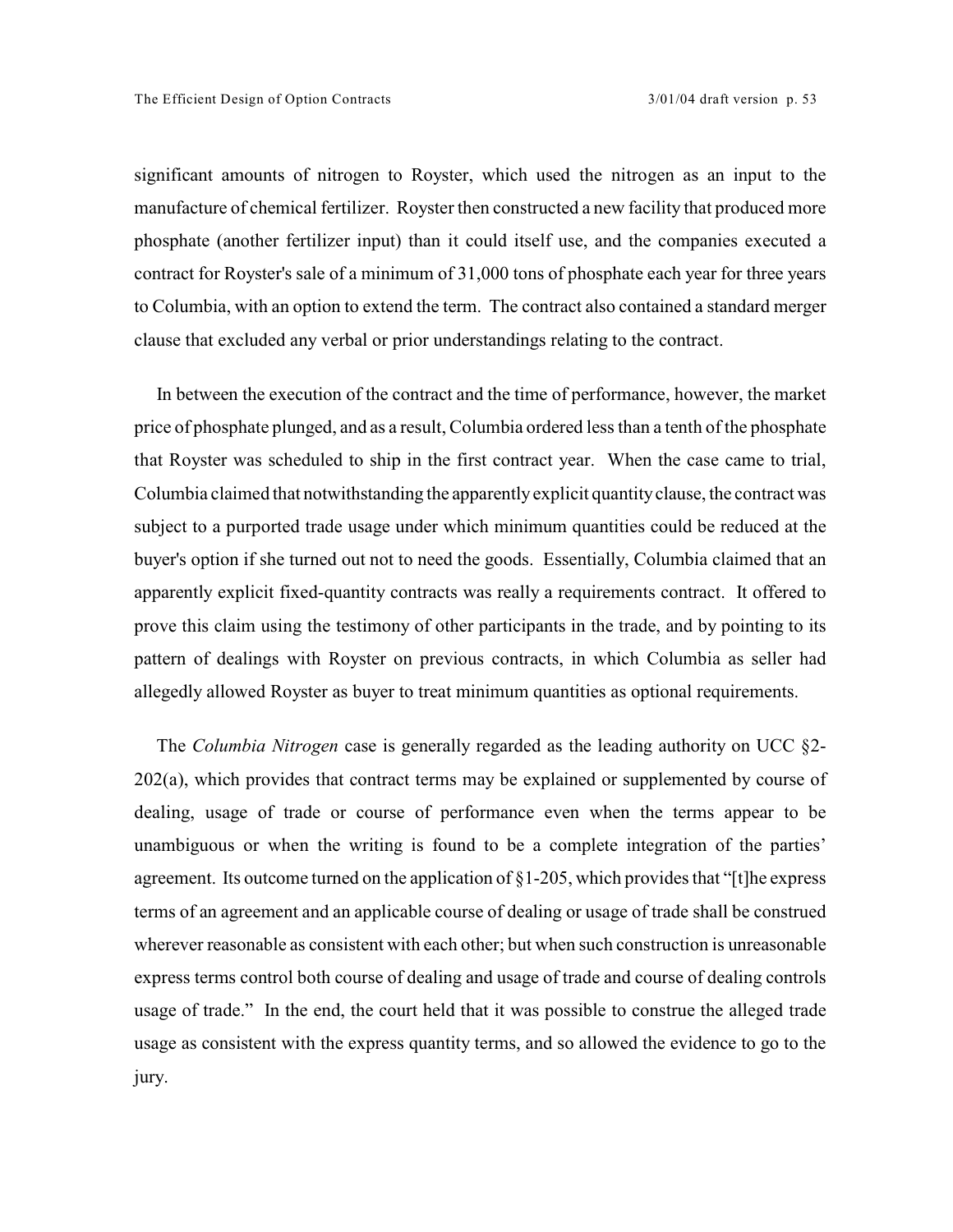significant amounts of nitrogen to Royster, which used the nitrogen as an input to the manufacture of chemical fertilizer. Royster then constructed a new facility that produced more phosphate (another fertilizer input) than it could itself use, and the companies executed a contract for Royster's sale of a minimum of 31,000 tons of phosphate each year for three years to Columbia, with an option to extend the term. The contract also contained a standard merger clause that excluded any verbal or prior understandings relating to the contract.

In between the execution of the contract and the time of performance, however, the market price of phosphate plunged, and as a result, Columbia ordered less than a tenth of the phosphate that Royster was scheduled to ship in the first contract year. When the case came to trial, Columbia claimed that notwithstanding the apparently explicit quantity clause, the contract was subject to a purported trade usage under which minimum quantities could be reduced at the buyer's option if she turned out not to need the goods. Essentially, Columbia claimed that an apparently explicit fixed-quantity contracts was really a requirements contract. It offered to prove this claim using the testimony of other participants in the trade, and by pointing to its pattern of dealings with Royster on previous contracts, in which Columbia as seller had allegedly allowed Royster as buyer to treat minimum quantities as optional requirements.

The *Columbia Nitrogen* case is generally regarded as the leading authority on UCC §2- 202(a), which provides that contract terms may be explained or supplemented by course of dealing, usage of trade or course of performance even when the terms appear to be unambiguous or when the writing is found to be a complete integration of the parties' agreement. Its outcome turned on the application of §1-205, which provides that "[t]he express terms of an agreement and an applicable course of dealing or usage of trade shall be construed wherever reasonable as consistent with each other; but when such construction is unreasonable express terms control both course of dealing and usage of trade and course of dealing controls usage of trade." In the end, the court held that it was possible to construe the alleged trade usage as consistent with the express quantity terms, and so allowed the evidence to go to the jury.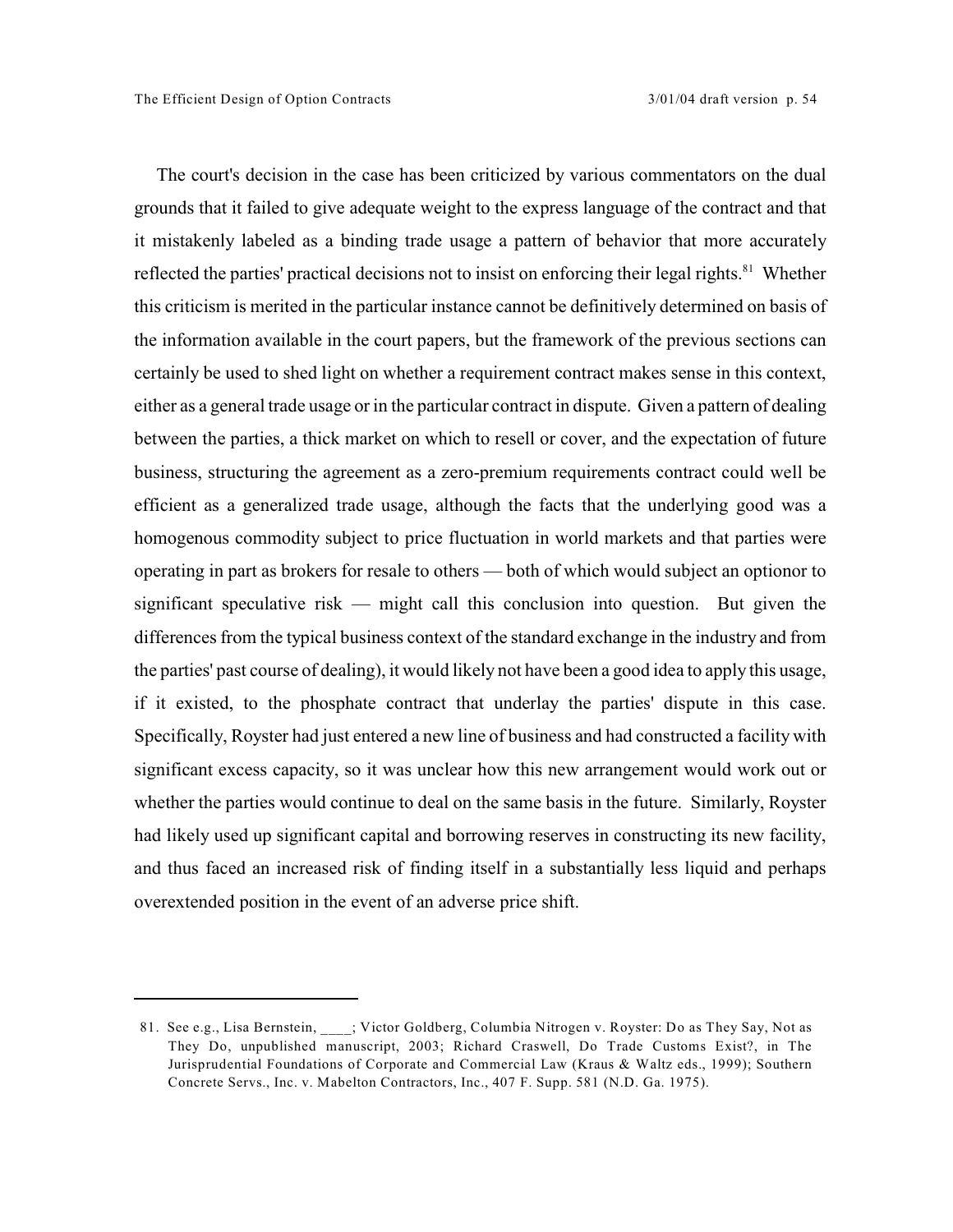The court's decision in the case has been criticized by various commentators on the dual grounds that it failed to give adequate weight to the express language of the contract and that it mistakenly labeled as a binding trade usage a pattern of behavior that more accurately reflected the parties' practical decisions not to insist on enforcing their legal rights.<sup>81</sup> Whether this criticism is merited in the particular instance cannot be definitively determined on basis of the information available in the court papers, but the framework of the previous sections can certainly be used to shed light on whether a requirement contract makes sense in this context, either as a general trade usage or in the particular contract in dispute. Given a pattern of dealing between the parties, a thick market on which to resell or cover, and the expectation of future business, structuring the agreement as a zero-premium requirements contract could well be efficient as a generalized trade usage, although the facts that the underlying good was a homogenous commodity subject to price fluctuation in world markets and that parties were operating in part as brokers for resale to others — both of which would subject an optionor to significant speculative risk — might call this conclusion into question. But given the differences from the typical business context of the standard exchange in the industry and from the parties' past course of dealing), it would likely not have been a good idea to apply this usage, if it existed, to the phosphate contract that underlay the parties' dispute in this case. Specifically, Royster had just entered a new line of business and had constructed a facility with significant excess capacity, so it was unclear how this new arrangement would work out or whether the parties would continue to deal on the same basis in the future. Similarly, Royster had likely used up significant capital and borrowing reserves in constructing its new facility, and thus faced an increased risk of finding itself in a substantially less liquid and perhaps overextended position in the event of an adverse price shift.

<sup>81.</sup> See e.g., Lisa Bernstein, \_\_\_\_; Victor Goldberg, Columbia Nitrogen v. Royster: Do as They Say, Not as They Do, unpublished manuscript, 2003; Richard Craswell, Do Trade Customs Exist?, in The Jurisprudential Foundations of Corporate and Commercial Law (Kraus & Waltz eds., 1999); Southern Concrete Servs., Inc. v. Mabelton Contractors, Inc., 407 F. Supp. 581 (N.D. Ga. 1975).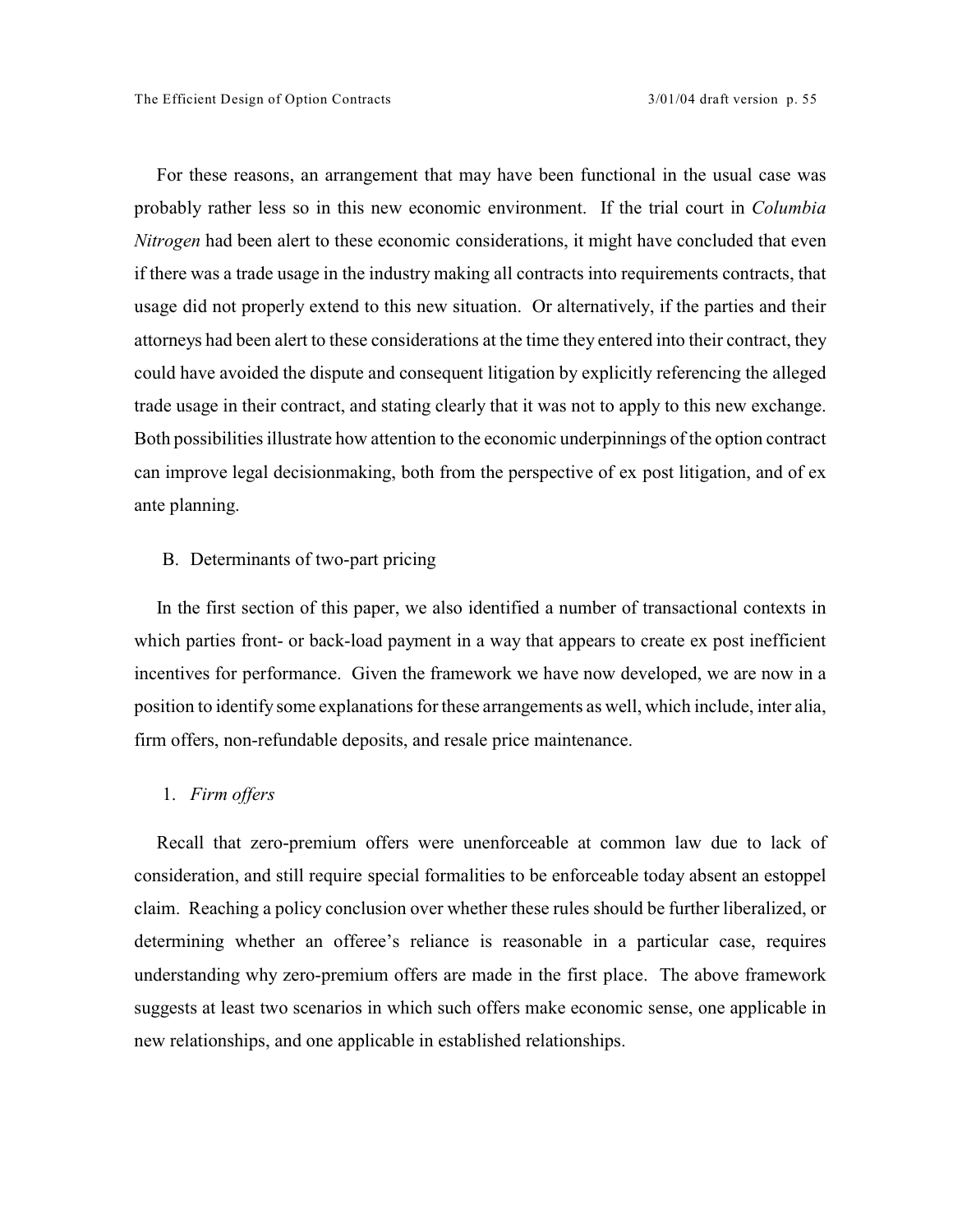For these reasons, an arrangement that may have been functional in the usual case was probably rather less so in this new economic environment. If the trial court in *Columbia Nitrogen* had been alert to these economic considerations, it might have concluded that even if there was a trade usage in the industry making all contracts into requirements contracts, that usage did not properly extend to this new situation. Or alternatively, if the parties and their attorneys had been alert to these considerations at the time they entered into their contract, they could have avoided the dispute and consequent litigation by explicitly referencing the alleged trade usage in their contract, and stating clearly that it was not to apply to this new exchange. Both possibilities illustrate how attention to the economic underpinnings of the option contract can improve legal decisionmaking, both from the perspective of ex post litigation, and of ex ante planning.

## B. Determinants of two-part pricing

In the first section of this paper, we also identified a number of transactional contexts in which parties front- or back-load payment in a way that appears to create ex post inefficient incentives for performance. Given the framework we have now developed, we are now in a position to identify some explanations forthese arrangements as well, which include, inter alia, firm offers, non-refundable deposits, and resale price maintenance.

## 1. *Firm offers*

Recall that zero-premium offers were unenforceable at common law due to lack of consideration, and still require special formalities to be enforceable today absent an estoppel claim. Reaching a policy conclusion over whether these rules should be further liberalized, or determining whether an offeree's reliance is reasonable in a particular case, requires understanding why zero-premium offers are made in the first place. The above framework suggests at least two scenarios in which such offers make economic sense, one applicable in new relationships, and one applicable in established relationships.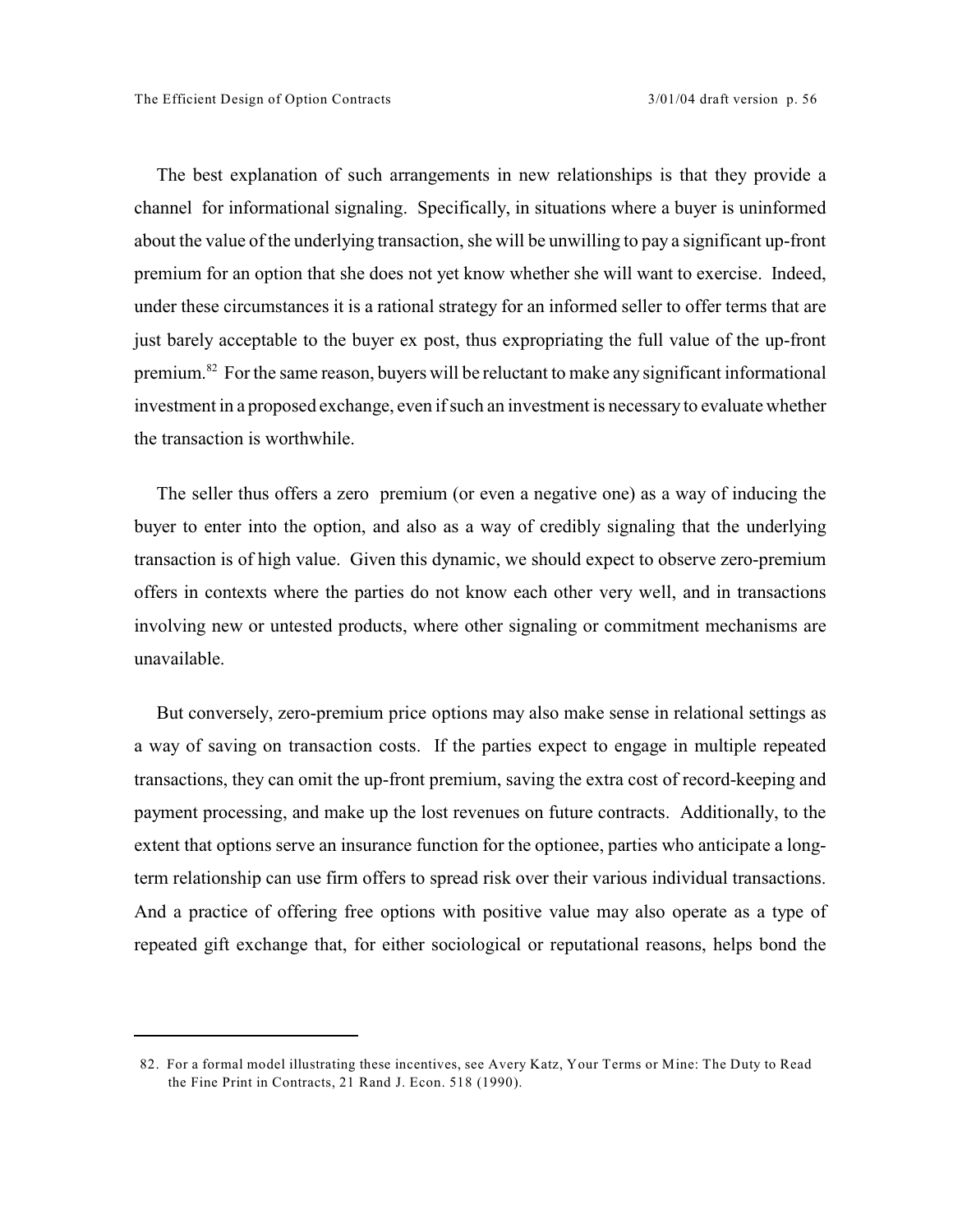The best explanation of such arrangements in new relationships is that they provide a channel for informational signaling. Specifically, in situations where a buyer is uninformed about the value of the underlying transaction, she will be unwilling to pay a significant up-front premium for an option that she does not yet know whether she will want to exercise. Indeed, under these circumstances it is a rational strategy for an informed seller to offer terms that are just barely acceptable to the buyer ex post, thus expropriating the full value of the up-front premium.<sup>82</sup> For the same reason, buyers will be reluctant to make any significant informational investment in a proposed exchange, even if such an investment is necessary to evaluate whether the transaction is worthwhile.

The seller thus offers a zero premium (or even a negative one) as a way of inducing the buyer to enter into the option, and also as a way of credibly signaling that the underlying transaction is of high value. Given this dynamic, we should expect to observe zero-premium offers in contexts where the parties do not know each other very well, and in transactions involving new or untested products, where other signaling or commitment mechanisms are unavailable.

But conversely, zero-premium price options may also make sense in relational settings as a way of saving on transaction costs. If the parties expect to engage in multiple repeated transactions, they can omit the up-front premium, saving the extra cost of record-keeping and payment processing, and make up the lost revenues on future contracts. Additionally, to the extent that options serve an insurance function for the optionee, parties who anticipate a longterm relationship can use firm offers to spread risk over their various individual transactions. And a practice of offering free options with positive value may also operate as a type of repeated gift exchange that, for either sociological or reputational reasons, helps bond the

<sup>82.</sup> For a formal model illustrating these incentives, see Avery Katz, Your Terms or Mine: The Duty to Read the Fine Print in Contracts, 21 Rand J. Econ. 518 (1990).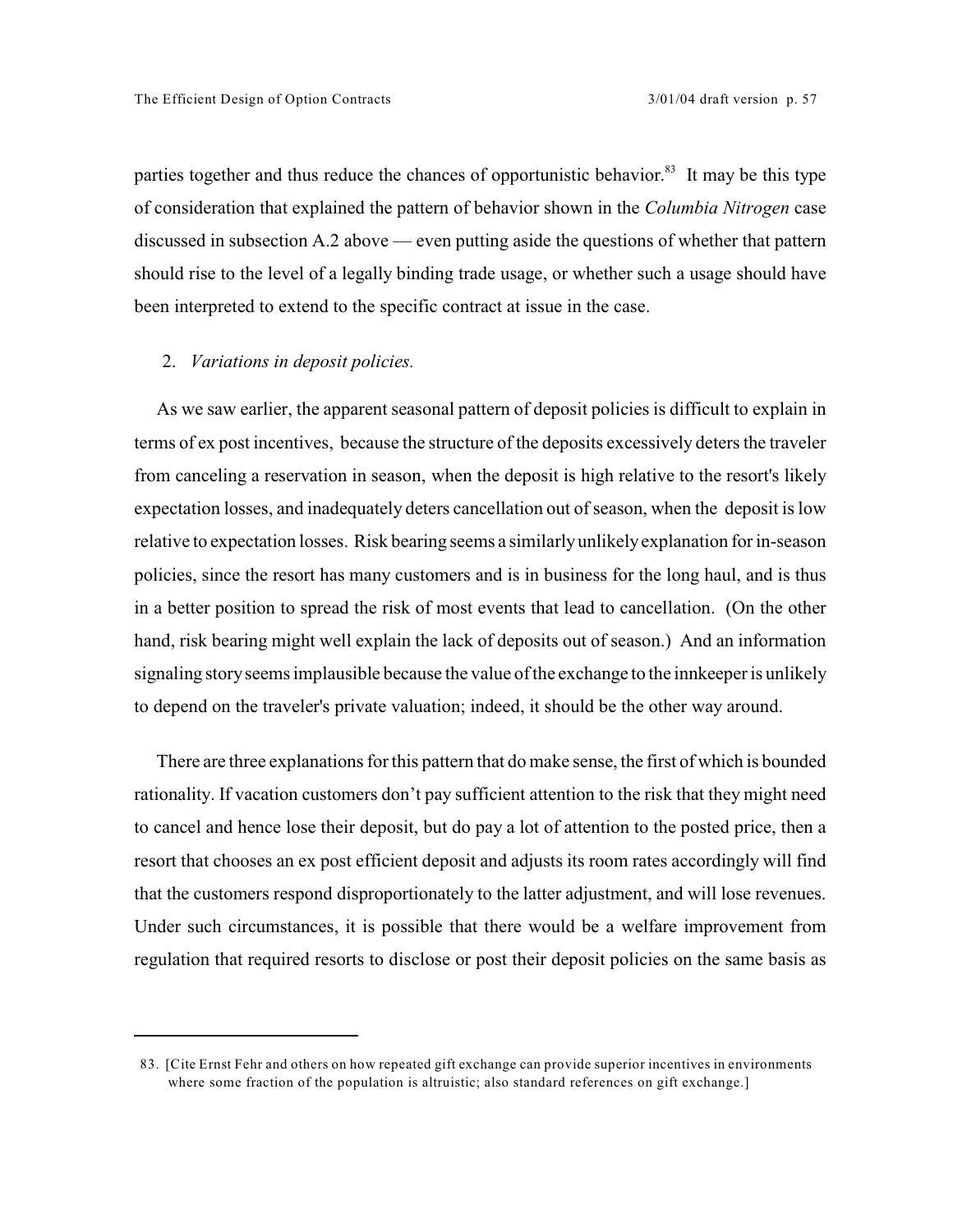parties together and thus reduce the chances of opportunistic behavior.<sup>83</sup> It may be this type of consideration that explained the pattern of behavior shown in the *Columbia Nitrogen* case discussed in subsection A.2 above — even putting aside the questions of whether that pattern should rise to the level of a legally binding trade usage, or whether such a usage should have been interpreted to extend to the specific contract at issue in the case.

## 2. *Variations in deposit policies.*

As we saw earlier, the apparent seasonal pattern of deposit policies is difficult to explain in terms of ex post incentives, because the structure of the deposits excessively deters the traveler from canceling a reservation in season, when the deposit is high relative to the resort's likely expectation losses, and inadequately deters cancellation out of season, when the deposit is low relative to expectation losses. Risk bearing seems a similarlyunlikelyexplanation for in-season policies, since the resort has many customers and is in business for the long haul, and is thus in a better position to spread the risk of most events that lead to cancellation. (On the other hand, risk bearing might well explain the lack of deposits out of season.) And an information signaling story seems implausible because the value of the exchange to the innkeeper is unlikely to depend on the traveler's private valuation; indeed, it should be the other way around.

There are three explanations for this pattern that do make sense, the first of which is bounded rationality. If vacation customers don't pay sufficient attention to the risk that they might need to cancel and hence lose their deposit, but do pay a lot of attention to the posted price, then a resort that chooses an ex post efficient deposit and adjusts its room rates accordingly will find that the customers respond disproportionately to the latter adjustment, and will lose revenues. Under such circumstances, it is possible that there would be a welfare improvement from regulation that required resorts to disclose or post their deposit policies on the same basis as

<sup>83. [</sup>Cite Ernst Fehr and others on how repeated gift exchange can provide superior incentives in environments where some fraction of the population is altruistic; also standard references on gift exchange.]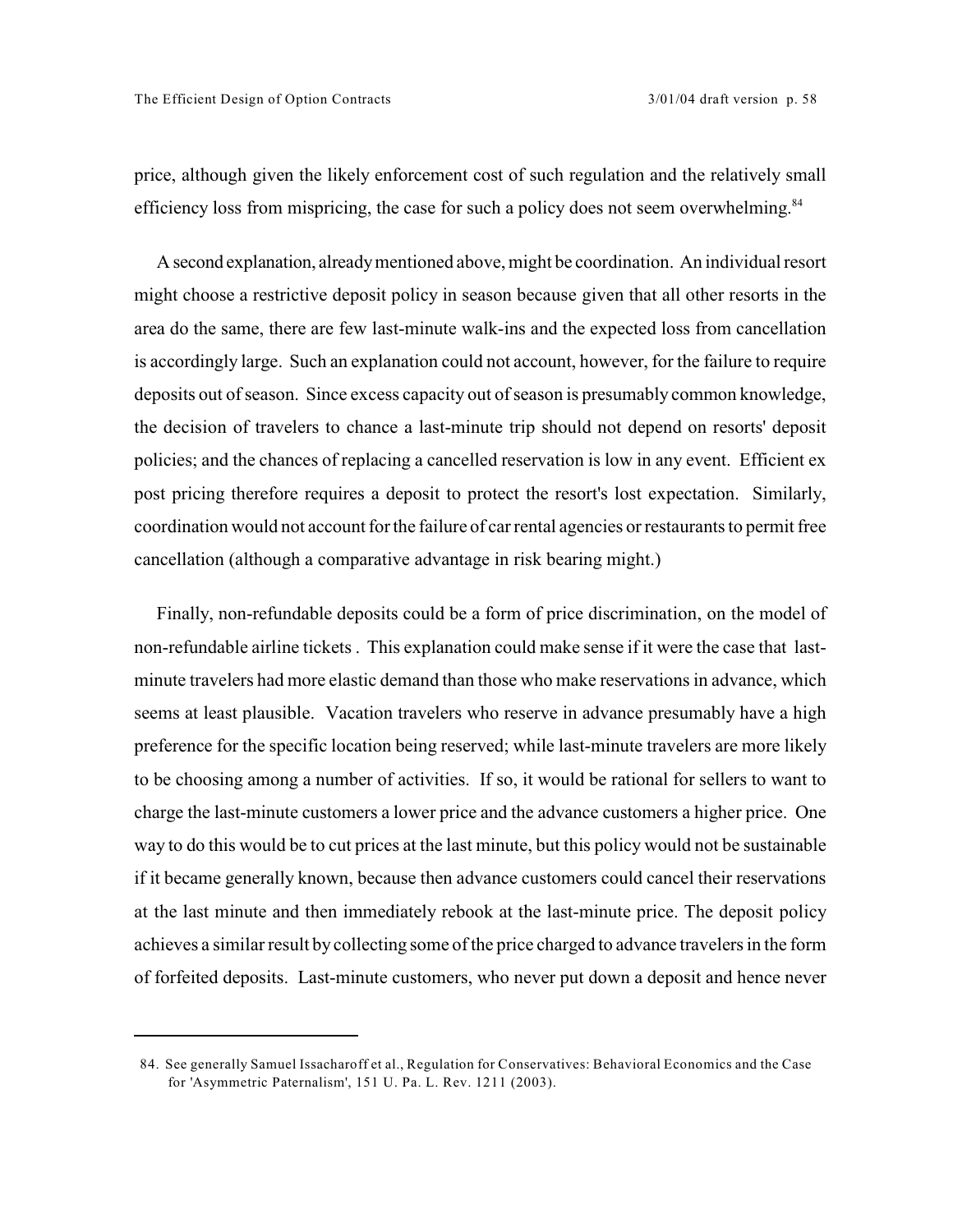price, although given the likely enforcement cost of such regulation and the relatively small efficiency loss from mispricing, the case for such a policy does not seem overwhelming.<sup>84</sup>

A second explanation, already mentioned above, might be coordination. An individual resort might choose a restrictive deposit policy in season because given that all other resorts in the area do the same, there are few last-minute walk-ins and the expected loss from cancellation is accordingly large. Such an explanation could not account, however, for the failure to require deposits out of season. Since excess capacity out of season is presumably common knowledge, the decision of travelers to chance a last-minute trip should not depend on resorts' deposit policies; and the chances of replacing a cancelled reservation is low in any event. Efficient ex post pricing therefore requires a deposit to protect the resort's lost expectation. Similarly, coordination would not account for the failure of car rental agencies or restaurants to permit free cancellation (although a comparative advantage in risk bearing might.)

Finally, non-refundable deposits could be a form of price discrimination, on the model of non-refundable airline tickets . This explanation could make sense if it were the case that lastminute travelers had more elastic demand than those who make reservations in advance, which seems at least plausible. Vacation travelers who reserve in advance presumably have a high preference for the specific location being reserved; while last-minute travelers are more likely to be choosing among a number of activities. If so, it would be rational for sellers to want to charge the last-minute customers a lower price and the advance customers a higher price. One way to do this would be to cut prices at the last minute, but this policy would not be sustainable if it became generally known, because then advance customers could cancel their reservations at the last minute and then immediately rebook at the last-minute price. The deposit policy achieves a similar result by collecting some of the price charged to advance travelers in the form of forfeited deposits. Last-minute customers, who never put down a deposit and hence never

<sup>84.</sup> See generally Samuel Issacharoff et al., Regulation for Conservatives: Behavioral Economics and the Case for 'Asymmetric Paternalism', 151 U. Pa. L. Rev. 1211 (2003).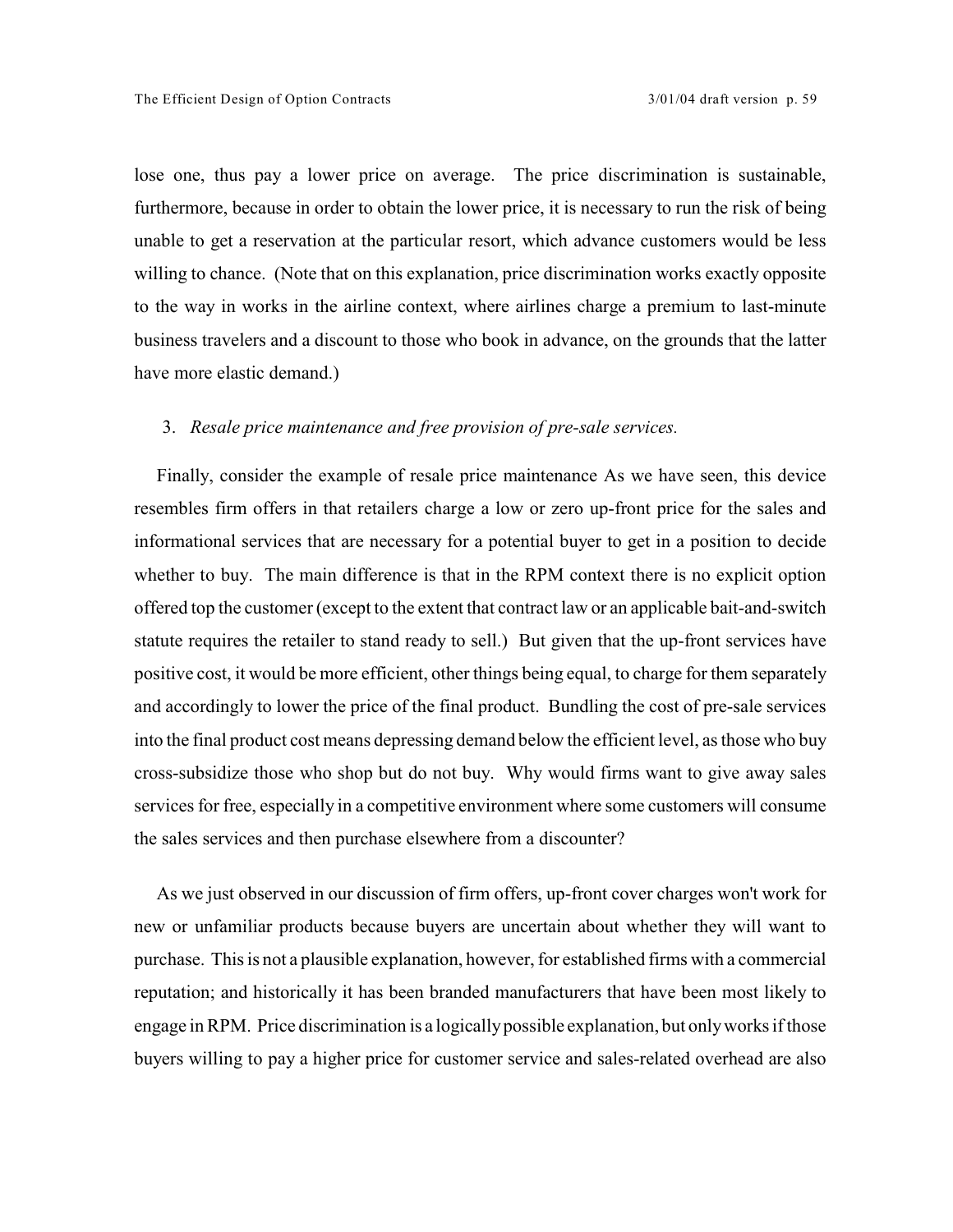lose one, thus pay a lower price on average. The price discrimination is sustainable, furthermore, because in order to obtain the lower price, it is necessary to run the risk of being unable to get a reservation at the particular resort, which advance customers would be less willing to chance. (Note that on this explanation, price discrimination works exactly opposite to the way in works in the airline context, where airlines charge a premium to last-minute business travelers and a discount to those who book in advance, on the grounds that the latter have more elastic demand.)

## 3. *Resale price maintenance and free provision of pre-sale services.*

Finally, consider the example of resale price maintenance As we have seen, this device resembles firm offers in that retailers charge a low or zero up-front price for the sales and informational services that are necessary for a potential buyer to get in a position to decide whether to buy. The main difference is that in the RPM context there is no explicit option offered top the customer (except to the extent that contract law or an applicable bait-and-switch statute requires the retailer to stand ready to sell.) But given that the up-front services have positive cost, it would be more efficient, other things being equal, to charge for them separately and accordingly to lower the price of the final product. Bundling the cost of pre-sale services into the final product cost means depressing demand below the efficient level, as those who buy cross-subsidize those who shop but do not buy. Why would firms want to give away sales services for free, especially in a competitive environment where some customers will consume the sales services and then purchase elsewhere from a discounter?

As we just observed in our discussion of firm offers, up-front cover charges won't work for new or unfamiliar products because buyers are uncertain about whether they will want to purchase. This is not a plausible explanation, however, for established firms with a commercial reputation; and historically it has been branded manufacturers that have been most likely to engage in RPM. Price discrimination is a logicallypossible explanation, but onlyworks if those buyers willing to pay a higher price for customer service and sales-related overhead are also